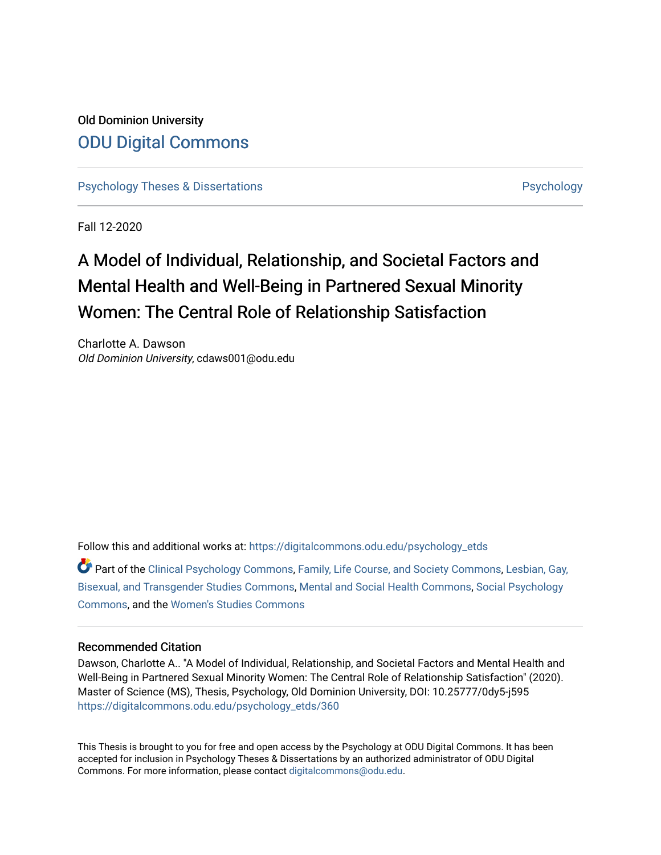# Old Dominion University [ODU Digital Commons](https://digitalcommons.odu.edu/)

[Psychology Theses & Dissertations](https://digitalcommons.odu.edu/psychology_etds) **Psychology** [Psychology](https://digitalcommons.odu.edu/psychology) **Psychology** 

Fall 12-2020

# A Model of Individual, Relationship, and Societal Factors and Mental Health and Well-Being in Partnered Sexual Minority Women: The Central Role of Relationship Satisfaction

Charlotte A. Dawson Old Dominion University, cdaws001@odu.edu

Follow this and additional works at: [https://digitalcommons.odu.edu/psychology\\_etds](https://digitalcommons.odu.edu/psychology_etds?utm_source=digitalcommons.odu.edu%2Fpsychology_etds%2F360&utm_medium=PDF&utm_campaign=PDFCoverPages)

Part of the [Clinical Psychology Commons,](http://network.bepress.com/hgg/discipline/406?utm_source=digitalcommons.odu.edu%2Fpsychology_etds%2F360&utm_medium=PDF&utm_campaign=PDFCoverPages) [Family, Life Course, and Society Commons](http://network.bepress.com/hgg/discipline/419?utm_source=digitalcommons.odu.edu%2Fpsychology_etds%2F360&utm_medium=PDF&utm_campaign=PDFCoverPages), [Lesbian, Gay,](http://network.bepress.com/hgg/discipline/560?utm_source=digitalcommons.odu.edu%2Fpsychology_etds%2F360&utm_medium=PDF&utm_campaign=PDFCoverPages)  [Bisexual, and Transgender Studies Commons,](http://network.bepress.com/hgg/discipline/560?utm_source=digitalcommons.odu.edu%2Fpsychology_etds%2F360&utm_medium=PDF&utm_campaign=PDFCoverPages) [Mental and Social Health Commons,](http://network.bepress.com/hgg/discipline/709?utm_source=digitalcommons.odu.edu%2Fpsychology_etds%2F360&utm_medium=PDF&utm_campaign=PDFCoverPages) [Social Psychology](http://network.bepress.com/hgg/discipline/414?utm_source=digitalcommons.odu.edu%2Fpsychology_etds%2F360&utm_medium=PDF&utm_campaign=PDFCoverPages)  [Commons](http://network.bepress.com/hgg/discipline/414?utm_source=digitalcommons.odu.edu%2Fpsychology_etds%2F360&utm_medium=PDF&utm_campaign=PDFCoverPages), and the [Women's Studies Commons](http://network.bepress.com/hgg/discipline/561?utm_source=digitalcommons.odu.edu%2Fpsychology_etds%2F360&utm_medium=PDF&utm_campaign=PDFCoverPages)

#### Recommended Citation

Dawson, Charlotte A.. "A Model of Individual, Relationship, and Societal Factors and Mental Health and Well-Being in Partnered Sexual Minority Women: The Central Role of Relationship Satisfaction" (2020). Master of Science (MS), Thesis, Psychology, Old Dominion University, DOI: 10.25777/0dy5-j595 [https://digitalcommons.odu.edu/psychology\\_etds/360](https://digitalcommons.odu.edu/psychology_etds/360?utm_source=digitalcommons.odu.edu%2Fpsychology_etds%2F360&utm_medium=PDF&utm_campaign=PDFCoverPages)

This Thesis is brought to you for free and open access by the Psychology at ODU Digital Commons. It has been accepted for inclusion in Psychology Theses & Dissertations by an authorized administrator of ODU Digital Commons. For more information, please contact [digitalcommons@odu.edu](mailto:digitalcommons@odu.edu).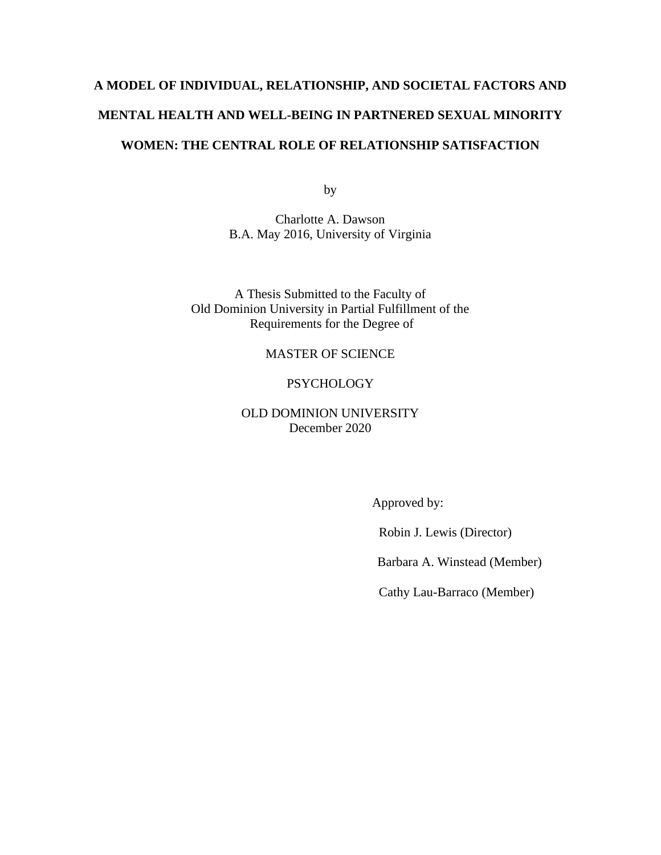# **A MODEL OF INDIVIDUAL, RELATIONSHIP, AND SOCIETAL FACTORS AND MENTAL HEALTH AND WELL-BEING IN PARTNERED SEXUAL MINORITY WOMEN: THE CENTRAL ROLE OF RELATIONSHIP SATISFACTION**

by

Charlotte A. Dawson B.A. May 2016, University of Virginia

A Thesis Submitted to the Faculty of Old Dominion University in Partial Fulfillment of the Requirements for the Degree of

# MASTER OF SCIENCE

# PSYCHOLOGY

# OLD DOMINION UNIVERSITY December 2020

Approved by:

Robin J. Lewis (Director)

Barbara A. Winstead (Member)

Cathy Lau-Barraco (Member)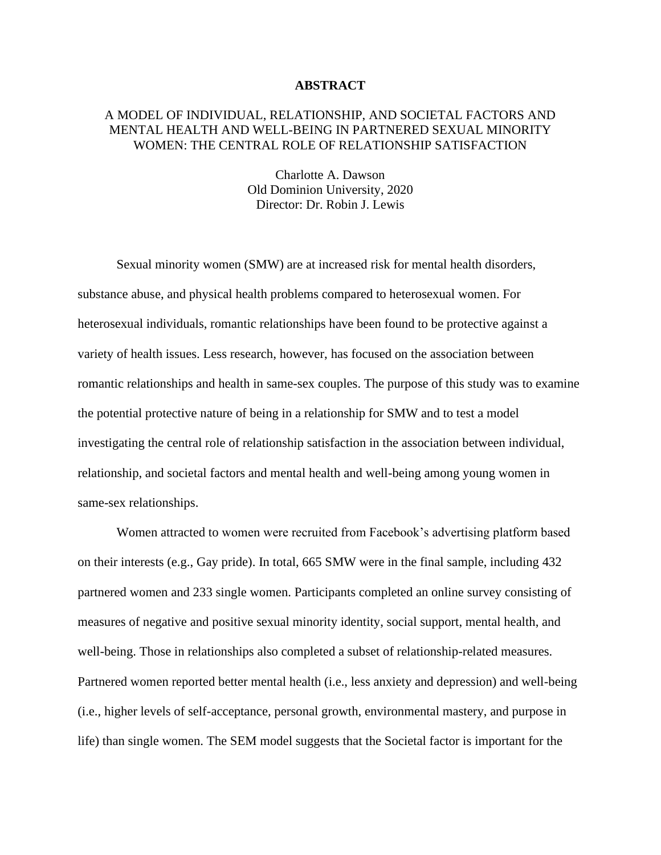#### **ABSTRACT**

# A MODEL OF INDIVIDUAL, RELATIONSHIP, AND SOCIETAL FACTORS AND MENTAL HEALTH AND WELL-BEING IN PARTNERED SEXUAL MINORITY WOMEN: THE CENTRAL ROLE OF RELATIONSHIP SATISFACTION

Charlotte A. Dawson Old Dominion University, 2020 Director: Dr. Robin J. Lewis

Sexual minority women (SMW) are at increased risk for mental health disorders, substance abuse, and physical health problems compared to heterosexual women. For heterosexual individuals, romantic relationships have been found to be protective against a variety of health issues. Less research, however, has focused on the association between romantic relationships and health in same-sex couples. The purpose of this study was to examine the potential protective nature of being in a relationship for SMW and to test a model investigating the central role of relationship satisfaction in the association between individual, relationship, and societal factors and mental health and well-being among young women in same-sex relationships.

Women attracted to women were recruited from Facebook's advertising platform based on their interests (e.g., Gay pride). In total, 665 SMW were in the final sample, including 432 partnered women and 233 single women. Participants completed an online survey consisting of measures of negative and positive sexual minority identity, social support, mental health, and well-being. Those in relationships also completed a subset of relationship-related measures. Partnered women reported better mental health (i.e., less anxiety and depression) and well-being (i.e., higher levels of self-acceptance, personal growth, environmental mastery, and purpose in life) than single women. The SEM model suggests that the Societal factor is important for the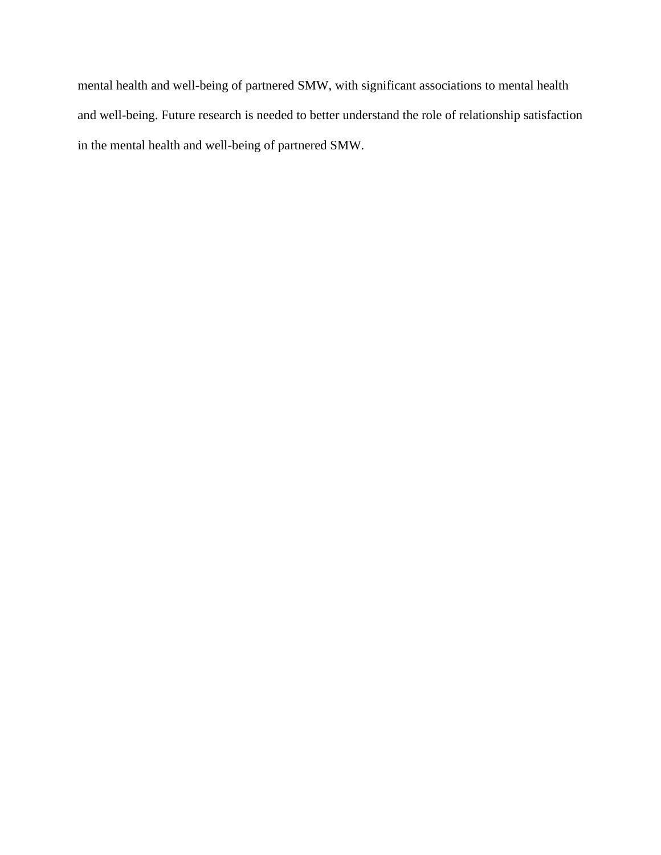mental health and well-being of partnered SMW, with significant associations to mental health and well-being. Future research is needed to better understand the role of relationship satisfaction in the mental health and well-being of partnered SMW.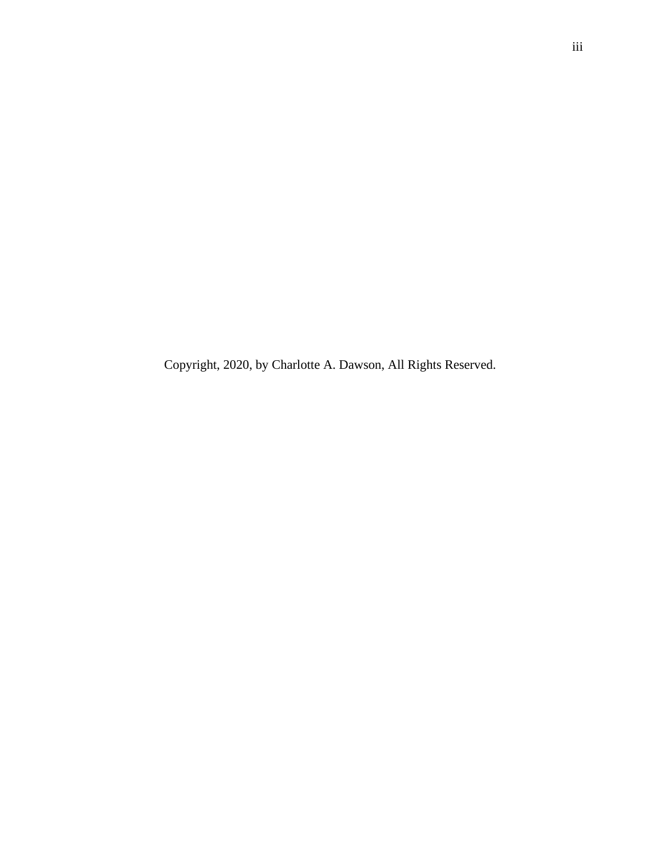Copyright, 2020, by Charlotte A. Dawson, All Rights Reserved.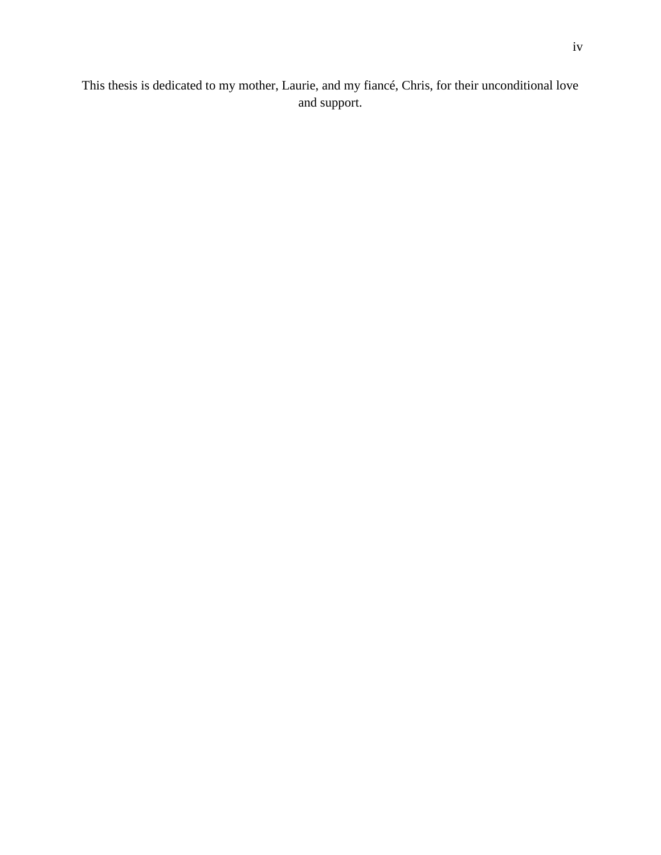This thesis is dedicated to my mother, Laurie, and my fiancé, Chris, for their unconditional love and support.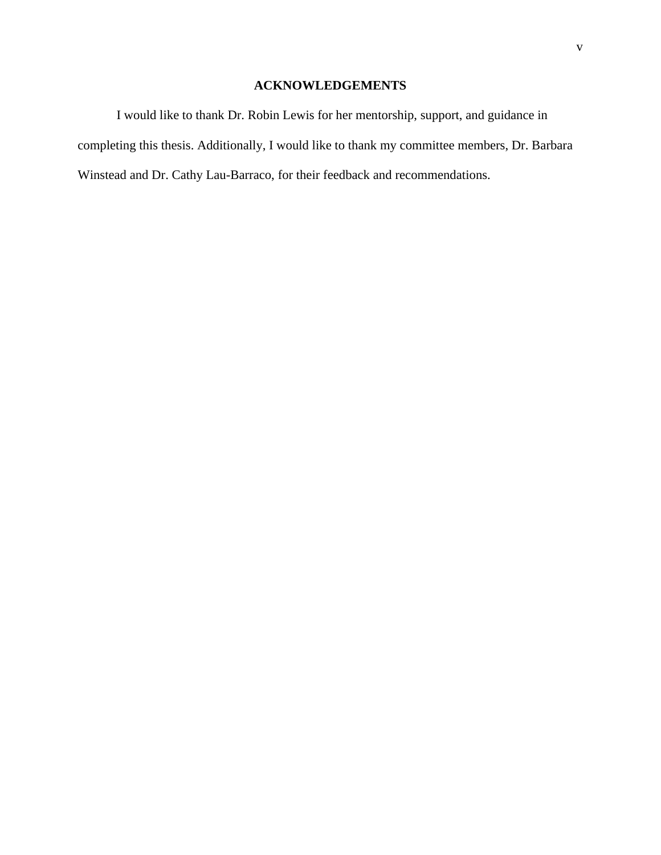# **ACKNOWLEDGEMENTS**

I would like to thank Dr. Robin Lewis for her mentorship, support, and guidance in completing this thesis. Additionally, I would like to thank my committee members, Dr. Barbara Winstead and Dr. Cathy Lau-Barraco, for their feedback and recommendations.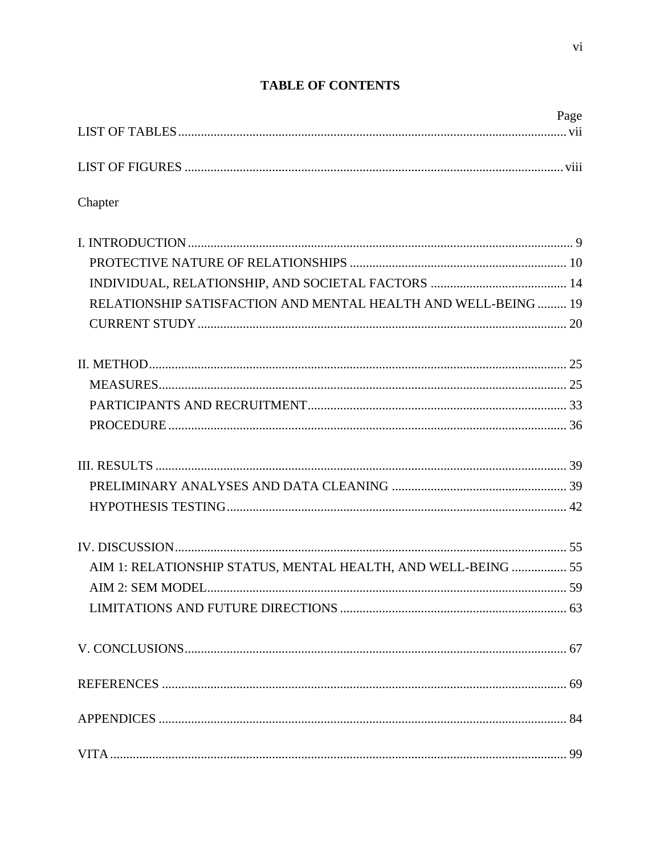|                                                                | Page |
|----------------------------------------------------------------|------|
|                                                                |      |
|                                                                |      |
| Chapter                                                        |      |
|                                                                |      |
|                                                                |      |
|                                                                |      |
| RELATIONSHIP SATISFACTION AND MENTAL HEALTH AND WELL-BEING  19 |      |
|                                                                |      |
|                                                                |      |
|                                                                |      |
|                                                                |      |
|                                                                |      |
|                                                                |      |
|                                                                |      |
|                                                                |      |
|                                                                |      |
| AIM 1: RELATIONSHIP STATUS, MENTAL HEALTH, AND WELL-BEING  55  |      |
|                                                                |      |
|                                                                |      |
|                                                                |      |
|                                                                |      |
|                                                                |      |
|                                                                |      |

# **TABLE OF CONTENTS**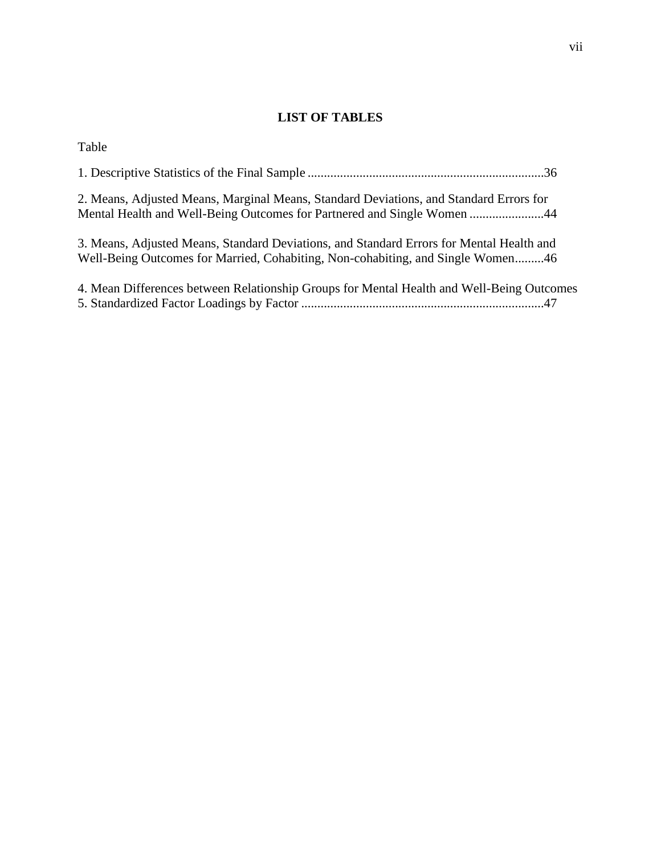# **LIST OF TABLES**

<span id="page-8-0"></span>

| Table                                                                                                                                                                       |  |
|-----------------------------------------------------------------------------------------------------------------------------------------------------------------------------|--|
|                                                                                                                                                                             |  |
| 2. Means, Adjusted Means, Marginal Means, Standard Deviations, and Standard Errors for<br>Mental Health and Well-Being Outcomes for Partnered and Single Women 44           |  |
| 3. Means, Adjusted Means, Standard Deviations, and Standard Errors for Mental Health and<br>Well-Being Outcomes for Married, Cohabiting, Non-cohabiting, and Single Women46 |  |
| 4. Mean Differences between Relationship Groups for Mental Health and Well-Being Outcomes                                                                                   |  |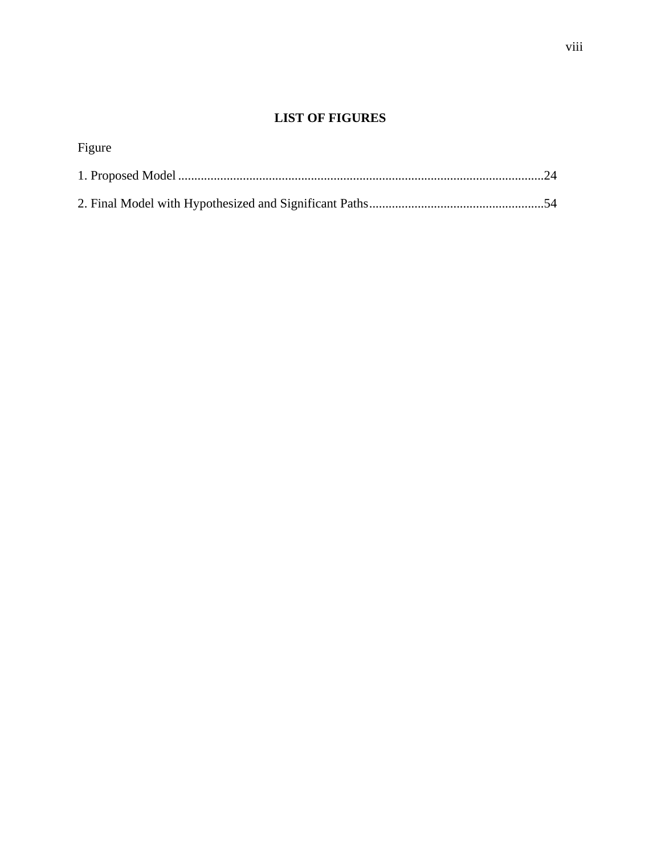# **LIST OF FIGURES**

<span id="page-9-0"></span>

| Figure |  |
|--------|--|
|        |  |
|        |  |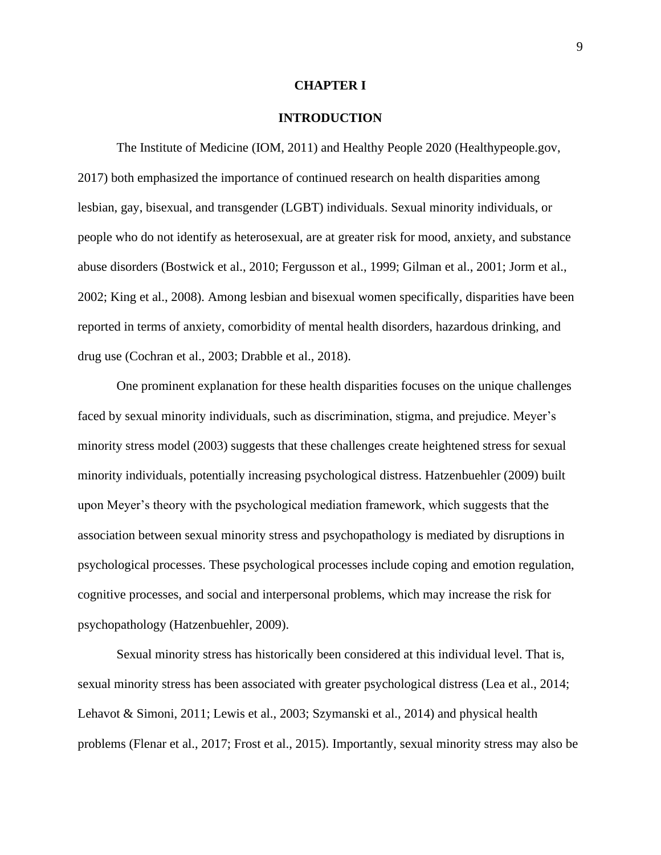#### **CHAPTER I**

#### **INTRODUCTION**

<span id="page-10-0"></span>The Institute of Medicine (IOM, 2011) and Healthy People 2020 (Healthypeople.gov, 2017) both emphasized the importance of continued research on health disparities among lesbian, gay, bisexual, and transgender (LGBT) individuals. Sexual minority individuals, or people who do not identify as heterosexual, are at greater risk for mood, anxiety, and substance abuse disorders (Bostwick et al., 2010; Fergusson et al., 1999; Gilman et al., 2001; Jorm et al., 2002; King et al., 2008). Among lesbian and bisexual women specifically, disparities have been reported in terms of anxiety, comorbidity of mental health disorders, hazardous drinking, and drug use (Cochran et al., 2003; Drabble et al., 2018).

One prominent explanation for these health disparities focuses on the unique challenges faced by sexual minority individuals, such as discrimination, stigma, and prejudice. Meyer's minority stress model (2003) suggests that these challenges create heightened stress for sexual minority individuals, potentially increasing psychological distress. Hatzenbuehler (2009) built upon Meyer's theory with the psychological mediation framework, which suggests that the association between sexual minority stress and psychopathology is mediated by disruptions in psychological processes. These psychological processes include coping and emotion regulation, cognitive processes, and social and interpersonal problems, which may increase the risk for psychopathology (Hatzenbuehler, 2009).

Sexual minority stress has historically been considered at this individual level. That is, sexual minority stress has been associated with greater psychological distress (Lea et al., 2014; Lehavot & Simoni, 2011; Lewis et al., 2003; Szymanski et al., 2014) and physical health problems (Flenar et al., 2017; Frost et al., 2015). Importantly, sexual minority stress may also be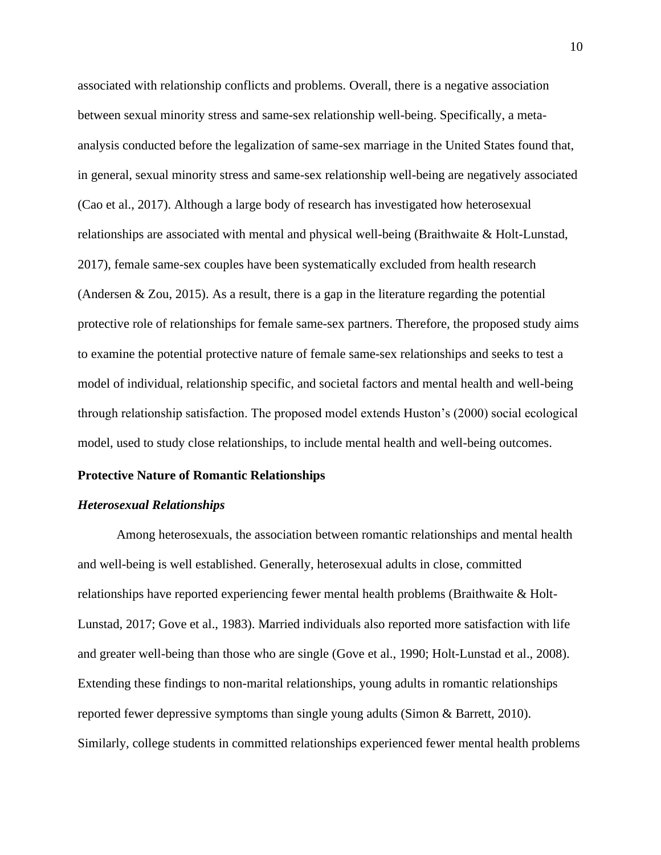associated with relationship conflicts and problems. Overall, there is a negative association between sexual minority stress and same-sex relationship well-being. Specifically, a metaanalysis conducted before the legalization of same-sex marriage in the United States found that, in general, sexual minority stress and same-sex relationship well-being are negatively associated (Cao et al., 2017). Although a large body of research has investigated how heterosexual relationships are associated with mental and physical well-being (Braithwaite & Holt-Lunstad, 2017), female same-sex couples have been systematically excluded from health research (Andersen & Zou, 2015). As a result, there is a gap in the literature regarding the potential protective role of relationships for female same-sex partners. Therefore, the proposed study aims to examine the potential protective nature of female same-sex relationships and seeks to test a model of individual, relationship specific, and societal factors and mental health and well-being through relationship satisfaction. The proposed model extends Huston's (2000) social ecological model, used to study close relationships, to include mental health and well-being outcomes.

# <span id="page-11-0"></span>**Protective Nature of Romantic Relationships**

## *Heterosexual Relationships*

Among heterosexuals, the association between romantic relationships and mental health and well-being is well established. Generally, heterosexual adults in close, committed relationships have reported experiencing fewer mental health problems (Braithwaite & Holt-Lunstad, 2017; Gove et al., 1983). Married individuals also reported more satisfaction with life and greater well-being than those who are single (Gove et al., 1990; Holt-Lunstad et al., 2008). Extending these findings to non-marital relationships, young adults in romantic relationships reported fewer depressive symptoms than single young adults (Simon & Barrett, 2010). Similarly, college students in committed relationships experienced fewer mental health problems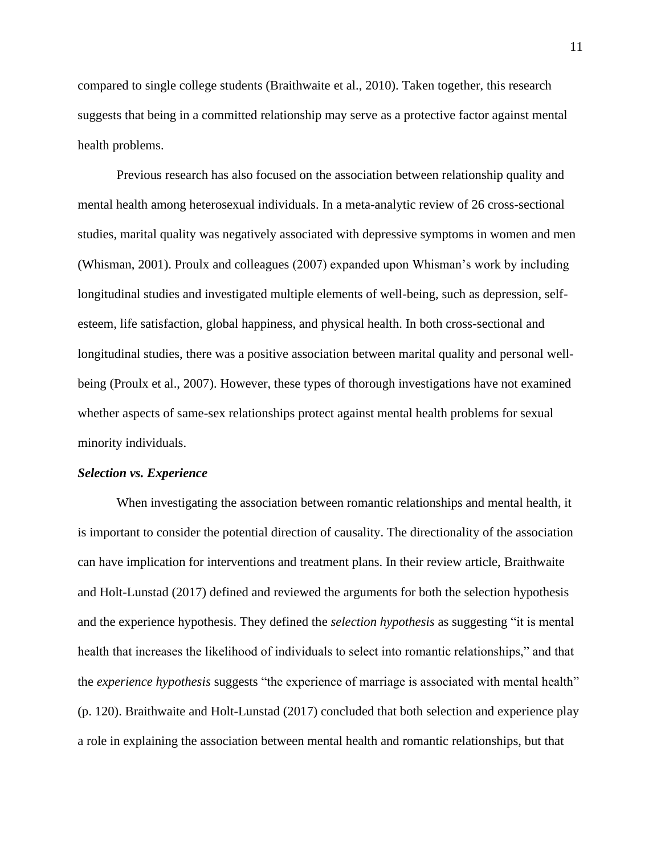compared to single college students (Braithwaite et al., 2010). Taken together, this research suggests that being in a committed relationship may serve as a protective factor against mental health problems.

Previous research has also focused on the association between relationship quality and mental health among heterosexual individuals. In a meta-analytic review of 26 cross-sectional studies, marital quality was negatively associated with depressive symptoms in women and men (Whisman, 2001). Proulx and colleagues (2007) expanded upon Whisman's work by including longitudinal studies and investigated multiple elements of well-being, such as depression, selfesteem, life satisfaction, global happiness, and physical health. In both cross-sectional and longitudinal studies, there was a positive association between marital quality and personal wellbeing (Proulx et al., 2007). However, these types of thorough investigations have not examined whether aspects of same-sex relationships protect against mental health problems for sexual minority individuals.

#### *Selection vs. Experience*

When investigating the association between romantic relationships and mental health, it is important to consider the potential direction of causality. The directionality of the association can have implication for interventions and treatment plans. In their review article, Braithwaite and Holt-Lunstad (2017) defined and reviewed the arguments for both the selection hypothesis and the experience hypothesis. They defined the *selection hypothesis* as suggesting "it is mental health that increases the likelihood of individuals to select into romantic relationships," and that the *experience hypothesis* suggests "the experience of marriage is associated with mental health" (p. 120). Braithwaite and Holt-Lunstad (2017) concluded that both selection and experience play a role in explaining the association between mental health and romantic relationships, but that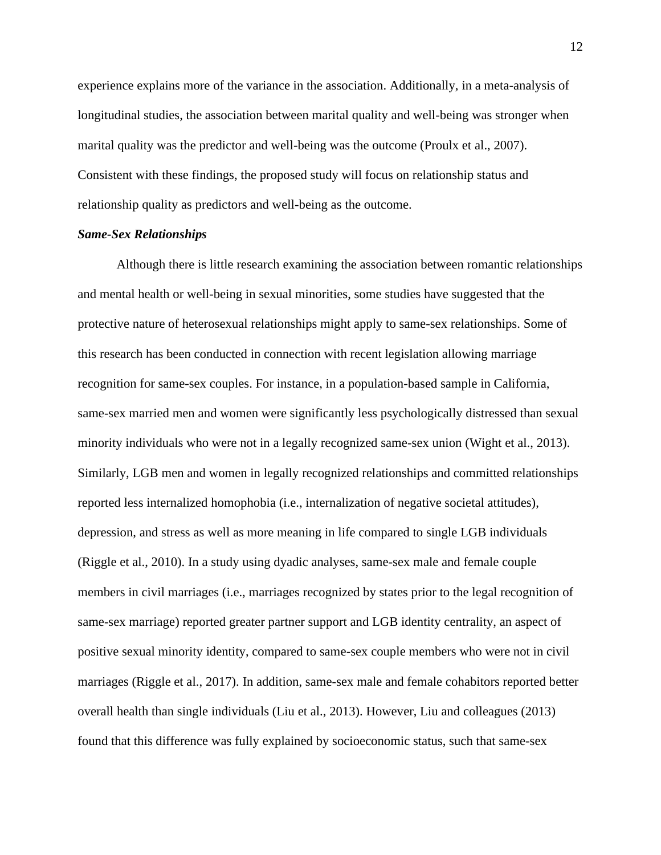experience explains more of the variance in the association. Additionally, in a meta-analysis of longitudinal studies, the association between marital quality and well-being was stronger when marital quality was the predictor and well-being was the outcome (Proulx et al., 2007). Consistent with these findings, the proposed study will focus on relationship status and relationship quality as predictors and well-being as the outcome.

#### *Same-Sex Relationships*

Although there is little research examining the association between romantic relationships and mental health or well-being in sexual minorities, some studies have suggested that the protective nature of heterosexual relationships might apply to same-sex relationships. Some of this research has been conducted in connection with recent legislation allowing marriage recognition for same-sex couples. For instance, in a population-based sample in California, same-sex married men and women were significantly less psychologically distressed than sexual minority individuals who were not in a legally recognized same-sex union (Wight et al., 2013). Similarly, LGB men and women in legally recognized relationships and committed relationships reported less internalized homophobia (i.e., internalization of negative societal attitudes), depression, and stress as well as more meaning in life compared to single LGB individuals (Riggle et al., 2010). In a study using dyadic analyses, same-sex male and female couple members in civil marriages (i.e., marriages recognized by states prior to the legal recognition of same-sex marriage) reported greater partner support and LGB identity centrality, an aspect of positive sexual minority identity, compared to same-sex couple members who were not in civil marriages (Riggle et al., 2017). In addition, same-sex male and female cohabitors reported better overall health than single individuals (Liu et al., 2013). However, Liu and colleagues (2013) found that this difference was fully explained by socioeconomic status, such that same-sex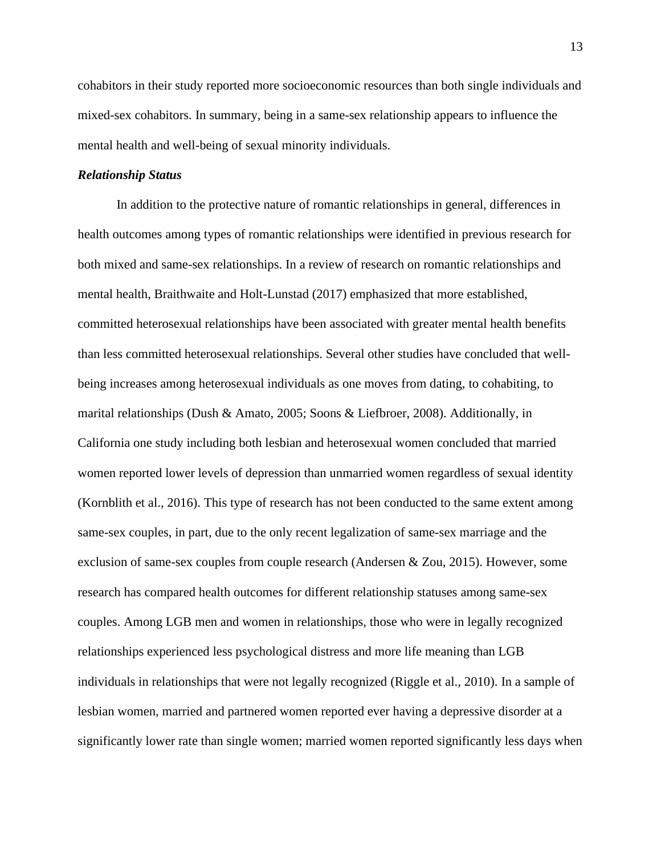cohabitors in their study reported more socioeconomic resources than both single individuals and mixed-sex cohabitors. In summary, being in a same-sex relationship appears to influence the mental health and well-being of sexual minority individuals.

## *Relationship Status*

In addition to the protective nature of romantic relationships in general, differences in health outcomes among types of romantic relationships were identified in previous research for both mixed and same-sex relationships. In a review of research on romantic relationships and mental health, Braithwaite and Holt-Lunstad (2017) emphasized that more established, committed heterosexual relationships have been associated with greater mental health benefits than less committed heterosexual relationships. Several other studies have concluded that wellbeing increases among heterosexual individuals as one moves from dating, to cohabiting, to marital relationships (Dush & Amato, 2005; Soons & Liefbroer, 2008). Additionally, in California one study including both lesbian and heterosexual women concluded that married women reported lower levels of depression than unmarried women regardless of sexual identity (Kornblith et al., 2016). This type of research has not been conducted to the same extent among same-sex couples, in part, due to the only recent legalization of same-sex marriage and the exclusion of same-sex couples from couple research (Andersen & Zou, 2015). However, some research has compared health outcomes for different relationship statuses among same-sex couples. Among LGB men and women in relationships, those who were in legally recognized relationships experienced less psychological distress and more life meaning than LGB individuals in relationships that were not legally recognized (Riggle et al., 2010). In a sample of lesbian women, married and partnered women reported ever having a depressive disorder at a significantly lower rate than single women; married women reported significantly less days when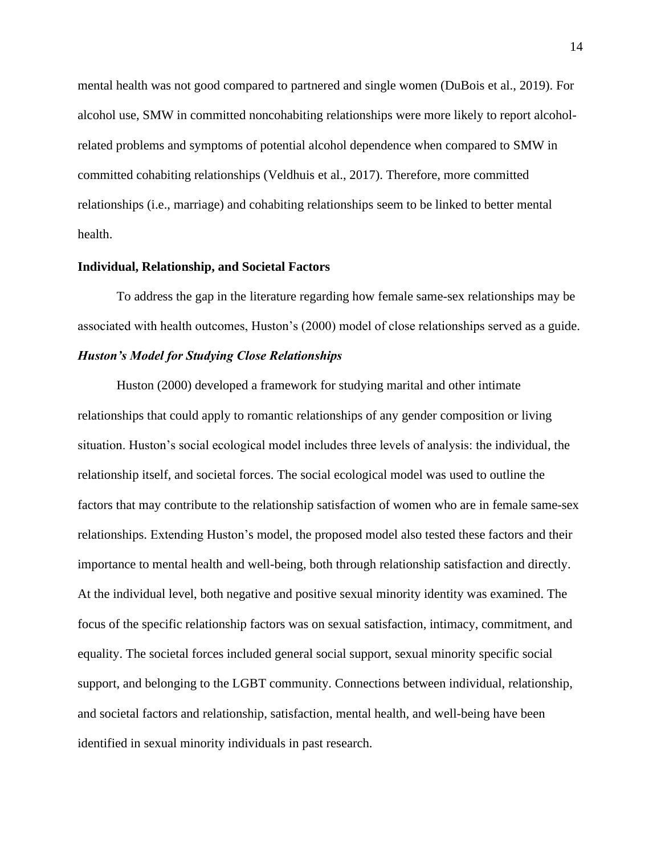mental health was not good compared to partnered and single women (DuBois et al., 2019). For alcohol use, SMW in committed noncohabiting relationships were more likely to report alcoholrelated problems and symptoms of potential alcohol dependence when compared to SMW in committed cohabiting relationships (Veldhuis et al., 2017). Therefore, more committed relationships (i.e., marriage) and cohabiting relationships seem to be linked to better mental health.

#### <span id="page-15-0"></span>**Individual, Relationship, and Societal Factors**

To address the gap in the literature regarding how female same-sex relationships may be associated with health outcomes, Huston's (2000) model of close relationships served as a guide. *Huston's Model for Studying Close Relationships*

Huston (2000) developed a framework for studying marital and other intimate relationships that could apply to romantic relationships of any gender composition or living situation. Huston's social ecological model includes three levels of analysis: the individual, the relationship itself, and societal forces. The social ecological model was used to outline the factors that may contribute to the relationship satisfaction of women who are in female same-sex relationships. Extending Huston's model, the proposed model also tested these factors and their importance to mental health and well-being, both through relationship satisfaction and directly. At the individual level, both negative and positive sexual minority identity was examined. The focus of the specific relationship factors was on sexual satisfaction, intimacy, commitment, and equality. The societal forces included general social support, sexual minority specific social support, and belonging to the LGBT community. Connections between individual, relationship, and societal factors and relationship, satisfaction, mental health, and well-being have been identified in sexual minority individuals in past research.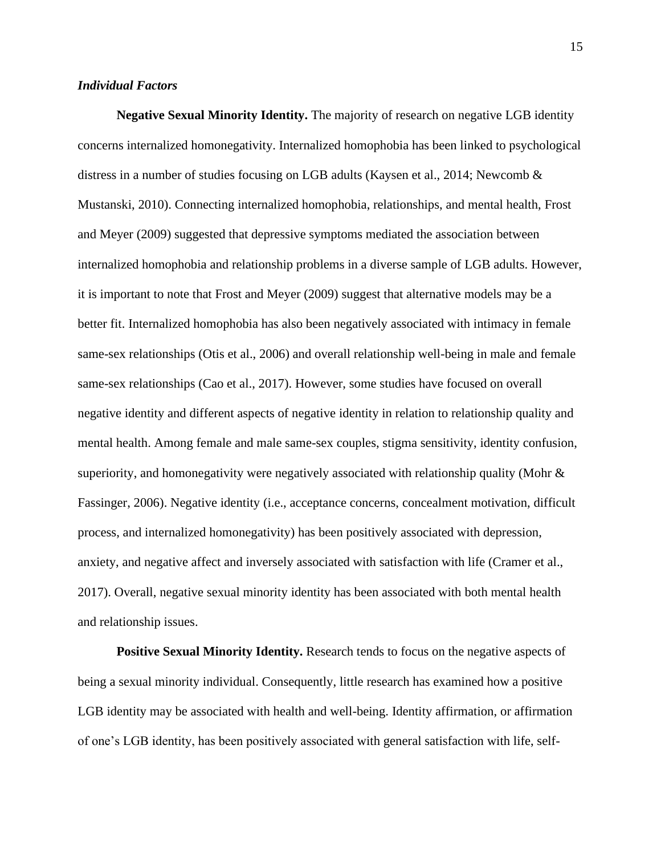# *Individual Factors*

**Negative Sexual Minority Identity.** The majority of research on negative LGB identity concerns internalized homonegativity. Internalized homophobia has been linked to psychological distress in a number of studies focusing on LGB adults (Kaysen et al., 2014; Newcomb & Mustanski, 2010). Connecting internalized homophobia, relationships, and mental health, Frost and Meyer (2009) suggested that depressive symptoms mediated the association between internalized homophobia and relationship problems in a diverse sample of LGB adults. However, it is important to note that Frost and Meyer (2009) suggest that alternative models may be a better fit. Internalized homophobia has also been negatively associated with intimacy in female same-sex relationships (Otis et al., 2006) and overall relationship well-being in male and female same-sex relationships (Cao et al., 2017). However, some studies have focused on overall negative identity and different aspects of negative identity in relation to relationship quality and mental health. Among female and male same-sex couples, stigma sensitivity, identity confusion, superiority, and homonegativity were negatively associated with relationship quality (Mohr & Fassinger, 2006). Negative identity (i.e., acceptance concerns, concealment motivation, difficult process, and internalized homonegativity) has been positively associated with depression, anxiety, and negative affect and inversely associated with satisfaction with life (Cramer et al., 2017). Overall, negative sexual minority identity has been associated with both mental health and relationship issues.

**Positive Sexual Minority Identity.** Research tends to focus on the negative aspects of being a sexual minority individual. Consequently, little research has examined how a positive LGB identity may be associated with health and well-being. Identity affirmation, or affirmation of one's LGB identity, has been positively associated with general satisfaction with life, self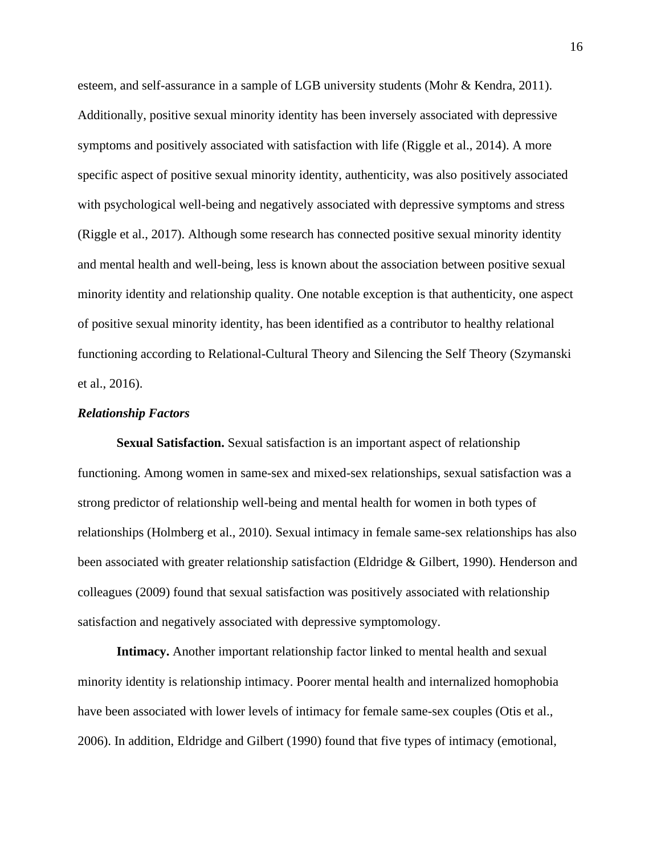esteem, and self-assurance in a sample of LGB university students (Mohr & Kendra, 2011). Additionally, positive sexual minority identity has been inversely associated with depressive symptoms and positively associated with satisfaction with life (Riggle et al., 2014). A more specific aspect of positive sexual minority identity, authenticity, was also positively associated with psychological well-being and negatively associated with depressive symptoms and stress (Riggle et al., 2017). Although some research has connected positive sexual minority identity and mental health and well-being, less is known about the association between positive sexual minority identity and relationship quality. One notable exception is that authenticity, one aspect of positive sexual minority identity, has been identified as a contributor to healthy relational functioning according to Relational-Cultural Theory and Silencing the Self Theory (Szymanski et al., 2016).

#### *Relationship Factors*

**Sexual Satisfaction.** Sexual satisfaction is an important aspect of relationship functioning. Among women in same-sex and mixed-sex relationships, sexual satisfaction was a strong predictor of relationship well-being and mental health for women in both types of relationships (Holmberg et al., 2010). Sexual intimacy in female same-sex relationships has also been associated with greater relationship satisfaction (Eldridge & Gilbert, 1990). Henderson and colleagues (2009) found that sexual satisfaction was positively associated with relationship satisfaction and negatively associated with depressive symptomology.

**Intimacy.** Another important relationship factor linked to mental health and sexual minority identity is relationship intimacy. Poorer mental health and internalized homophobia have been associated with lower levels of intimacy for female same-sex couples (Otis et al., 2006). In addition, Eldridge and Gilbert (1990) found that five types of intimacy (emotional,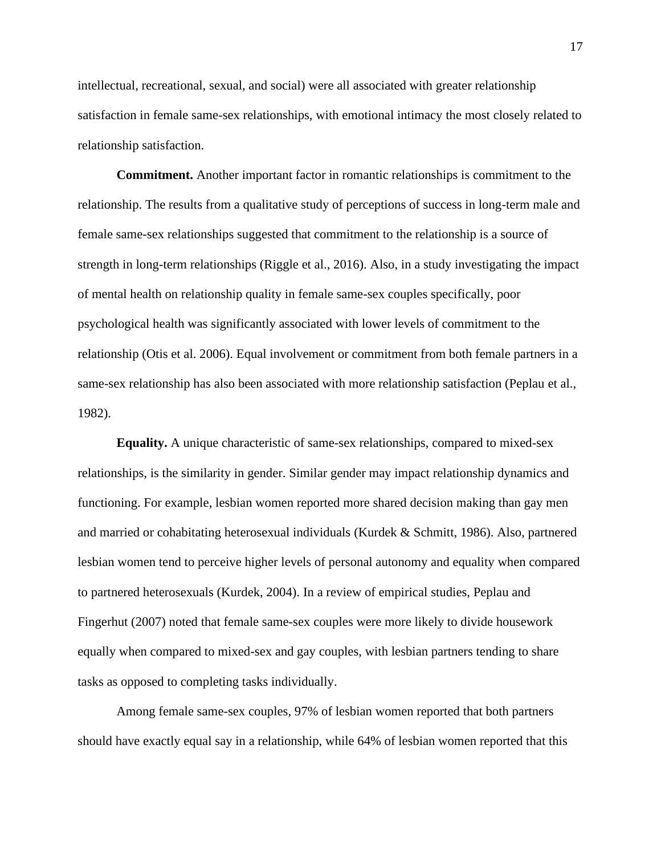intellectual, recreational, sexual, and social) were all associated with greater relationship satisfaction in female same-sex relationships, with emotional intimacy the most closely related to relationship satisfaction.

**Commitment.** Another important factor in romantic relationships is commitment to the relationship. The results from a qualitative study of perceptions of success in long-term male and female same-sex relationships suggested that commitment to the relationship is a source of strength in long-term relationships (Riggle et al., 2016). Also, in a study investigating the impact of mental health on relationship quality in female same-sex couples specifically, poor psychological health was significantly associated with lower levels of commitment to the relationship (Otis et al. 2006). Equal involvement or commitment from both female partners in a same-sex relationship has also been associated with more relationship satisfaction (Peplau et al., 1982).

**Equality.** A unique characteristic of same-sex relationships, compared to mixed-sex relationships, is the similarity in gender. Similar gender may impact relationship dynamics and functioning. For example, lesbian women reported more shared decision making than gay men and married or cohabitating heterosexual individuals (Kurdek & Schmitt, 1986). Also, partnered lesbian women tend to perceive higher levels of personal autonomy and equality when compared to partnered heterosexuals (Kurdek, 2004). In a review of empirical studies, Peplau and Fingerhut (2007) noted that female same-sex couples were more likely to divide housework equally when compared to mixed-sex and gay couples, with lesbian partners tending to share tasks as opposed to completing tasks individually.

Among female same-sex couples, 97% of lesbian women reported that both partners should have exactly equal say in a relationship, while 64% of lesbian women reported that this

17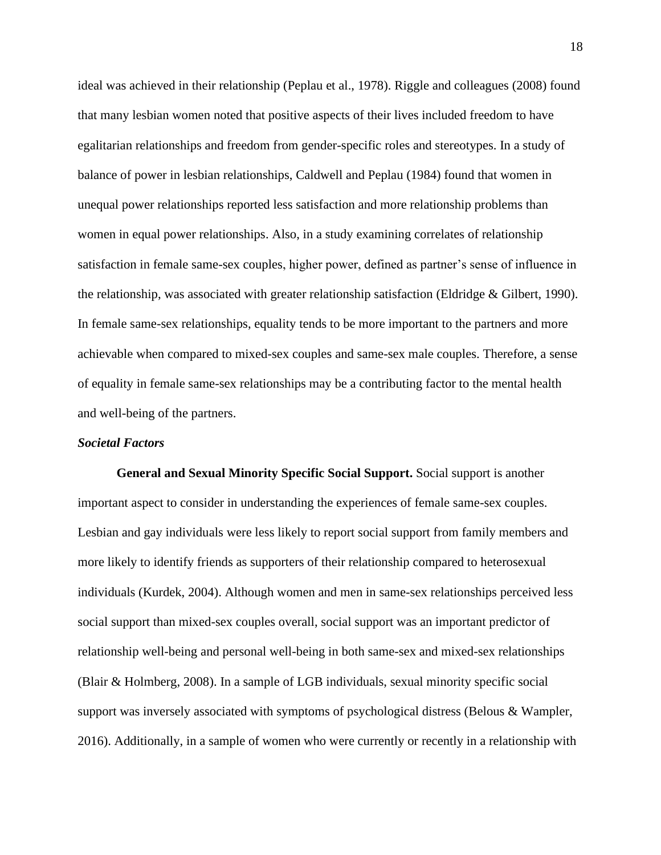ideal was achieved in their relationship (Peplau et al., 1978). Riggle and colleagues (2008) found that many lesbian women noted that positive aspects of their lives included freedom to have egalitarian relationships and freedom from gender-specific roles and stereotypes. In a study of balance of power in lesbian relationships, Caldwell and Peplau (1984) found that women in unequal power relationships reported less satisfaction and more relationship problems than women in equal power relationships. Also, in a study examining correlates of relationship satisfaction in female same-sex couples, higher power, defined as partner's sense of influence in the relationship, was associated with greater relationship satisfaction (Eldridge & Gilbert, 1990). In female same-sex relationships, equality tends to be more important to the partners and more achievable when compared to mixed-sex couples and same-sex male couples. Therefore, a sense of equality in female same-sex relationships may be a contributing factor to the mental health and well-being of the partners.

## *Societal Factors*

**General and Sexual Minority Specific Social Support.** Social support is another important aspect to consider in understanding the experiences of female same-sex couples. Lesbian and gay individuals were less likely to report social support from family members and more likely to identify friends as supporters of their relationship compared to heterosexual individuals (Kurdek, 2004). Although women and men in same-sex relationships perceived less social support than mixed-sex couples overall, social support was an important predictor of relationship well-being and personal well-being in both same-sex and mixed-sex relationships (Blair & Holmberg, 2008). In a sample of LGB individuals, sexual minority specific social support was inversely associated with symptoms of psychological distress (Belous & Wampler, 2016). Additionally, in a sample of women who were currently or recently in a relationship with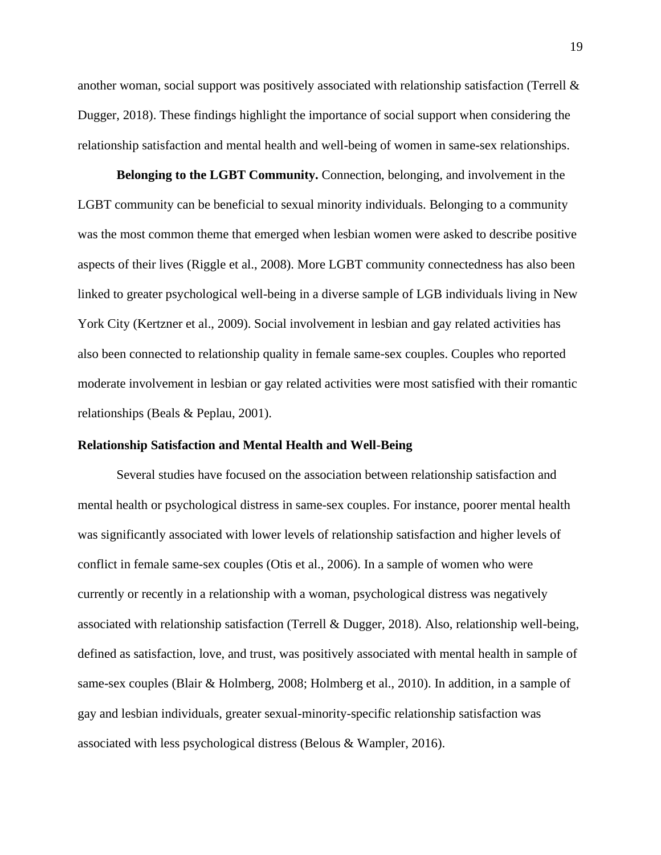another woman, social support was positively associated with relationship satisfaction (Terrell  $\&$ Dugger, 2018). These findings highlight the importance of social support when considering the relationship satisfaction and mental health and well-being of women in same-sex relationships.

**Belonging to the LGBT Community.** Connection, belonging, and involvement in the LGBT community can be beneficial to sexual minority individuals. Belonging to a community was the most common theme that emerged when lesbian women were asked to describe positive aspects of their lives (Riggle et al., 2008). More LGBT community connectedness has also been linked to greater psychological well-being in a diverse sample of LGB individuals living in New York City (Kertzner et al., 2009). Social involvement in lesbian and gay related activities has also been connected to relationship quality in female same-sex couples. Couples who reported moderate involvement in lesbian or gay related activities were most satisfied with their romantic relationships (Beals & Peplau, 2001).

#### <span id="page-20-0"></span>**Relationship Satisfaction and Mental Health and Well-Being**

Several studies have focused on the association between relationship satisfaction and mental health or psychological distress in same-sex couples. For instance, poorer mental health was significantly associated with lower levels of relationship satisfaction and higher levels of conflict in female same-sex couples (Otis et al., 2006). In a sample of women who were currently or recently in a relationship with a woman, psychological distress was negatively associated with relationship satisfaction (Terrell & Dugger, 2018). Also, relationship well-being, defined as satisfaction, love, and trust, was positively associated with mental health in sample of same-sex couples (Blair & Holmberg, 2008; Holmberg et al., 2010). In addition, in a sample of gay and lesbian individuals, greater sexual-minority-specific relationship satisfaction was associated with less psychological distress (Belous & Wampler, 2016).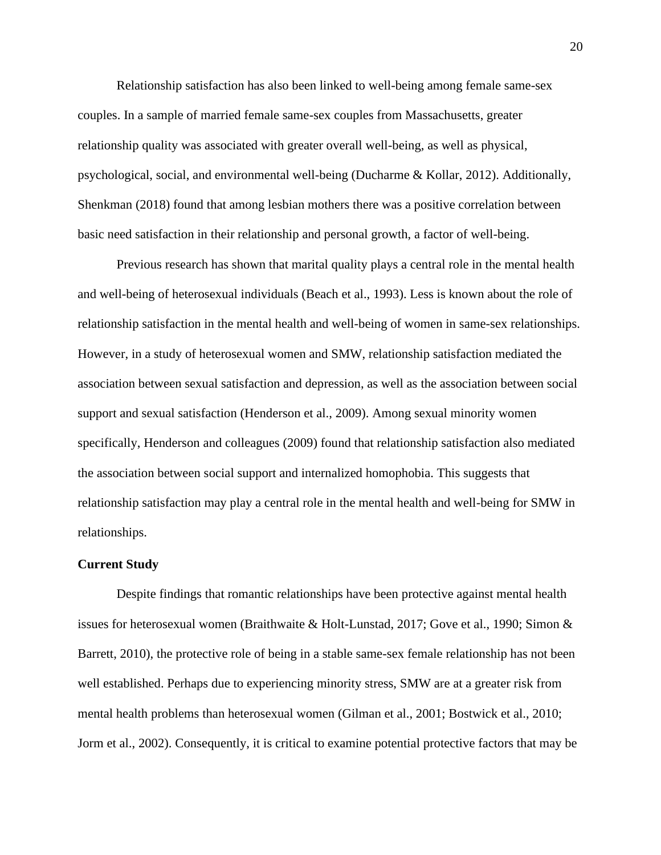Relationship satisfaction has also been linked to well-being among female same-sex couples. In a sample of married female same-sex couples from Massachusetts, greater relationship quality was associated with greater overall well-being, as well as physical, psychological, social, and environmental well-being (Ducharme & Kollar, 2012). Additionally, Shenkman (2018) found that among lesbian mothers there was a positive correlation between basic need satisfaction in their relationship and personal growth, a factor of well-being.

Previous research has shown that marital quality plays a central role in the mental health and well-being of heterosexual individuals (Beach et al., 1993). Less is known about the role of relationship satisfaction in the mental health and well-being of women in same-sex relationships. However, in a study of heterosexual women and SMW, relationship satisfaction mediated the association between sexual satisfaction and depression, as well as the association between social support and sexual satisfaction (Henderson et al., 2009). Among sexual minority women specifically, Henderson and colleagues (2009) found that relationship satisfaction also mediated the association between social support and internalized homophobia. This suggests that relationship satisfaction may play a central role in the mental health and well-being for SMW in relationships.

#### <span id="page-21-0"></span>**Current Study**

Despite findings that romantic relationships have been protective against mental health issues for heterosexual women (Braithwaite & Holt-Lunstad, 2017; Gove et al., 1990; Simon & Barrett, 2010), the protective role of being in a stable same-sex female relationship has not been well established. Perhaps due to experiencing minority stress, SMW are at a greater risk from mental health problems than heterosexual women (Gilman et al., 2001; Bostwick et al., 2010; Jorm et al., 2002). Consequently, it is critical to examine potential protective factors that may be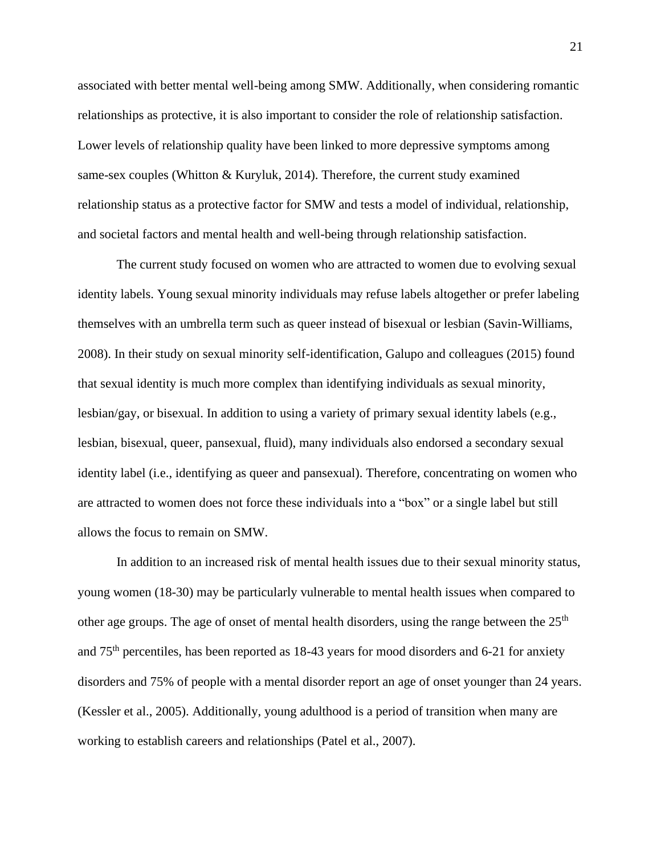associated with better mental well-being among SMW. Additionally, when considering romantic relationships as protective, it is also important to consider the role of relationship satisfaction. Lower levels of relationship quality have been linked to more depressive symptoms among same-sex couples (Whitton & Kuryluk, 2014). Therefore, the current study examined relationship status as a protective factor for SMW and tests a model of individual, relationship, and societal factors and mental health and well-being through relationship satisfaction.

The current study focused on women who are attracted to women due to evolving sexual identity labels. Young sexual minority individuals may refuse labels altogether or prefer labeling themselves with an umbrella term such as queer instead of bisexual or lesbian (Savin-Williams, 2008). In their study on sexual minority self-identification, Galupo and colleagues (2015) found that sexual identity is much more complex than identifying individuals as sexual minority, lesbian/gay, or bisexual. In addition to using a variety of primary sexual identity labels (e.g., lesbian, bisexual, queer, pansexual, fluid), many individuals also endorsed a secondary sexual identity label (i.e., identifying as queer and pansexual). Therefore, concentrating on women who are attracted to women does not force these individuals into a "box" or a single label but still allows the focus to remain on SMW.

In addition to an increased risk of mental health issues due to their sexual minority status, young women (18-30) may be particularly vulnerable to mental health issues when compared to other age groups. The age of onset of mental health disorders, using the range between the  $25<sup>th</sup>$ and 75th percentiles, has been reported as 18-43 years for mood disorders and 6-21 for anxiety disorders and 75% of people with a mental disorder report an age of onset younger than 24 years. (Kessler et al., 2005). Additionally, young adulthood is a period of transition when many are working to establish careers and relationships (Patel et al., 2007).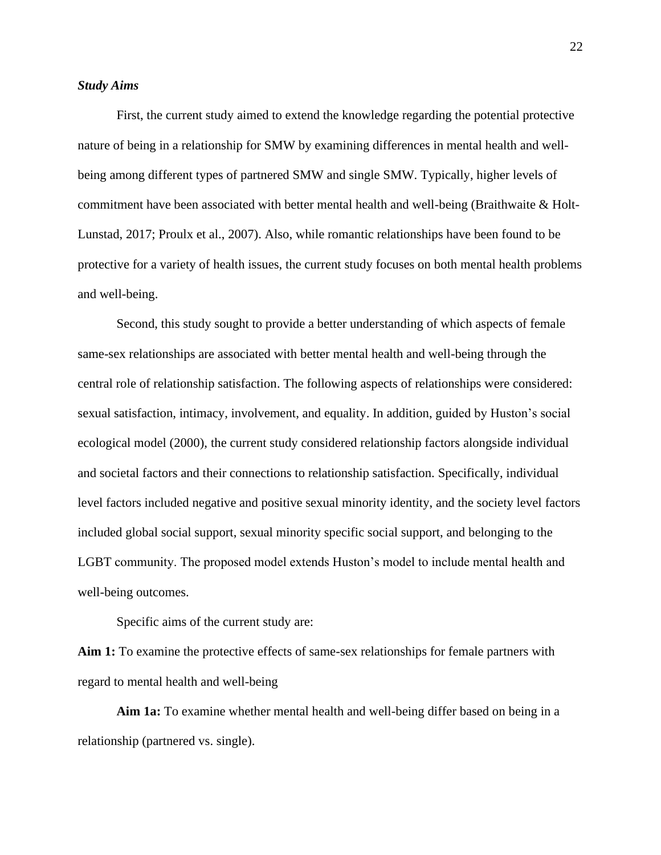## *Study Aims*

First, the current study aimed to extend the knowledge regarding the potential protective nature of being in a relationship for SMW by examining differences in mental health and wellbeing among different types of partnered SMW and single SMW. Typically, higher levels of commitment have been associated with better mental health and well-being (Braithwaite & Holt-Lunstad, 2017; Proulx et al., 2007). Also, while romantic relationships have been found to be protective for a variety of health issues, the current study focuses on both mental health problems and well-being.

Second, this study sought to provide a better understanding of which aspects of female same-sex relationships are associated with better mental health and well-being through the central role of relationship satisfaction. The following aspects of relationships were considered: sexual satisfaction, intimacy, involvement, and equality. In addition, guided by Huston's social ecological model (2000), the current study considered relationship factors alongside individual and societal factors and their connections to relationship satisfaction. Specifically, individual level factors included negative and positive sexual minority identity, and the society level factors included global social support, sexual minority specific social support, and belonging to the LGBT community. The proposed model extends Huston's model to include mental health and well-being outcomes.

Specific aims of the current study are:

**Aim 1:** To examine the protective effects of same-sex relationships for female partners with regard to mental health and well-being

**Aim 1a:** To examine whether mental health and well-being differ based on being in a relationship (partnered vs. single).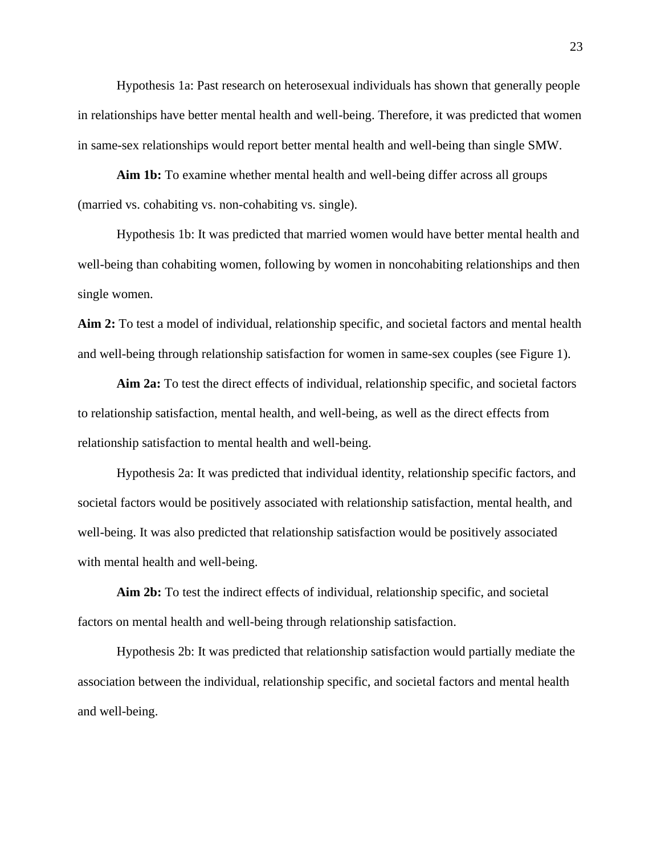Hypothesis 1a: Past research on heterosexual individuals has shown that generally people in relationships have better mental health and well-being. Therefore, it was predicted that women in same-sex relationships would report better mental health and well-being than single SMW.

**Aim 1b:** To examine whether mental health and well-being differ across all groups (married vs. cohabiting vs. non-cohabiting vs. single).

Hypothesis 1b: It was predicted that married women would have better mental health and well-being than cohabiting women, following by women in noncohabiting relationships and then single women.

**Aim 2:** To test a model of individual, relationship specific, and societal factors and mental health and well-being through relationship satisfaction for women in same-sex couples (see Figure 1).

**Aim 2a:** To test the direct effects of individual, relationship specific, and societal factors to relationship satisfaction, mental health, and well-being, as well as the direct effects from relationship satisfaction to mental health and well-being.

Hypothesis 2a: It was predicted that individual identity, relationship specific factors, and societal factors would be positively associated with relationship satisfaction, mental health, and well-being. It was also predicted that relationship satisfaction would be positively associated with mental health and well-being.

**Aim 2b:** To test the indirect effects of individual, relationship specific, and societal factors on mental health and well-being through relationship satisfaction.

Hypothesis 2b: It was predicted that relationship satisfaction would partially mediate the association between the individual, relationship specific, and societal factors and mental health and well-being.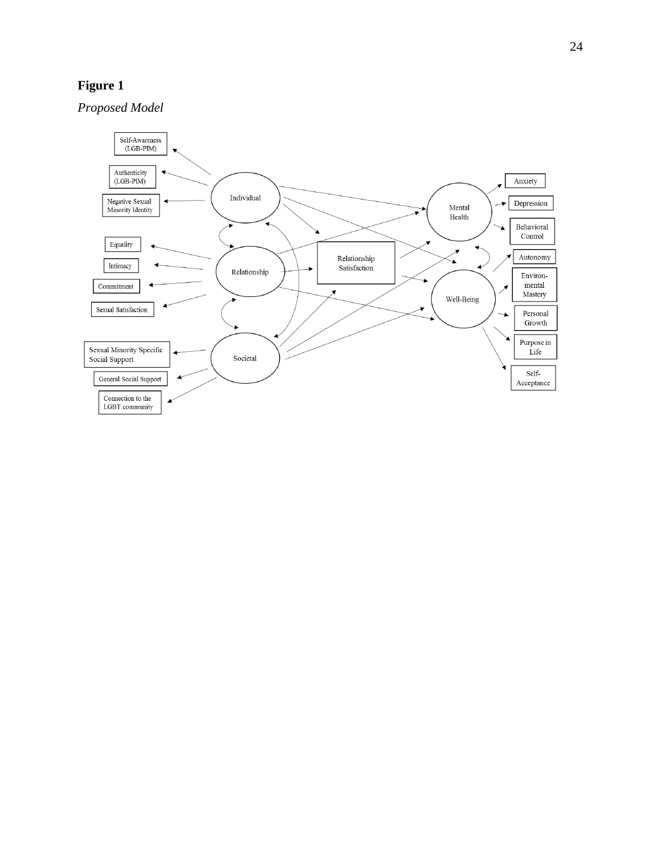# **Figure 1**

*Proposed Model*

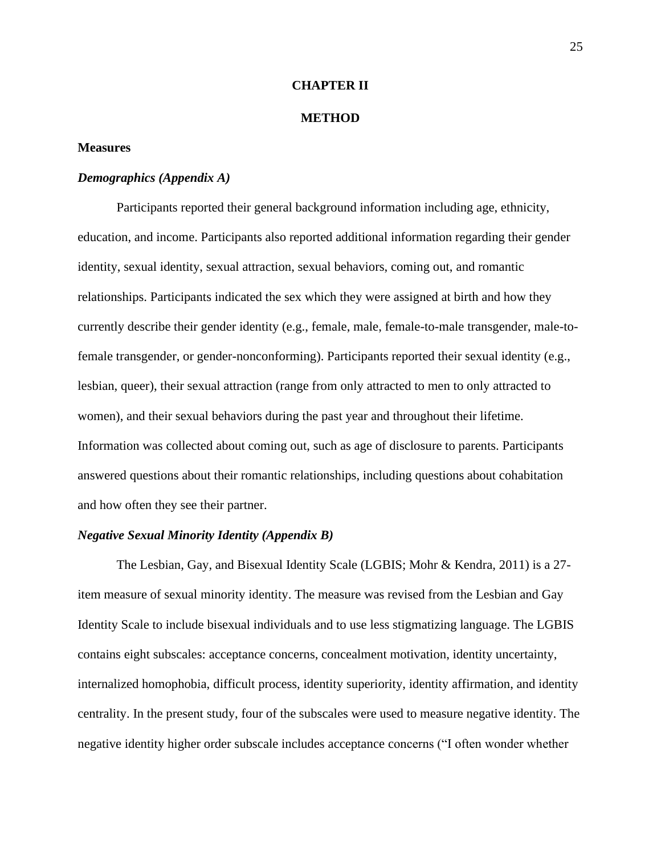#### **CHAPTER II**

#### **METHOD**

## <span id="page-26-1"></span><span id="page-26-0"></span>**Measures**

# *Demographics (Appendix A)*

Participants reported their general background information including age, ethnicity, education, and income. Participants also reported additional information regarding their gender identity, sexual identity, sexual attraction, sexual behaviors, coming out, and romantic relationships. Participants indicated the sex which they were assigned at birth and how they currently describe their gender identity (e.g., female, male, female-to-male transgender, male-tofemale transgender, or gender-nonconforming). Participants reported their sexual identity (e.g., lesbian, queer), their sexual attraction (range from only attracted to men to only attracted to women), and their sexual behaviors during the past year and throughout their lifetime. Information was collected about coming out, such as age of disclosure to parents. Participants answered questions about their romantic relationships, including questions about cohabitation and how often they see their partner.

## *Negative Sexual Minority Identity (Appendix B)*

The Lesbian, Gay, and Bisexual Identity Scale (LGBIS; Mohr & Kendra, 2011) is a 27 item measure of sexual minority identity. The measure was revised from the Lesbian and Gay Identity Scale to include bisexual individuals and to use less stigmatizing language. The LGBIS contains eight subscales: acceptance concerns, concealment motivation, identity uncertainty, internalized homophobia, difficult process, identity superiority, identity affirmation, and identity centrality. In the present study, four of the subscales were used to measure negative identity. The negative identity higher order subscale includes acceptance concerns ("I often wonder whether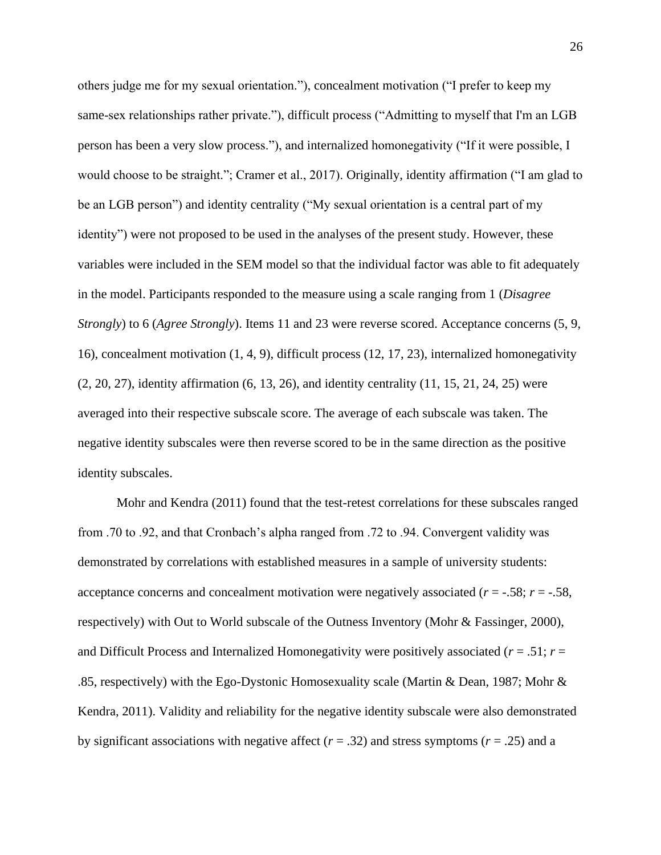others judge me for my sexual orientation."), concealment motivation ("I prefer to keep my same-sex relationships rather private."), difficult process ("Admitting to myself that I'm an LGB person has been a very slow process."), and internalized homonegativity ("If it were possible, I would choose to be straight."; Cramer et al., 2017). Originally, identity affirmation ("I am glad to be an LGB person") and identity centrality ("My sexual orientation is a central part of my identity") were not proposed to be used in the analyses of the present study. However, these variables were included in the SEM model so that the individual factor was able to fit adequately in the model. Participants responded to the measure using a scale ranging from 1 (*Disagree Strongly*) to 6 (*Agree Strongly*). Items 11 and 23 were reverse scored. Acceptance concerns (5, 9, 16), concealment motivation (1, 4, 9), difficult process (12, 17, 23), internalized homonegativity (2, 20, 27), identity affirmation (6, 13, 26), and identity centrality (11, 15, 21, 24, 25) were averaged into their respective subscale score. The average of each subscale was taken. The negative identity subscales were then reverse scored to be in the same direction as the positive identity subscales.

Mohr and Kendra (2011) found that the test-retest correlations for these subscales ranged from .70 to .92, and that Cronbach's alpha ranged from .72 to .94. Convergent validity was demonstrated by correlations with established measures in a sample of university students: acceptance concerns and concealment motivation were negatively associated  $(r = -.58; r = -.58, r = .58)$ respectively) with Out to World subscale of the Outness Inventory (Mohr & Fassinger, 2000), and Difficult Process and Internalized Homonegativity were positively associated (*r* = .51; *r* = .85, respectively) with the Ego-Dystonic Homosexuality scale (Martin & Dean, 1987; Mohr & Kendra, 2011). Validity and reliability for the negative identity subscale were also demonstrated by significant associations with negative affect  $(r = .32)$  and stress symptoms  $(r = .25)$  and a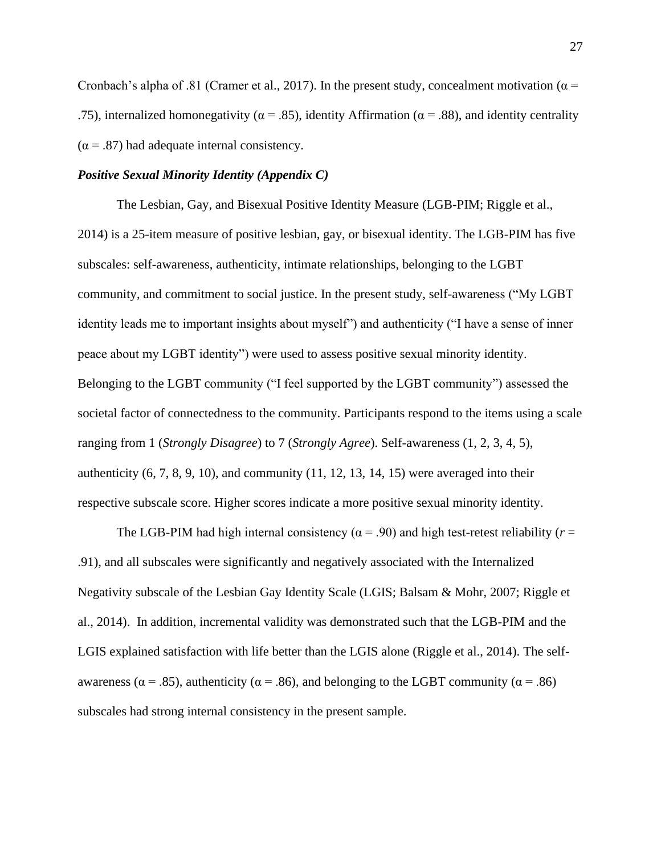Cronbach's alpha of .81 (Cramer et al., 2017). In the present study, concealment motivation ( $\alpha$  = .75), internalized homonegativity ( $\alpha$  = .85), identity Affirmation ( $\alpha$  = .88), and identity centrality  $(\alpha = .87)$  had adequate internal consistency.

## *Positive Sexual Minority Identity (Appendix C)*

The Lesbian, Gay, and Bisexual Positive Identity Measure (LGB-PIM; Riggle et al., 2014) is a 25-item measure of positive lesbian, gay, or bisexual identity. The LGB-PIM has five subscales: self-awareness, authenticity, intimate relationships, belonging to the LGBT community, and commitment to social justice. In the present study, self-awareness ("My LGBT identity leads me to important insights about myself") and authenticity ("I have a sense of inner peace about my LGBT identity") were used to assess positive sexual minority identity. Belonging to the LGBT community ("I feel supported by the LGBT community") assessed the societal factor of connectedness to the community. Participants respond to the items using a scale ranging from 1 (*Strongly Disagree*) to 7 (*Strongly Agree*). Self-awareness (1, 2, 3, 4, 5), authenticity  $(6, 7, 8, 9, 10)$ , and community  $(11, 12, 13, 14, 15)$  were averaged into their respective subscale score. Higher scores indicate a more positive sexual minority identity.

The LGB-PIM had high internal consistency ( $\alpha$  = .90) and high test-retest reliability ( $r$  = .91), and all subscales were significantly and negatively associated with the Internalized Negativity subscale of the Lesbian Gay Identity Scale (LGIS; Balsam & Mohr, 2007; Riggle et al., 2014). In addition, incremental validity was demonstrated such that the LGB-PIM and the LGIS explained satisfaction with life better than the LGIS alone (Riggle et al., 2014). The selfawareness ( $\alpha$  = .85), authenticity ( $\alpha$  = .86), and belonging to the LGBT community ( $\alpha$  = .86) subscales had strong internal consistency in the present sample.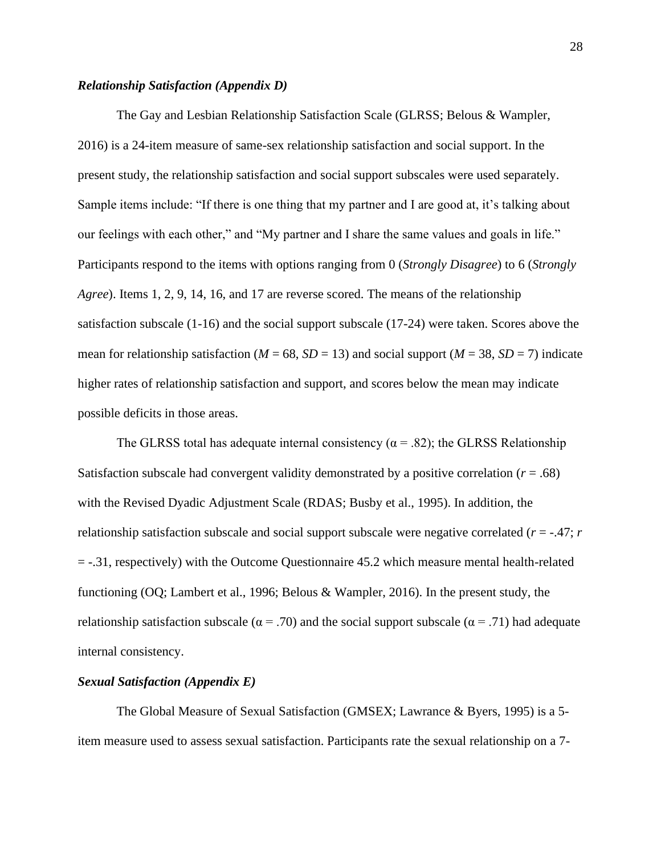#### *Relationship Satisfaction (Appendix D)*

The Gay and Lesbian Relationship Satisfaction Scale (GLRSS; Belous & Wampler, 2016) is a 24-item measure of same-sex relationship satisfaction and social support. In the present study, the relationship satisfaction and social support subscales were used separately. Sample items include: "If there is one thing that my partner and I are good at, it's talking about our feelings with each other," and "My partner and I share the same values and goals in life." Participants respond to the items with options ranging from 0 (*Strongly Disagree*) to 6 (*Strongly Agree*). Items 1, 2, 9, 14, 16, and 17 are reverse scored. The means of the relationship satisfaction subscale (1-16) and the social support subscale (17-24) were taken. Scores above the mean for relationship satisfaction ( $M = 68$ ,  $SD = 13$ ) and social support ( $M = 38$ ,  $SD = 7$ ) indicate higher rates of relationship satisfaction and support, and scores below the mean may indicate possible deficits in those areas.

The GLRSS total has adequate internal consistency ( $\alpha$  = .82); the GLRSS Relationship Satisfaction subscale had convergent validity demonstrated by a positive correlation  $(r = .68)$ with the Revised Dyadic Adjustment Scale (RDAS; Busby et al., 1995). In addition, the relationship satisfaction subscale and social support subscale were negative correlated  $(r = -0.47; r)$ = -.31, respectively) with the Outcome Questionnaire 45.2 which measure mental health-related functioning (OQ; Lambert et al., 1996; Belous & Wampler, 2016). In the present study, the relationship satisfaction subscale ( $\alpha$  = .70) and the social support subscale ( $\alpha$  = .71) had adequate internal consistency.

#### *Sexual Satisfaction (Appendix E)*

The Global Measure of Sexual Satisfaction (GMSEX; Lawrance & Byers, 1995) is a 5 item measure used to assess sexual satisfaction. Participants rate the sexual relationship on a 7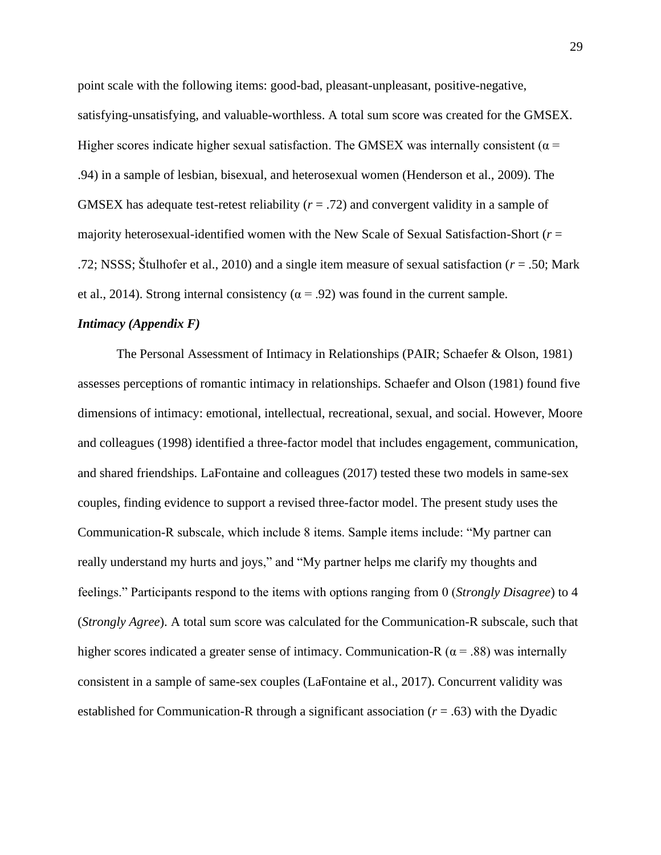point scale with the following items: good-bad, pleasant-unpleasant, positive-negative, satisfying-unsatisfying, and valuable-worthless. A total sum score was created for the GMSEX. Higher scores indicate higher sexual satisfaction. The GMSEX was internally consistent ( $\alpha$  = .94) in a sample of lesbian, bisexual, and heterosexual women (Henderson et al., 2009). The GMSEX has adequate test-retest reliability (*r* = .72) and convergent validity in a sample of majority heterosexual-identified women with the New Scale of Sexual Satisfaction-Short (*r* = .72; NSSS; Štulhofer et al., 2010) and a single item measure of sexual satisfaction (*r* = .50; Mark et al., 2014). Strong internal consistency ( $\alpha$  = .92) was found in the current sample.

#### *Intimacy (Appendix F)*

The Personal Assessment of Intimacy in Relationships (PAIR; Schaefer & Olson, 1981) assesses perceptions of romantic intimacy in relationships. Schaefer and Olson (1981) found five dimensions of intimacy: emotional, intellectual, recreational, sexual, and social. However, Moore and colleagues (1998) identified a three-factor model that includes engagement, communication, and shared friendships. LaFontaine and colleagues (2017) tested these two models in same-sex couples, finding evidence to support a revised three-factor model. The present study uses the Communication-R subscale, which include 8 items. Sample items include: "My partner can really understand my hurts and joys," and "My partner helps me clarify my thoughts and feelings." Participants respond to the items with options ranging from 0 (*Strongly Disagree*) to 4 (*Strongly Agree*). A total sum score was calculated for the Communication-R subscale, such that higher scores indicated a greater sense of intimacy. Communication-R ( $\alpha$  = .88) was internally consistent in a sample of same-sex couples (LaFontaine et al., 2017). Concurrent validity was established for Communication-R through a significant association (*r* = .63) with the Dyadic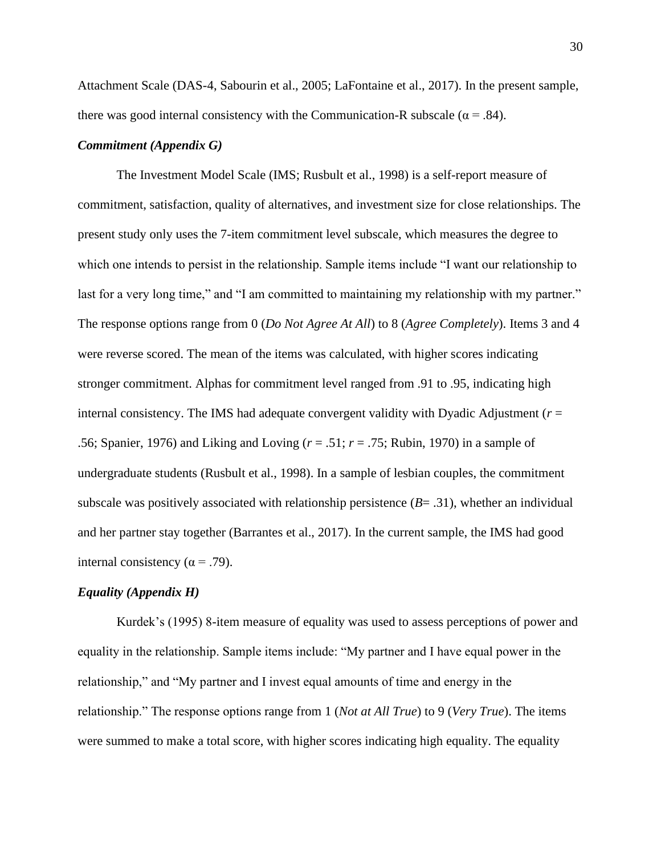Attachment Scale (DAS-4, Sabourin et al., 2005; LaFontaine et al., 2017). In the present sample, there was good internal consistency with the Communication-R subscale ( $\alpha$  = .84).

### *Commitment (Appendix G)*

The Investment Model Scale (IMS; Rusbult et al., 1998) is a self-report measure of commitment, satisfaction, quality of alternatives, and investment size for close relationships. The present study only uses the 7-item commitment level subscale, which measures the degree to which one intends to persist in the relationship. Sample items include "I want our relationship to last for a very long time," and "I am committed to maintaining my relationship with my partner." The response options range from 0 (*Do Not Agree At All*) to 8 (*Agree Completely*). Items 3 and 4 were reverse scored. The mean of the items was calculated, with higher scores indicating stronger commitment. Alphas for commitment level ranged from .91 to .95, indicating high internal consistency. The IMS had adequate convergent validity with Dyadic Adjustment ( $r =$ .56; Spanier, 1976) and Liking and Loving (*r* = .51; *r* = .75; Rubin, 1970) in a sample of undergraduate students (Rusbult et al., 1998). In a sample of lesbian couples, the commitment subscale was positively associated with relationship persistence (*B*= .31), whether an individual and her partner stay together (Barrantes et al., 2017). In the current sample, the IMS had good internal consistency ( $\alpha$  = .79).

## *Equality (Appendix H)*

Kurdek's (1995) 8-item measure of equality was used to assess perceptions of power and equality in the relationship. Sample items include: "My partner and I have equal power in the relationship," and "My partner and I invest equal amounts of time and energy in the relationship." The response options range from 1 (*Not at All True*) to 9 (*Very True*). The items were summed to make a total score, with higher scores indicating high equality. The equality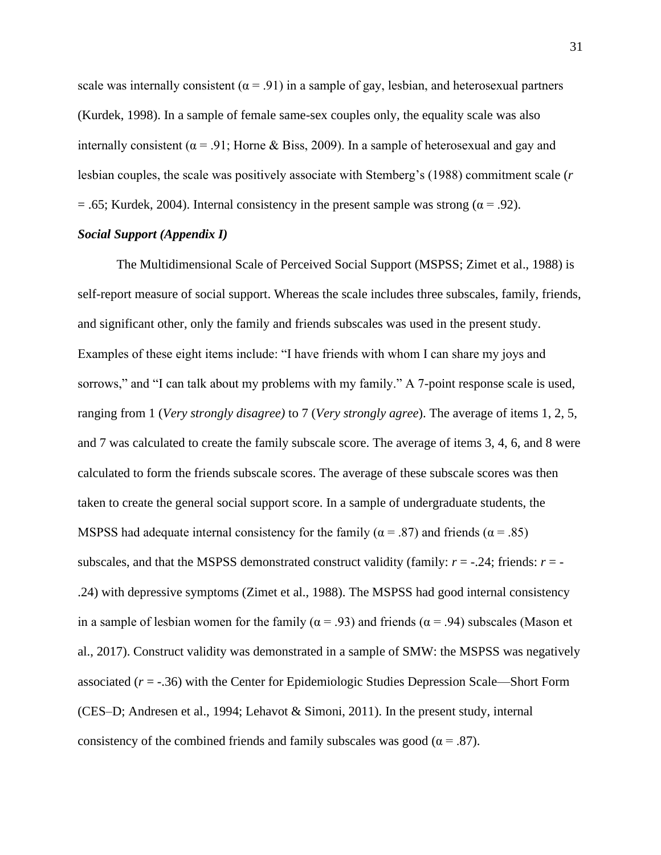scale was internally consistent ( $\alpha$  = .91) in a sample of gay, lesbian, and heterosexual partners (Kurdek, 1998). In a sample of female same-sex couples only, the equality scale was also internally consistent ( $\alpha$  = .91; Horne & Biss, 2009). In a sample of heterosexual and gay and lesbian couples, the scale was positively associate with Stemberg's (1988) commitment scale (*r* = .65; Kurdek, 2004). Internal consistency in the present sample was strong ( $\alpha$  = .92).

# *Social Support (Appendix I)*

The Multidimensional Scale of Perceived Social Support (MSPSS; Zimet et al., 1988) is self-report measure of social support. Whereas the scale includes three subscales, family, friends, and significant other, only the family and friends subscales was used in the present study. Examples of these eight items include: "I have friends with whom I can share my joys and sorrows," and "I can talk about my problems with my family." A 7-point response scale is used, ranging from 1 (*Very strongly disagree)* to 7 (*Very strongly agree*). The average of items 1, 2, 5, and 7 was calculated to create the family subscale score. The average of items 3, 4, 6, and 8 were calculated to form the friends subscale scores. The average of these subscale scores was then taken to create the general social support score. In a sample of undergraduate students, the MSPSS had adequate internal consistency for the family ( $\alpha$  = .87) and friends ( $\alpha$  = .85) subscales, and that the MSPSS demonstrated construct validity (family:  $r = -0.24$ ; friends:  $r = -0.24$ .24) with depressive symptoms (Zimet et al., 1988). The MSPSS had good internal consistency in a sample of lesbian women for the family ( $\alpha = .93$ ) and friends ( $\alpha = .94$ ) subscales (Mason et al., 2017). Construct validity was demonstrated in a sample of SMW: the MSPSS was negatively associated (*r* = -.36) with the Center for Epidemiologic Studies Depression Scale—Short Form (CES–D; Andresen et al., 1994; Lehavot & Simoni, 2011). In the present study, internal consistency of the combined friends and family subscales was good ( $\alpha = .87$ ).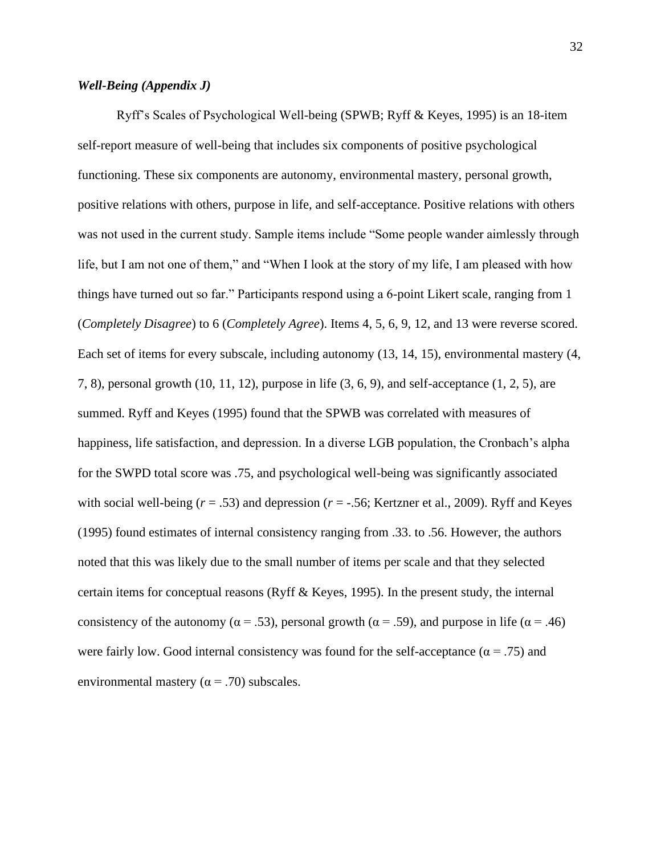# *Well-Being (Appendix J)*

Ryff's Scales of Psychological Well-being (SPWB; Ryff & Keyes, 1995) is an 18-item self-report measure of well-being that includes six components of positive psychological functioning. These six components are autonomy, environmental mastery, personal growth, positive relations with others, purpose in life, and self-acceptance. Positive relations with others was not used in the current study. Sample items include "Some people wander aimlessly through life, but I am not one of them," and "When I look at the story of my life, I am pleased with how things have turned out so far." Participants respond using a 6-point Likert scale, ranging from 1 (*Completely Disagree*) to 6 (*Completely Agree*). Items 4, 5, 6, 9, 12, and 13 were reverse scored. Each set of items for every subscale, including autonomy (13, 14, 15), environmental mastery (4, 7, 8), personal growth (10, 11, 12), purpose in life (3, 6, 9), and self-acceptance (1, 2, 5), are summed. Ryff and Keyes (1995) found that the SPWB was correlated with measures of happiness, life satisfaction, and depression. In a diverse LGB population, the Cronbach's alpha for the SWPD total score was .75, and psychological well-being was significantly associated with social well-being ( $r = .53$ ) and depression ( $r = -.56$ ; Kertzner et al., 2009). Ryff and Keyes (1995) found estimates of internal consistency ranging from .33. to .56. However, the authors noted that this was likely due to the small number of items per scale and that they selected certain items for conceptual reasons (Ryff  $\&$  Keyes, 1995). In the present study, the internal consistency of the autonomy ( $\alpha = .53$ ), personal growth ( $\alpha = .59$ ), and purpose in life ( $\alpha = .46$ ) were fairly low. Good internal consistency was found for the self-acceptance ( $\alpha$  = .75) and environmental mastery ( $\alpha$  = .70) subscales.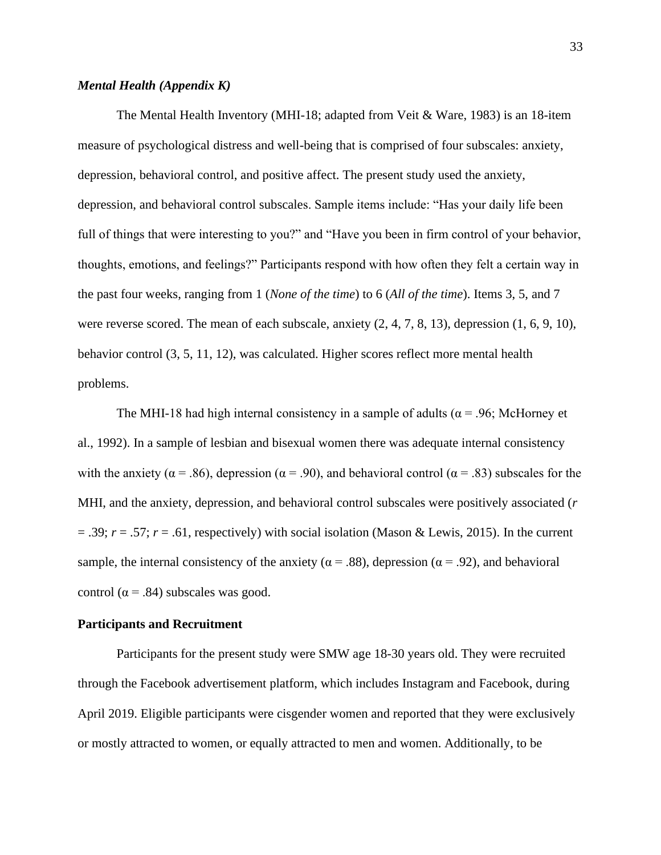# *Mental Health (Appendix K)*

The Mental Health Inventory (MHI-18; adapted from Veit & Ware, 1983) is an 18-item measure of psychological distress and well-being that is comprised of four subscales: anxiety, depression, behavioral control, and positive affect. The present study used the anxiety, depression, and behavioral control subscales. Sample items include: "Has your daily life been full of things that were interesting to you?" and "Have you been in firm control of your behavior, thoughts, emotions, and feelings?" Participants respond with how often they felt a certain way in the past four weeks, ranging from 1 (*None of the time*) to 6 (*All of the time*). Items 3, 5, and 7 were reverse scored. The mean of each subscale, anxiety (2, 4, 7, 8, 13), depression (1, 6, 9, 10), behavior control (3, 5, 11, 12), was calculated. Higher scores reflect more mental health problems.

The MHI-18 had high internal consistency in a sample of adults ( $\alpha$  = .96; McHorney et al., 1992). In a sample of lesbian and bisexual women there was adequate internal consistency with the anxiety ( $\alpha = .86$ ), depression ( $\alpha = .90$ ), and behavioral control ( $\alpha = .83$ ) subscales for the MHI, and the anxiety, depression, and behavioral control subscales were positively associated (*r*  $= .39$ ;  $r = .57$ ;  $r = .61$ , respectively) with social isolation (Mason & Lewis, 2015). In the current sample, the internal consistency of the anxiety ( $\alpha$  = .88), depression ( $\alpha$  = .92), and behavioral control ( $\alpha$  = .84) subscales was good.

#### <span id="page-34-0"></span>**Participants and Recruitment**

Participants for the present study were SMW age 18-30 years old. They were recruited through the Facebook advertisement platform, which includes Instagram and Facebook, during April 2019. Eligible participants were cisgender women and reported that they were exclusively or mostly attracted to women, or equally attracted to men and women. Additionally, to be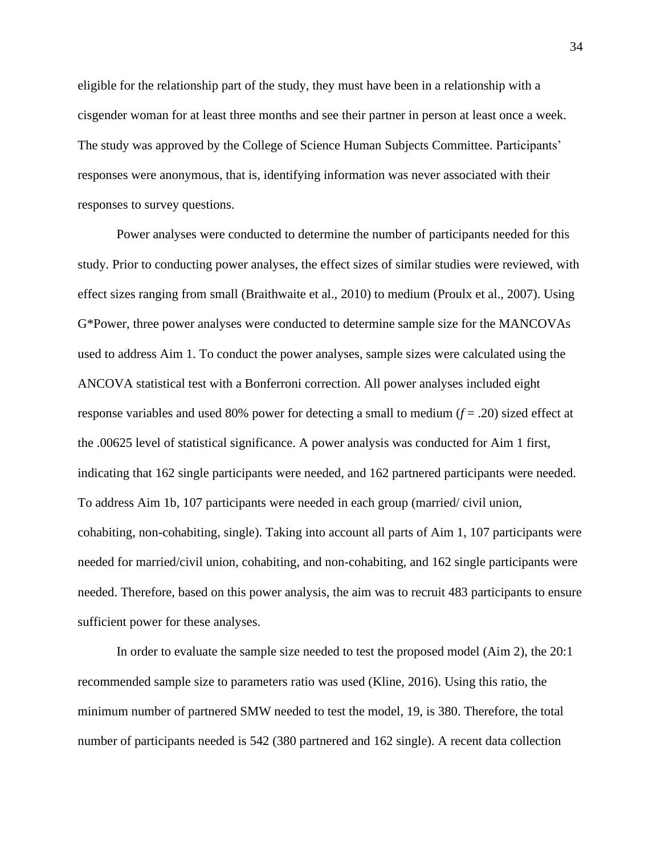eligible for the relationship part of the study, they must have been in a relationship with a cisgender woman for at least three months and see their partner in person at least once a week. The study was approved by the College of Science Human Subjects Committee. Participants' responses were anonymous, that is, identifying information was never associated with their responses to survey questions.

Power analyses were conducted to determine the number of participants needed for this study. Prior to conducting power analyses, the effect sizes of similar studies were reviewed, with effect sizes ranging from small (Braithwaite et al., 2010) to medium (Proulx et al., 2007). Using G\*Power, three power analyses were conducted to determine sample size for the MANCOVAs used to address Aim 1. To conduct the power analyses, sample sizes were calculated using the ANCOVA statistical test with a Bonferroni correction. All power analyses included eight response variables and used 80% power for detecting a small to medium (*f* = .20) sized effect at the .00625 level of statistical significance. A power analysis was conducted for Aim 1 first, indicating that 162 single participants were needed, and 162 partnered participants were needed. To address Aim 1b, 107 participants were needed in each group (married/ civil union, cohabiting, non-cohabiting, single). Taking into account all parts of Aim 1, 107 participants were needed for married/civil union, cohabiting, and non-cohabiting, and 162 single participants were needed. Therefore, based on this power analysis, the aim was to recruit 483 participants to ensure sufficient power for these analyses.

In order to evaluate the sample size needed to test the proposed model (Aim 2), the 20:1 recommended sample size to parameters ratio was used (Kline, 2016). Using this ratio, the minimum number of partnered SMW needed to test the model, 19, is 380. Therefore, the total number of participants needed is 542 (380 partnered and 162 single). A recent data collection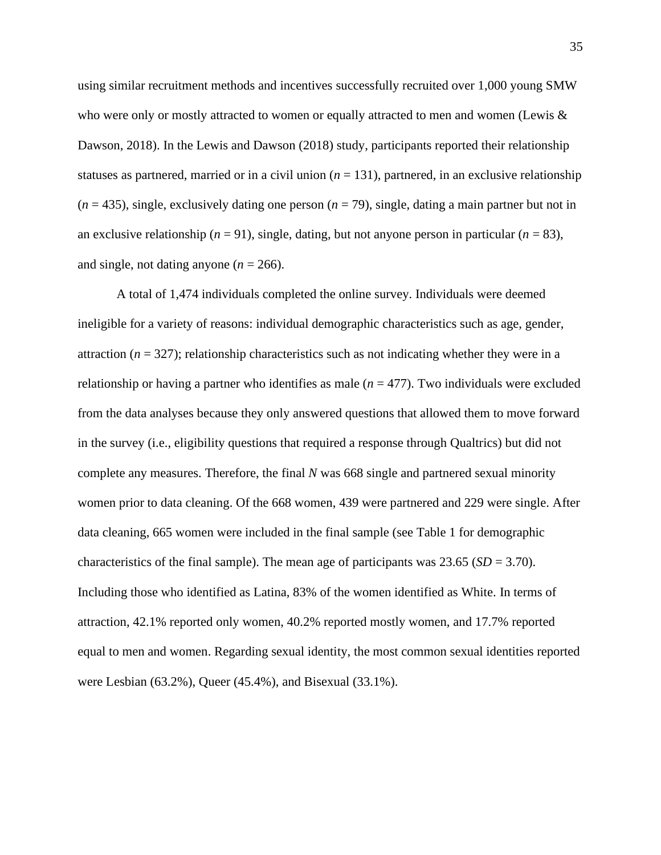using similar recruitment methods and incentives successfully recruited over 1,000 young SMW who were only or mostly attracted to women or equally attracted to men and women (Lewis  $\&$ Dawson, 2018). In the Lewis and Dawson (2018) study, participants reported their relationship statuses as partnered, married or in a civil union  $(n = 131)$ , partnered, in an exclusive relationship  $(n = 435)$ , single, exclusively dating one person  $(n = 79)$ , single, dating a main partner but not in an exclusive relationship ( $n = 91$ ), single, dating, but not anyone person in particular ( $n = 83$ ), and single, not dating anyone  $(n = 266)$ .

A total of 1,474 individuals completed the online survey. Individuals were deemed ineligible for a variety of reasons: individual demographic characteristics such as age, gender, attraction ( $n = 327$ ); relationship characteristics such as not indicating whether they were in a relationship or having a partner who identifies as male  $(n = 477)$ . Two individuals were excluded from the data analyses because they only answered questions that allowed them to move forward in the survey (i.e., eligibility questions that required a response through Qualtrics) but did not complete any measures. Therefore, the final *N* was 668 single and partnered sexual minority women prior to data cleaning. Of the 668 women, 439 were partnered and 229 were single. After data cleaning, 665 women were included in the final sample (see Table 1 for demographic characteristics of the final sample). The mean age of participants was  $23.65$  (*SD* = 3.70). Including those who identified as Latina, 83% of the women identified as White. In terms of attraction, 42.1% reported only women, 40.2% reported mostly women, and 17.7% reported equal to men and women. Regarding sexual identity, the most common sexual identities reported were Lesbian (63.2%), Queer (45.4%), and Bisexual (33.1%).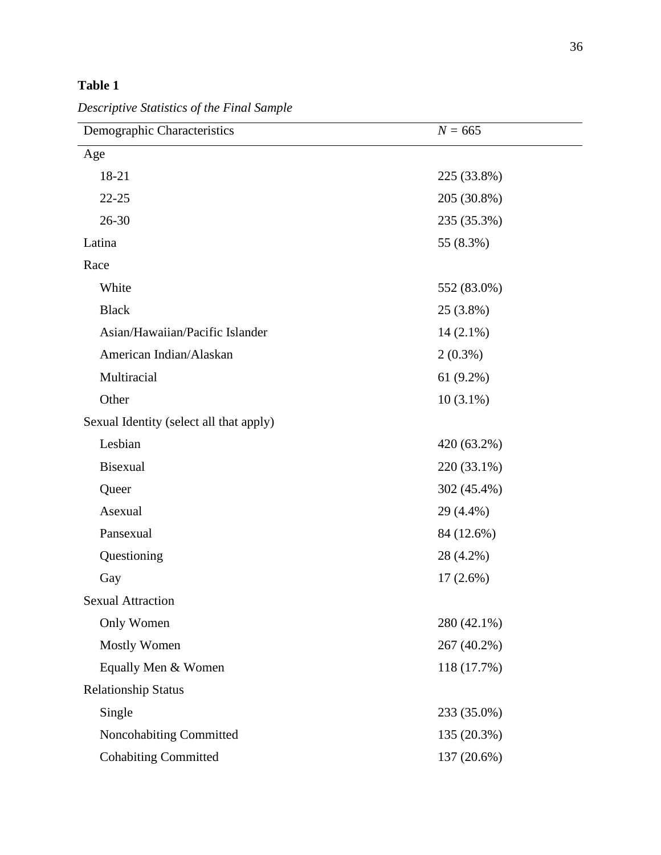# **Table 1**

*Descriptive Statistics of the Final Sample*

| Demographic Characteristics             | $N = 665$   |  |  |  |
|-----------------------------------------|-------------|--|--|--|
| Age                                     |             |  |  |  |
| 18-21                                   | 225 (33.8%) |  |  |  |
| $22 - 25$                               | 205 (30.8%) |  |  |  |
| $26 - 30$                               | 235 (35.3%) |  |  |  |
| Latina                                  | 55 (8.3%)   |  |  |  |
| Race                                    |             |  |  |  |
| White                                   | 552 (83.0%) |  |  |  |
| <b>Black</b>                            | 25 (3.8%)   |  |  |  |
| Asian/Hawaiian/Pacific Islander         | $14(2.1\%)$ |  |  |  |
| American Indian/Alaskan                 | $2(0.3\%)$  |  |  |  |
| Multiracial                             | $61(9.2\%)$ |  |  |  |
| Other                                   | $10(3.1\%)$ |  |  |  |
| Sexual Identity (select all that apply) |             |  |  |  |
| Lesbian                                 | 420 (63.2%) |  |  |  |
| <b>Bisexual</b>                         | 220 (33.1%) |  |  |  |
| Queer                                   | 302 (45.4%) |  |  |  |
| Asexual                                 | 29 (4.4%)   |  |  |  |
| Pansexual                               | 84 (12.6%)  |  |  |  |
| Questioning                             | 28 (4.2%)   |  |  |  |
| Gay                                     | $17(2.6\%)$ |  |  |  |
| <b>Sexual Attraction</b>                |             |  |  |  |
| Only Women                              | 280 (42.1%) |  |  |  |
| <b>Mostly Women</b>                     | 267 (40.2%) |  |  |  |
| Equally Men & Women                     | 118 (17.7%) |  |  |  |
| <b>Relationship Status</b>              |             |  |  |  |
| Single                                  | 233 (35.0%) |  |  |  |
| Noncohabiting Committed                 | 135 (20.3%) |  |  |  |
| <b>Cohabiting Committed</b>             | 137 (20.6%) |  |  |  |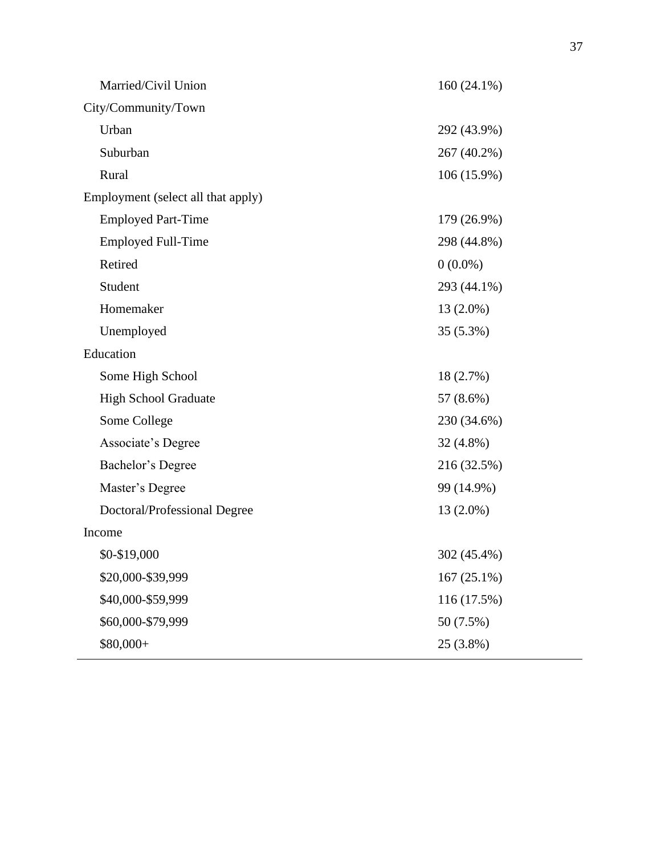| Married/Civil Union                | $160(24.1\%)$ |  |  |
|------------------------------------|---------------|--|--|
| City/Community/Town                |               |  |  |
| Urban                              | 292 (43.9%)   |  |  |
| Suburban                           | 267 (40.2%)   |  |  |
| Rural                              | 106 (15.9%)   |  |  |
| Employment (select all that apply) |               |  |  |
| <b>Employed Part-Time</b>          | 179 (26.9%)   |  |  |
| <b>Employed Full-Time</b>          | 298 (44.8%)   |  |  |
| Retired                            | $0(0.0\%)$    |  |  |
| Student                            | 293 (44.1%)   |  |  |
| Homemaker                          | $13(2.0\%)$   |  |  |
| Unemployed                         | 35 (5.3%)     |  |  |
| Education                          |               |  |  |
| Some High School                   | 18 (2.7%)     |  |  |
| <b>High School Graduate</b>        | 57 (8.6%)     |  |  |
| Some College                       | 230 (34.6%)   |  |  |
| Associate's Degree                 | 32 (4.8%)     |  |  |
| Bachelor's Degree                  | 216 (32.5%)   |  |  |
| Master's Degree                    | 99 (14.9%)    |  |  |
| Doctoral/Professional Degree       | 13 (2.0%)     |  |  |
| Income                             |               |  |  |
| \$0-\$19,000                       | 302 (45.4%)   |  |  |
| \$20,000-\$39,999                  | $167(25.1\%)$ |  |  |
| \$40,000-\$59,999                  | 116 (17.5%)   |  |  |
| \$60,000-\$79,999                  | 50 (7.5%)     |  |  |
| \$80,000+                          | 25 (3.8%)     |  |  |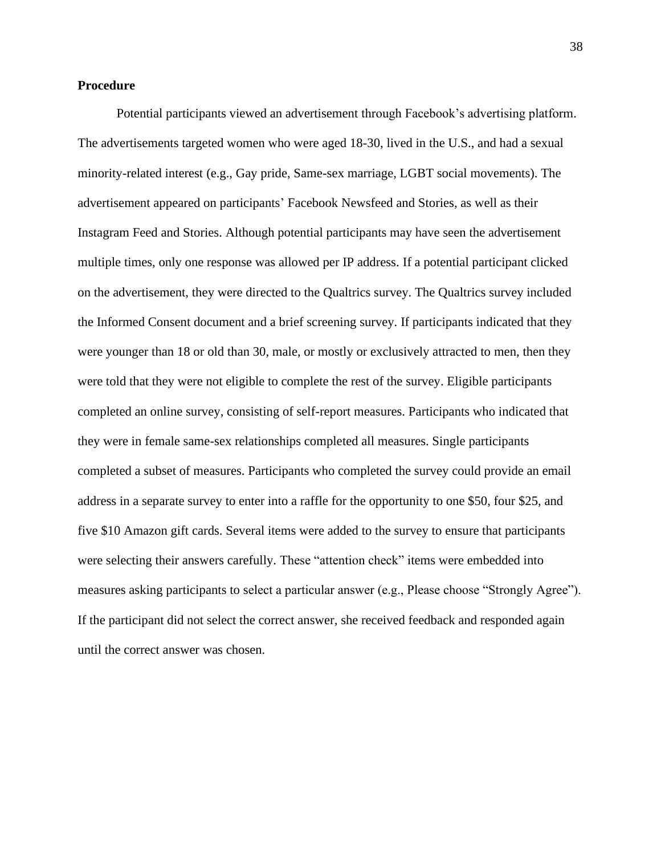## **Procedure**

Potential participants viewed an advertisement through Facebook's advertising platform. The advertisements targeted women who were aged 18-30, lived in the U.S., and had a sexual minority-related interest (e.g., Gay pride, Same-sex marriage, LGBT social movements). The advertisement appeared on participants' Facebook Newsfeed and Stories, as well as their Instagram Feed and Stories. Although potential participants may have seen the advertisement multiple times, only one response was allowed per IP address. If a potential participant clicked on the advertisement, they were directed to the Qualtrics survey. The Qualtrics survey included the Informed Consent document and a brief screening survey. If participants indicated that they were younger than 18 or old than 30, male, or mostly or exclusively attracted to men, then they were told that they were not eligible to complete the rest of the survey. Eligible participants completed an online survey, consisting of self-report measures. Participants who indicated that they were in female same-sex relationships completed all measures. Single participants completed a subset of measures. Participants who completed the survey could provide an email address in a separate survey to enter into a raffle for the opportunity to one \$50, four \$25, and five \$10 Amazon gift cards. Several items were added to the survey to ensure that participants were selecting their answers carefully. These "attention check" items were embedded into measures asking participants to select a particular answer (e.g., Please choose "Strongly Agree"). If the participant did not select the correct answer, she received feedback and responded again until the correct answer was chosen.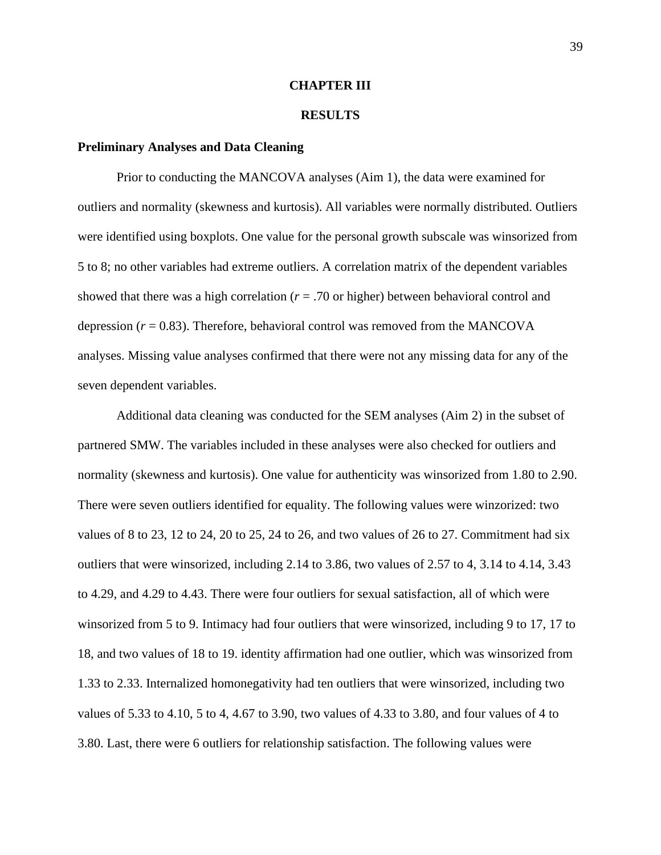### **CHAPTER III**

### **RESULTS**

#### **Preliminary Analyses and Data Cleaning**

Prior to conducting the MANCOVA analyses (Aim 1), the data were examined for outliers and normality (skewness and kurtosis). All variables were normally distributed. Outliers were identified using boxplots. One value for the personal growth subscale was winsorized from 5 to 8; no other variables had extreme outliers. A correlation matrix of the dependent variables showed that there was a high correlation  $(r = .70)$  or higher) between behavioral control and depression  $(r = 0.83)$ . Therefore, behavioral control was removed from the MANCOVA analyses. Missing value analyses confirmed that there were not any missing data for any of the seven dependent variables.

Additional data cleaning was conducted for the SEM analyses (Aim 2) in the subset of partnered SMW. The variables included in these analyses were also checked for outliers and normality (skewness and kurtosis). One value for authenticity was winsorized from 1.80 to 2.90. There were seven outliers identified for equality. The following values were winzorized: two values of 8 to 23, 12 to 24, 20 to 25, 24 to 26, and two values of 26 to 27. Commitment had six outliers that were winsorized, including 2.14 to 3.86, two values of 2.57 to 4, 3.14 to 4.14, 3.43 to 4.29, and 4.29 to 4.43. There were four outliers for sexual satisfaction, all of which were winsorized from 5 to 9. Intimacy had four outliers that were winsorized, including 9 to 17, 17 to 18, and two values of 18 to 19. identity affirmation had one outlier, which was winsorized from 1.33 to 2.33. Internalized homonegativity had ten outliers that were winsorized, including two values of 5.33 to 4.10, 5 to 4, 4.67 to 3.90, two values of 4.33 to 3.80, and four values of 4 to 3.80. Last, there were 6 outliers for relationship satisfaction. The following values were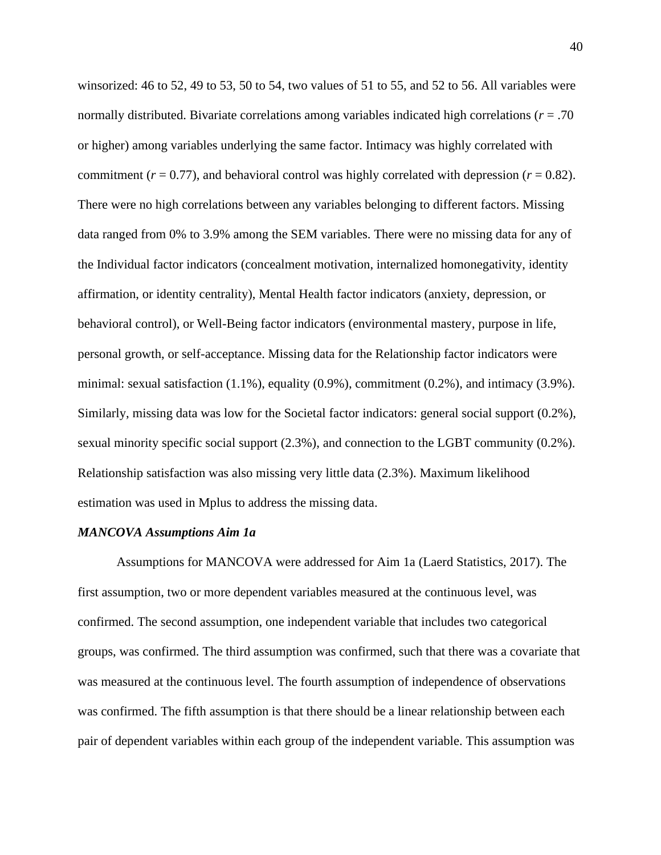winsorized: 46 to 52, 49 to 53, 50 to 54, two values of 51 to 55, and 52 to 56. All variables were normally distributed. Bivariate correlations among variables indicated high correlations (*r* = .70 or higher) among variables underlying the same factor. Intimacy was highly correlated with commitment  $(r = 0.77)$ , and behavioral control was highly correlated with depression  $(r = 0.82)$ . There were no high correlations between any variables belonging to different factors. Missing data ranged from 0% to 3.9% among the SEM variables. There were no missing data for any of the Individual factor indicators (concealment motivation, internalized homonegativity, identity affirmation, or identity centrality), Mental Health factor indicators (anxiety, depression, or behavioral control), or Well-Being factor indicators (environmental mastery, purpose in life, personal growth, or self-acceptance. Missing data for the Relationship factor indicators were minimal: sexual satisfaction (1.1%), equality (0.9%), commitment (0.2%), and intimacy (3.9%). Similarly, missing data was low for the Societal factor indicators: general social support (0.2%), sexual minority specific social support (2.3%), and connection to the LGBT community (0.2%). Relationship satisfaction was also missing very little data (2.3%). Maximum likelihood estimation was used in Mplus to address the missing data.

#### *MANCOVA Assumptions Aim 1a*

Assumptions for MANCOVA were addressed for Aim 1a (Laerd Statistics, 2017). The first assumption, two or more dependent variables measured at the continuous level, was confirmed. The second assumption, one independent variable that includes two categorical groups, was confirmed. The third assumption was confirmed, such that there was a covariate that was measured at the continuous level. The fourth assumption of independence of observations was confirmed. The fifth assumption is that there should be a linear relationship between each pair of dependent variables within each group of the independent variable. This assumption was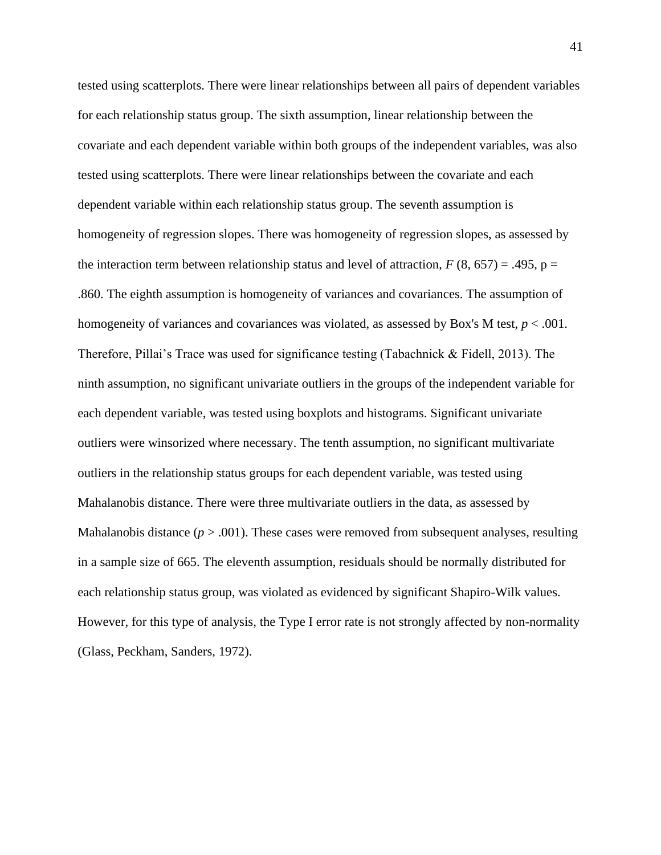tested using scatterplots. There were linear relationships between all pairs of dependent variables for each relationship status group. The sixth assumption, linear relationship between the covariate and each dependent variable within both groups of the independent variables, was also tested using scatterplots. There were linear relationships between the covariate and each dependent variable within each relationship status group. The seventh assumption is homogeneity of regression slopes. There was homogeneity of regression slopes, as assessed by the interaction term between relationship status and level of attraction,  $F(8, 657) = .495$ ,  $p =$ .860. The eighth assumption is homogeneity of variances and covariances. The assumption of homogeneity of variances and covariances was violated, as assessed by Box's M test,  $p < .001$ . Therefore, Pillai's Trace was used for significance testing (Tabachnick & Fidell, 2013). The ninth assumption, no significant univariate outliers in the groups of the independent variable for each dependent variable, was tested using boxplots and histograms. Significant univariate outliers were winsorized where necessary. The tenth assumption, no significant multivariate outliers in the relationship status groups for each dependent variable, was tested using Mahalanobis distance. There were three multivariate outliers in the data, as assessed by Mahalanobis distance  $(p > .001)$ . These cases were removed from subsequent analyses, resulting in a sample size of 665. The eleventh assumption, residuals should be normally distributed for each relationship status group, was violated as evidenced by significant Shapiro-Wilk values. However, for this type of analysis, the Type I error rate is not strongly affected by non-normality (Glass, Peckham, Sanders, 1972).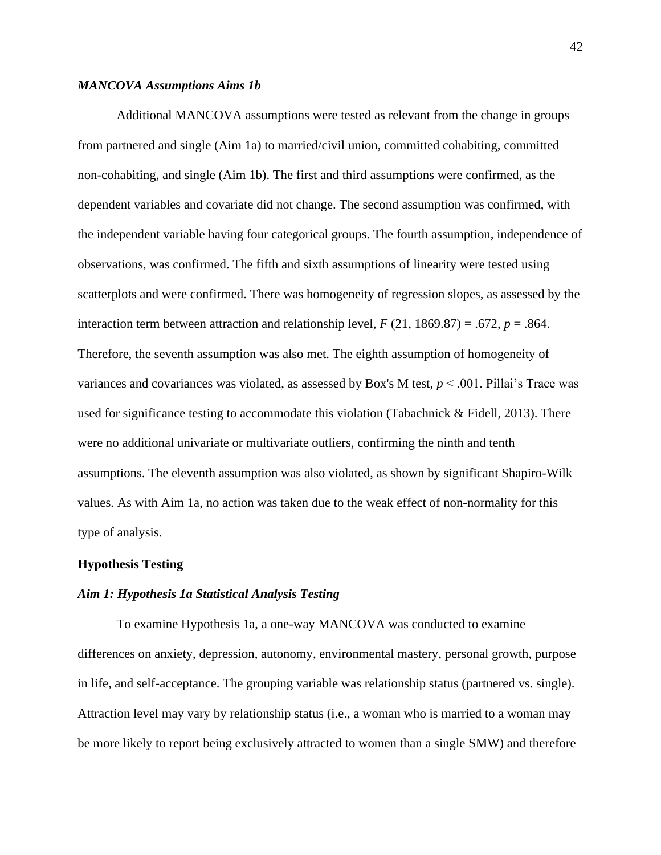### *MANCOVA Assumptions Aims 1b*

Additional MANCOVA assumptions were tested as relevant from the change in groups from partnered and single (Aim 1a) to married/civil union, committed cohabiting, committed non-cohabiting, and single (Aim 1b). The first and third assumptions were confirmed, as the dependent variables and covariate did not change. The second assumption was confirmed, with the independent variable having four categorical groups. The fourth assumption, independence of observations, was confirmed. The fifth and sixth assumptions of linearity were tested using scatterplots and were confirmed. There was homogeneity of regression slopes, as assessed by the interaction term between attraction and relationship level,  $F(21, 1869.87) = .672$ ,  $p = .864$ . Therefore, the seventh assumption was also met. The eighth assumption of homogeneity of variances and covariances was violated, as assessed by Box's M test,  $p < .001$ . Pillai's Trace was used for significance testing to accommodate this violation (Tabachnick  $\&$  Fidell, 2013). There were no additional univariate or multivariate outliers, confirming the ninth and tenth assumptions. The eleventh assumption was also violated, as shown by significant Shapiro-Wilk values. As with Aim 1a, no action was taken due to the weak effect of non-normality for this type of analysis.

## **Hypothesis Testing**

## *Aim 1: Hypothesis 1a Statistical Analysis Testing*

To examine Hypothesis 1a, a one-way MANCOVA was conducted to examine differences on anxiety, depression, autonomy, environmental mastery, personal growth, purpose in life, and self-acceptance. The grouping variable was relationship status (partnered vs. single). Attraction level may vary by relationship status (i.e., a woman who is married to a woman may be more likely to report being exclusively attracted to women than a single SMW) and therefore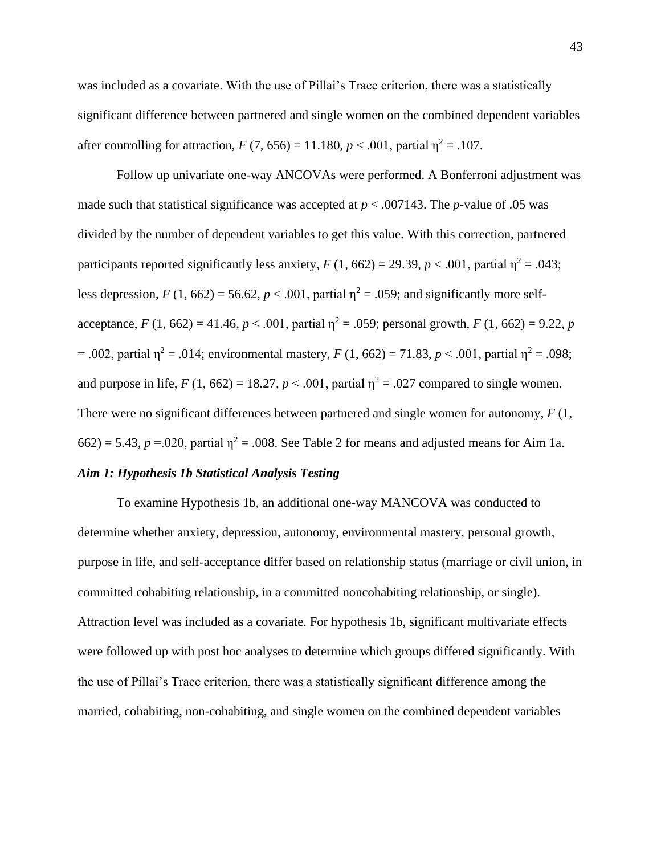was included as a covariate. With the use of Pillai's Trace criterion, there was a statistically significant difference between partnered and single women on the combined dependent variables after controlling for attraction,  $F(7, 656) = 11.180$ ,  $p \le 0.001$ , partial  $p^2 = 0.107$ .

Follow up univariate one-way ANCOVAs were performed. A Bonferroni adjustment was made such that statistical significance was accepted at  $p < .007143$ . The *p*-value of .05 was divided by the number of dependent variables to get this value. With this correction, partnered participants reported significantly less anxiety,  $F(1, 662) = 29.39$ ,  $p < .001$ , partial  $\eta^2 = .043$ ; less depression,  $F(1, 662) = 56.62$ ,  $p < .001$ , partial  $\eta^2 = .059$ ; and significantly more selfacceptance,  $F(1, 662) = 41.46$ ,  $p < .001$ , partial  $\eta^2 = .059$ ; personal growth,  $F(1, 662) = 9.22$ , *p* = .002, partial  $\eta^2$  = .014; environmental mastery, *F* (1, 662) = 71.83, *p* < .001, partial  $\eta^2$  = .098; and purpose in life,  $F(1, 662) = 18.27$ ,  $p < .001$ , partial  $\eta^2 = .027$  compared to single women. There were no significant differences between partnered and single women for autonomy, *F* (1,  $662$ ) = 5.43, *p* = 0.020, partial  $\eta^2$  = 0.08. See Table 2 for means and adjusted means for Aim 1a.

## *Aim 1: Hypothesis 1b Statistical Analysis Testing*

To examine Hypothesis 1b, an additional one-way MANCOVA was conducted to determine whether anxiety, depression, autonomy, environmental mastery, personal growth, purpose in life, and self-acceptance differ based on relationship status (marriage or civil union, in committed cohabiting relationship, in a committed noncohabiting relationship, or single). Attraction level was included as a covariate. For hypothesis 1b, significant multivariate effects were followed up with post hoc analyses to determine which groups differed significantly. With the use of Pillai's Trace criterion, there was a statistically significant difference among the married, cohabiting, non-cohabiting, and single women on the combined dependent variables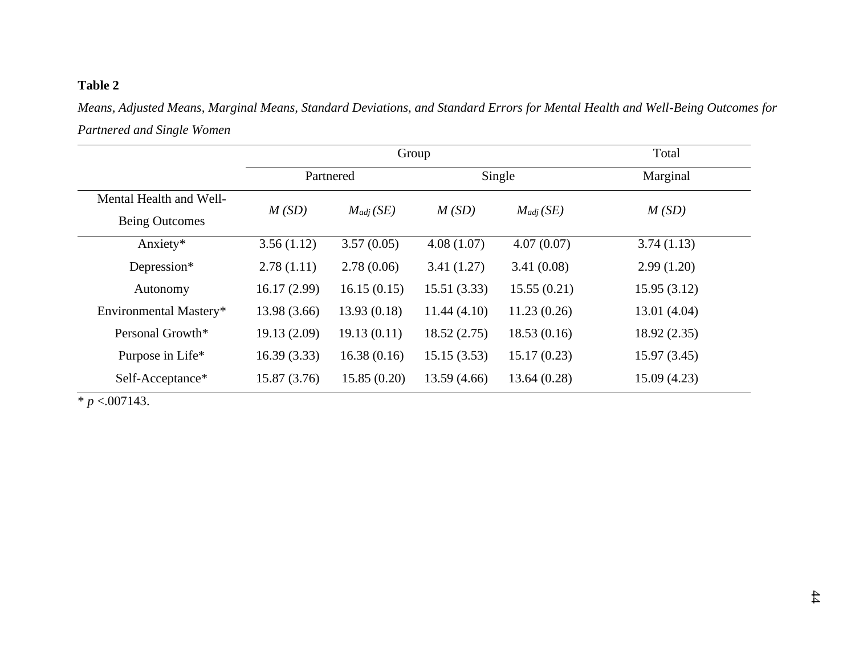# **Table 2**

*Means, Adjusted Means, Marginal Means, Standard Deviations, and Standard Errors for Mental Health and Well-Being Outcomes for Partnered and Single Women*

|                         | Group        |                     |             |               | Total       |
|-------------------------|--------------|---------------------|-------------|---------------|-------------|
|                         |              | Single<br>Partnered |             | Marginal      |             |
| Mental Health and Well- | M(SD)        | $M_{adi}(SE)$       | M(SD)       | $M_{adj}(SE)$ | M(SD)       |
| <b>Being Outcomes</b>   |              |                     |             |               |             |
| Anxiety*                | 3.56(1.12)   | 3.57(0.05)          | 4.08(1.07)  | 4.07(0.07)    | 3.74(1.13)  |
| Depression*             | 2.78(1.11)   | 2.78(0.06)          | 3.41(1.27)  | 3.41(0.08)    | 2.99(1.20)  |
| Autonomy                | 16.17(2.99)  | 16.15(0.15)         | 15.51(3.33) | 15.55(0.21)   | 15.95(3.12) |
| Environmental Mastery*  | 13.98 (3.66) | 13.93(0.18)         | 11.44(4.10) | 11.23(0.26)   | 13.01(4.04) |
| Personal Growth*        | 19.13 (2.09) | 19.13(0.11)         | 18.52(2.75) | 18.53(0.16)   | 18.92(2.35) |
| Purpose in Life*        | 16.39(3.33)  | 16.38(0.16)         | 15.15(3.53) | 15.17(0.23)   | 15.97(3.45) |
| Self-Acceptance*        | 15.87 (3.76) | 15.85(0.20)         | 13.59(4.66) | 13.64(0.28)   | 15.09(4.23) |

 $\frac{1}{2} p < .007143.$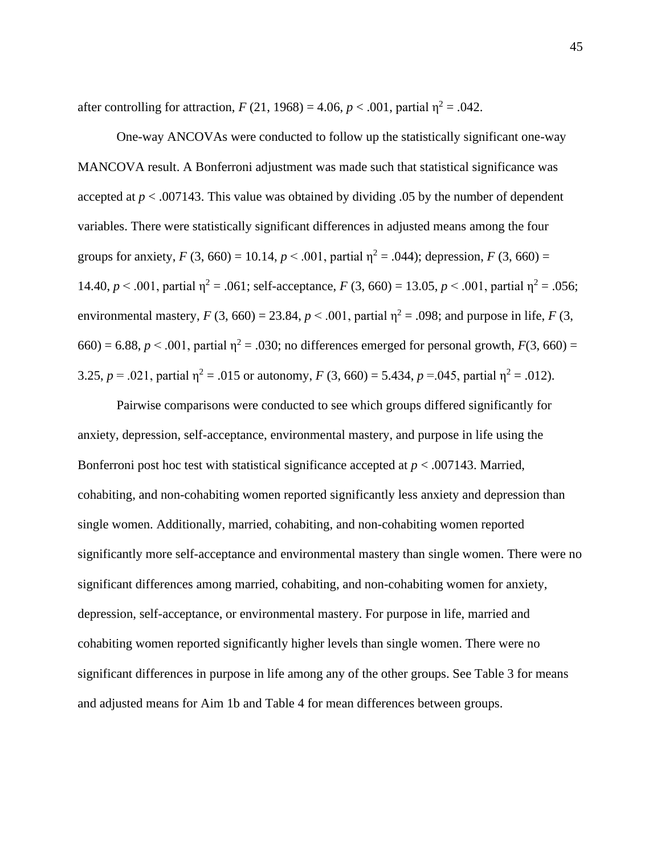after controlling for attraction,  $F(21, 1968) = 4.06$ ,  $p < .001$ , partial  $\eta^2 = .042$ .

One-way ANCOVAs were conducted to follow up the statistically significant one-way MANCOVA result. A Bonferroni adjustment was made such that statistical significance was accepted at *p* < .007143. This value was obtained by dividing .05 by the number of dependent variables. There were statistically significant differences in adjusted means among the four groups for anxiety,  $F(3, 660) = 10.14$ ,  $p < .001$ , partial  $\eta^2 = .044$ ); depression,  $F(3, 660) =$ 14.40,  $p < .001$ , partial  $\eta^2 = .061$ ; self-acceptance,  $F(3, 660) = 13.05$ ,  $p < .001$ , partial  $\eta^2 = .056$ ; environmental mastery,  $F(3, 660) = 23.84$ ,  $p < .001$ , partial  $\eta^2 = .098$ ; and purpose in life,  $F(3, 60) = 23.84$  $660$  = 6.88,  $p < .001$ , partial  $\eta^2 = .030$ ; no differences emerged for personal growth,  $F(3, 660) =$ 3.25,  $p = .021$ , partial  $\eta^2 = .015$  or autonomy,  $F(3, 660) = 5.434$ ,  $p = .045$ , partial  $\eta^2 = .012$ ).

Pairwise comparisons were conducted to see which groups differed significantly for anxiety, depression, self-acceptance, environmental mastery, and purpose in life using the Bonferroni post hoc test with statistical significance accepted at  $p < .007143$ . Married, cohabiting, and non-cohabiting women reported significantly less anxiety and depression than single women. Additionally, married, cohabiting, and non-cohabiting women reported significantly more self-acceptance and environmental mastery than single women. There were no significant differences among married, cohabiting, and non-cohabiting women for anxiety, depression, self-acceptance, or environmental mastery. For purpose in life, married and cohabiting women reported significantly higher levels than single women. There were no significant differences in purpose in life among any of the other groups. See Table 3 for means and adjusted means for Aim 1b and Table 4 for mean differences between groups.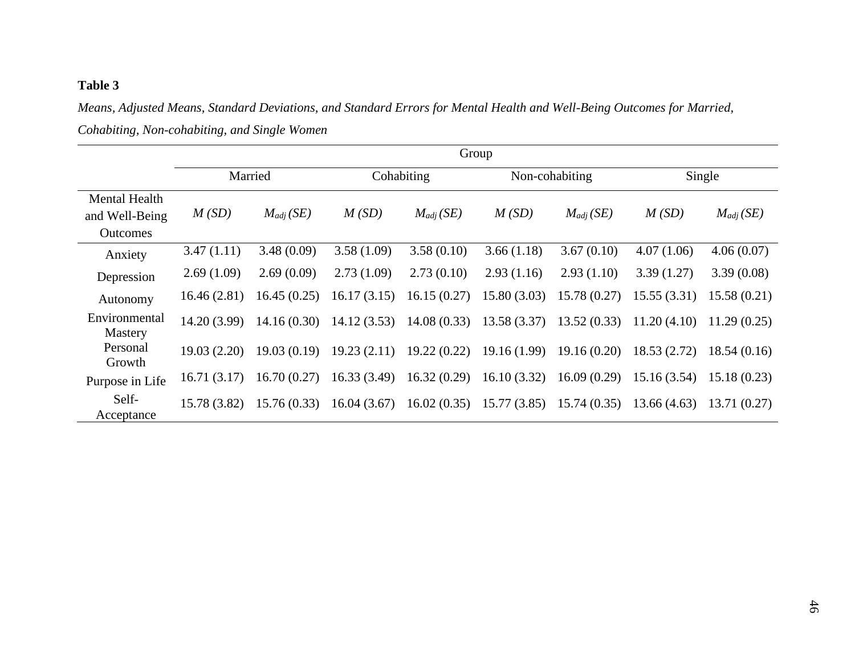# **Table 3**

*Means, Adjusted Means, Standard Deviations, and Standard Errors for Mental Health and Well-Being Outcomes for Married, Cohabiting, Non-cohabiting, and Single Women*

|                                                           | Group        |               |             |               |             |                |             |               |
|-----------------------------------------------------------|--------------|---------------|-------------|---------------|-------------|----------------|-------------|---------------|
|                                                           |              | Married       |             | Cohabiting    |             | Non-cohabiting |             | Single        |
| <b>Mental Health</b><br>and Well-Being<br><b>Outcomes</b> | M(SD)        | $M_{adj}(SE)$ | M(SD)       | $M_{adj}(SE)$ | M(SD)       | $M_{adj}(SE)$  | M(SD)       | $M_{adj}(SE)$ |
| Anxiety                                                   | 3.47(1.11)   | 3.48(0.09)    | 3.58(1.09)  | 3.58(0.10)    | 3.66(1.18)  | 3.67(0.10)     | 4.07(1.06)  | 4.06(0.07)    |
| Depression                                                | 2.69(1.09)   | 2.69(0.09)    | 2.73(1.09)  | 2.73(0.10)    | 2.93(1.16)  | 2.93(1.10)     | 3.39(1.27)  | 3.39(0.08)    |
| Autonomy                                                  | 16.46(2.81)  | 16.45(0.25)   | 16.17(3.15) | 16.15(0.27)   | 15.80(3.03) | 15.78 (0.27)   | 15.55(3.31) | 15.58(0.21)   |
| Environmental<br>Mastery                                  | 14.20 (3.99) | 14.16(0.30)   | 14.12(3.53) | 14.08(0.33)   | 13.58(3.37) | 13.52(0.33)    | 11.20(4.10) | 11.29(0.25)   |
| Personal<br>Growth                                        | 19.03(2.20)  | 19.03(0.19)   | 19.23(2.11) | 19.22(0.22)   | 19.16(1.99) | 19.16(0.20)    | 18.53(2.72) | 18.54(0.16)   |
| Purpose in Life                                           | 16.71(3.17)  | 16.70(0.27)   | 16.33(3.49) | 16.32(0.29)   | 16.10(3.32) | 16.09(0.29)    | 15.16(3.54) | 15.18(0.23)   |
| Self-<br>Acceptance                                       | 15.78 (3.82) | 15.76(0.33)   | 16.04(3.67) | 16.02(0.35)   | 15.77(3.85) | 15.74(0.35)    | 13.66(4.63) | 13.71(0.27)   |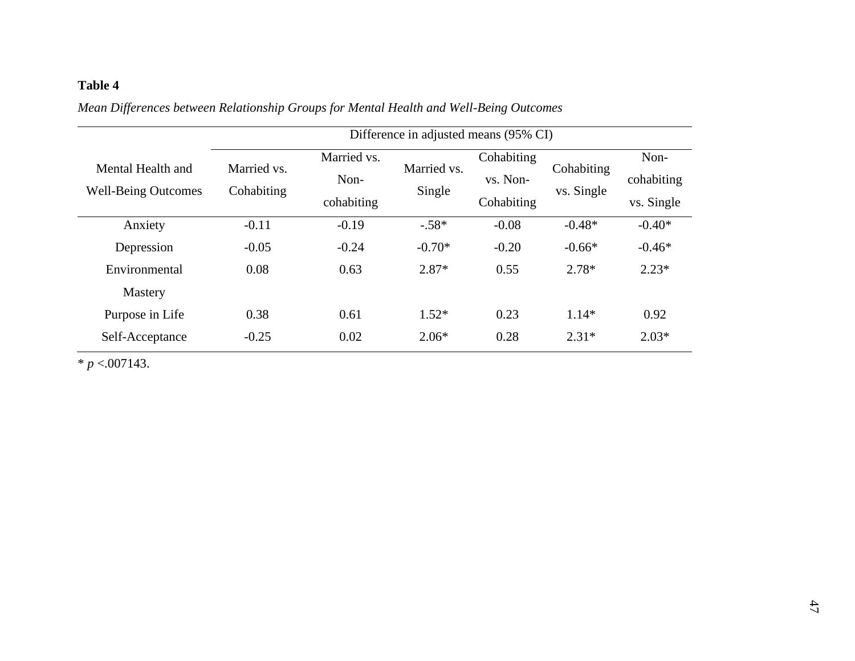# **Table 4**

|                                                 | Difference in adjusted means (95% CI) |                                   |                       |                                      |                          |                                  |
|-------------------------------------------------|---------------------------------------|-----------------------------------|-----------------------|--------------------------------------|--------------------------|----------------------------------|
| Mental Health and<br><b>Well-Being Outcomes</b> | Married vs.<br>Cohabiting             | Married vs.<br>Non-<br>cohabiting | Married vs.<br>Single | Cohabiting<br>vs. Non-<br>Cohabiting | Cohabiting<br>vs. Single | Non-<br>cohabiting<br>vs. Single |
| Anxiety                                         | $-0.11$                               | $-0.19$                           | $-.58*$               | $-0.08$                              | $-0.48*$                 | $-0.40*$                         |
| Depression                                      | $-0.05$                               | $-0.24$                           | $-0.70*$              | $-0.20$                              | $-0.66*$                 | $-0.46*$                         |
| Environmental                                   | 0.08                                  | 0.63                              | $2.87*$               | 0.55                                 | $2.78*$                  | $2.23*$                          |
| <b>Mastery</b>                                  |                                       |                                   |                       |                                      |                          |                                  |
| Purpose in Life                                 | 0.38                                  | 0.61                              | $1.52*$               | 0.23                                 | $1.14*$                  | 0.92                             |
| Self-Acceptance                                 | $-0.25$                               | 0.02                              | $2.06*$               | 0.28                                 | $2.31*$                  | $2.03*$                          |

*Mean Differences between Relationship Groups for Mental Health and Well-Being Outcomes*

 $* p < .007143$ .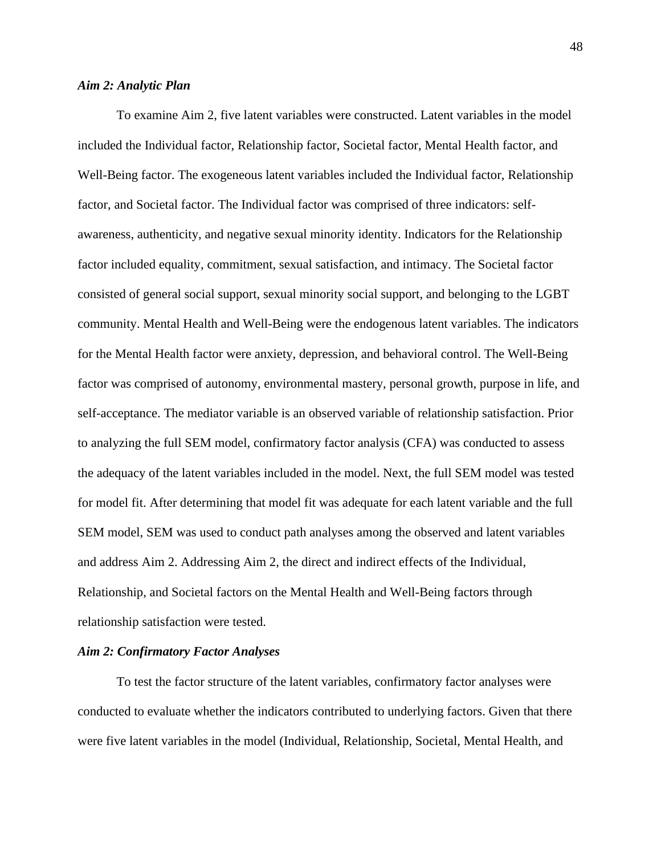### *Aim 2: Analytic Plan*

To examine Aim 2, five latent variables were constructed. Latent variables in the model included the Individual factor, Relationship factor, Societal factor, Mental Health factor, and Well-Being factor. The exogeneous latent variables included the Individual factor, Relationship factor, and Societal factor. The Individual factor was comprised of three indicators: selfawareness, authenticity, and negative sexual minority identity. Indicators for the Relationship factor included equality, commitment, sexual satisfaction, and intimacy. The Societal factor consisted of general social support, sexual minority social support, and belonging to the LGBT community. Mental Health and Well-Being were the endogenous latent variables. The indicators for the Mental Health factor were anxiety, depression, and behavioral control. The Well-Being factor was comprised of autonomy, environmental mastery, personal growth, purpose in life, and self-acceptance. The mediator variable is an observed variable of relationship satisfaction. Prior to analyzing the full SEM model, confirmatory factor analysis (CFA) was conducted to assess the adequacy of the latent variables included in the model. Next, the full SEM model was tested for model fit. After determining that model fit was adequate for each latent variable and the full SEM model, SEM was used to conduct path analyses among the observed and latent variables and address Aim 2. Addressing Aim 2, the direct and indirect effects of the Individual, Relationship, and Societal factors on the Mental Health and Well-Being factors through relationship satisfaction were tested.

### *Aim 2: Confirmatory Factor Analyses*

To test the factor structure of the latent variables, confirmatory factor analyses were conducted to evaluate whether the indicators contributed to underlying factors. Given that there were five latent variables in the model (Individual, Relationship, Societal, Mental Health, and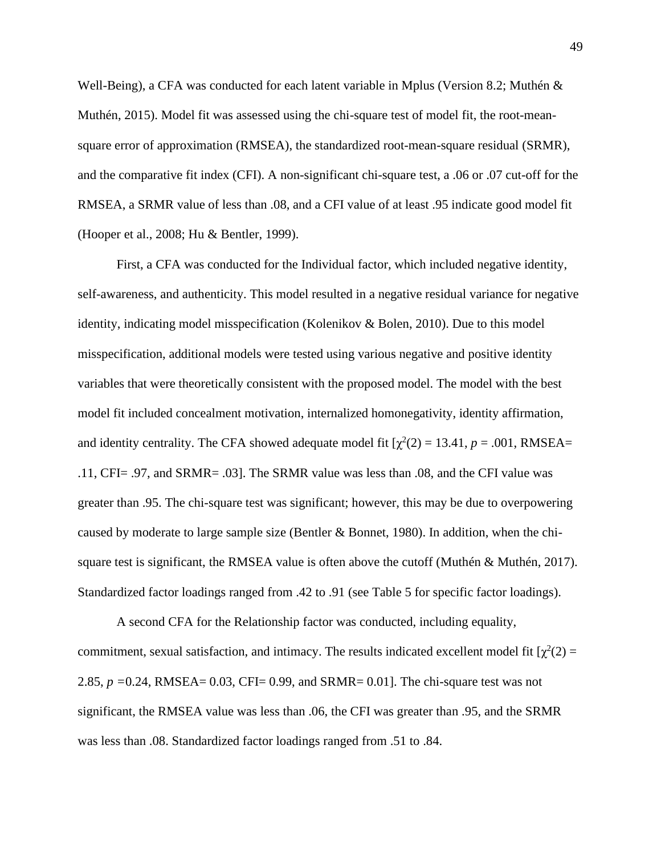Well-Being), a CFA was conducted for each latent variable in Mplus (Version 8.2; Muthén & Muthén, 2015). Model fit was assessed using the chi-square test of model fit, the root-meansquare error of approximation (RMSEA), the standardized root-mean-square residual (SRMR), and the comparative fit index (CFI). A non-significant chi-square test, a .06 or .07 cut-off for the RMSEA, a SRMR value of less than .08, and a CFI value of at least .95 indicate good model fit (Hooper et al., 2008; Hu & Bentler, 1999).

First, a CFA was conducted for the Individual factor, which included negative identity, self-awareness, and authenticity. This model resulted in a negative residual variance for negative identity, indicating model misspecification (Kolenikov & Bolen, 2010). Due to this model misspecification, additional models were tested using various negative and positive identity variables that were theoretically consistent with the proposed model. The model with the best model fit included concealment motivation, internalized homonegativity, identity affirmation, and identity centrality. The CFA showed adequate model fit  $[\chi^2(2) = 13.41, p = .001, RMSEA =$ .11, CFI= .97, and SRMR= .03]. The SRMR value was less than .08, and the CFI value was greater than .95. The chi-square test was significant; however, this may be due to overpowering caused by moderate to large sample size (Bentler & Bonnet, 1980). In addition, when the chisquare test is significant, the RMSEA value is often above the cutoff (Muthén & Muthén, 2017). Standardized factor loadings ranged from .42 to .91 (see Table 5 for specific factor loadings).

A second CFA for the Relationship factor was conducted, including equality, commitment, sexual satisfaction, and intimacy. The results indicated excellent model fit  $[\chi^2(2) =$ 2.85, *p =*0.24, RMSEA= 0.03, CFI= 0.99, and SRMR= 0.01]. The chi-square test was not significant, the RMSEA value was less than .06, the CFI was greater than .95, and the SRMR was less than .08. Standardized factor loadings ranged from .51 to .84.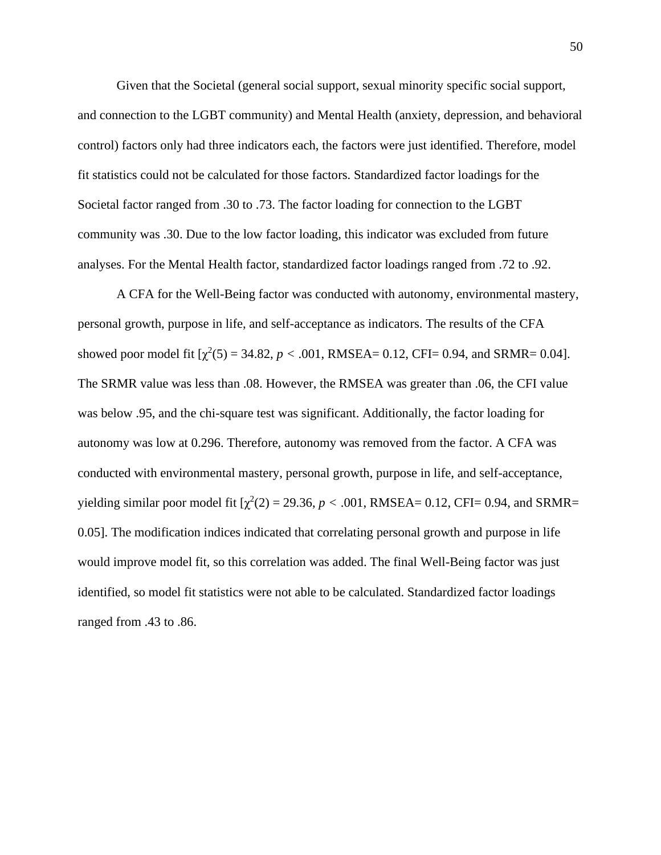Given that the Societal (general social support, sexual minority specific social support, and connection to the LGBT community) and Mental Health (anxiety, depression, and behavioral control) factors only had three indicators each, the factors were just identified. Therefore, model fit statistics could not be calculated for those factors. Standardized factor loadings for the Societal factor ranged from .30 to .73. The factor loading for connection to the LGBT community was .30. Due to the low factor loading, this indicator was excluded from future analyses. For the Mental Health factor, standardized factor loadings ranged from .72 to .92.

A CFA for the Well-Being factor was conducted with autonomy, environmental mastery, personal growth, purpose in life, and self-acceptance as indicators. The results of the CFA showed poor model fit  $[\chi^2(5) = 34.82, p < .001, RMSEA = 0.12, CFI = 0.94, and SRMR = 0.04]$ . The SRMR value was less than .08. However, the RMSEA was greater than .06, the CFI value was below .95, and the chi-square test was significant. Additionally, the factor loading for autonomy was low at 0.296. Therefore, autonomy was removed from the factor. A CFA was conducted with environmental mastery, personal growth, purpose in life, and self-acceptance, yielding similar poor model fit  $[\chi^2(2) = 29.36, p < .001, RMSEA = 0.12, CFI = 0.94, and SRMR =$ 0.05]. The modification indices indicated that correlating personal growth and purpose in life would improve model fit, so this correlation was added. The final Well-Being factor was just identified, so model fit statistics were not able to be calculated. Standardized factor loadings ranged from .43 to .86.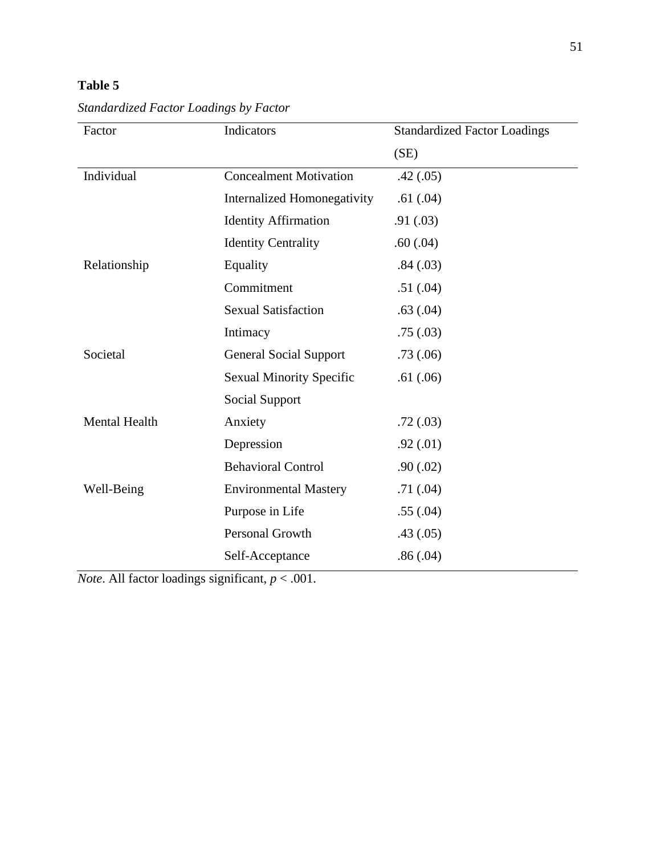# **Table 5**

| Factor        | Indicators                         | <b>Standardized Factor Loadings</b> |
|---------------|------------------------------------|-------------------------------------|
|               |                                    | (SE)                                |
| Individual    | <b>Concealment Motivation</b>      | .42(.05)                            |
|               | <b>Internalized Homonegativity</b> | .61(.04)                            |
|               | <b>Identity Affirmation</b>        | .91(.03)                            |
|               | <b>Identity Centrality</b>         | .60(.04)                            |
| Relationship  | Equality                           | .84(.03)                            |
|               | Commitment                         | .51(.04)                            |
|               | <b>Sexual Satisfaction</b>         | .63(.04)                            |
|               | Intimacy                           | .75(.03)                            |
| Societal      | <b>General Social Support</b>      | .73(.06)                            |
|               | <b>Sexual Minority Specific</b>    | .61(.06)                            |
|               | Social Support                     |                                     |
| Mental Health | Anxiety                            | .72(.03)                            |
|               | Depression                         | .92(.01)                            |
|               | <b>Behavioral Control</b>          | .90(0.02)                           |
| Well-Being    | <b>Environmental Mastery</b>       | .71(0.04)                           |
|               | Purpose in Life                    | .55(.04)                            |
|               | Personal Growth                    | .43(.05)                            |
|               | Self-Acceptance                    | .86(.04)                            |

*Standardized Factor Loadings by Factor*

*Note*. All factor loadings significant, *p* < .001.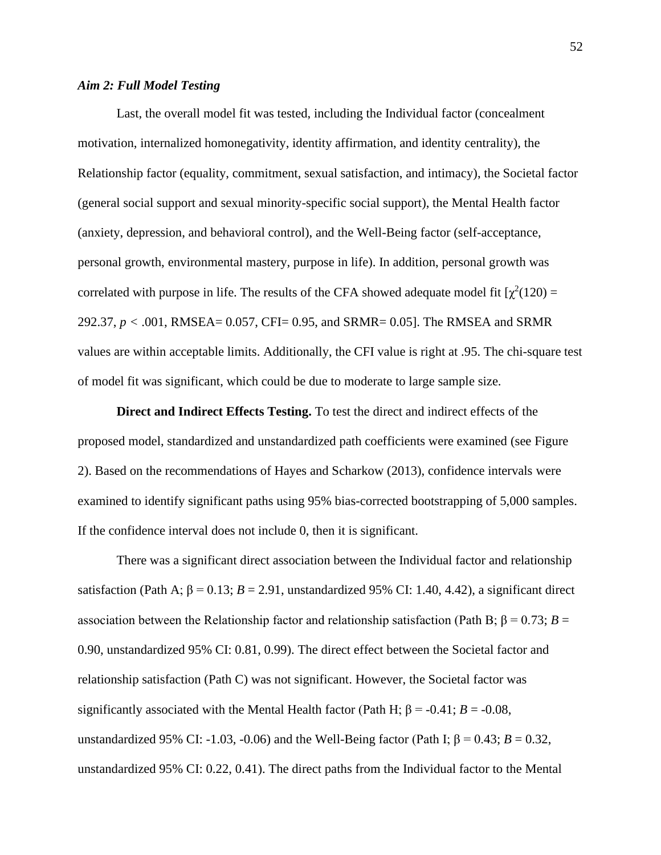### *Aim 2: Full Model Testing*

Last, the overall model fit was tested, including the Individual factor (concealment motivation, internalized homonegativity, identity affirmation, and identity centrality), the Relationship factor (equality, commitment, sexual satisfaction, and intimacy), the Societal factor (general social support and sexual minority-specific social support), the Mental Health factor (anxiety, depression, and behavioral control), and the Well-Being factor (self-acceptance, personal growth, environmental mastery, purpose in life). In addition, personal growth was correlated with purpose in life. The results of the CFA showed adequate model fit  $[\chi^2(120) =$ 292.37, *p <* .001, RMSEA= 0.057, CFI= 0.95, and SRMR= 0.05]. The RMSEA and SRMR values are within acceptable limits. Additionally, the CFI value is right at .95. The chi-square test of model fit was significant, which could be due to moderate to large sample size.

**Direct and Indirect Effects Testing.** To test the direct and indirect effects of the proposed model, standardized and unstandardized path coefficients were examined (see Figure 2). Based on the recommendations of Hayes and Scharkow (2013), confidence intervals were examined to identify significant paths using 95% bias-corrected bootstrapping of 5,000 samples. If the confidence interval does not include 0, then it is significant.

There was a significant direct association between the Individual factor and relationship satisfaction (Path A;  $\beta = 0.13$ ;  $B = 2.91$ , unstandardized 95% CI: 1.40, 4.42), a significant direct association between the Relationship factor and relationship satisfaction (Path B;  $β = 0.73$ ;  $B =$ 0.90, unstandardized 95% CI: 0.81, 0.99). The direct effect between the Societal factor and relationship satisfaction (Path C) was not significant. However, the Societal factor was significantly associated with the Mental Health factor (Path H;  $\beta$  = -0.41; *B* = -0.08, unstandardized 95% CI: -1.03, -0.06) and the Well-Being factor (Path I;  $β = 0.43$ ;  $B = 0.32$ , unstandardized 95% CI: 0.22, 0.41). The direct paths from the Individual factor to the Mental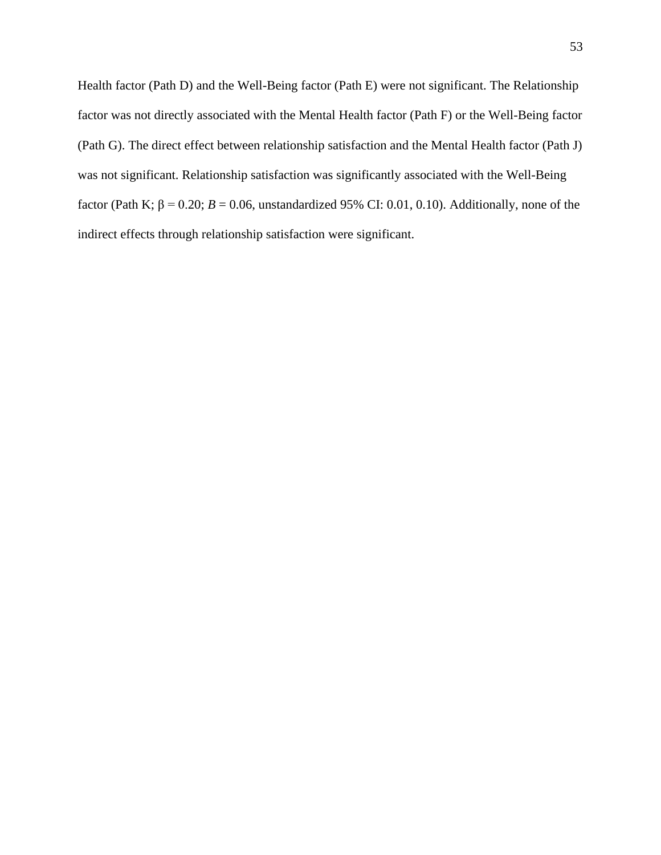Health factor (Path D) and the Well-Being factor (Path E) were not significant. The Relationship factor was not directly associated with the Mental Health factor (Path F) or the Well-Being factor (Path G). The direct effect between relationship satisfaction and the Mental Health factor (Path J) was not significant. Relationship satisfaction was significantly associated with the Well-Being factor (Path K;  $\beta = 0.20$ ;  $B = 0.06$ , unstandardized 95% CI: 0.01, 0.10). Additionally, none of the indirect effects through relationship satisfaction were significant.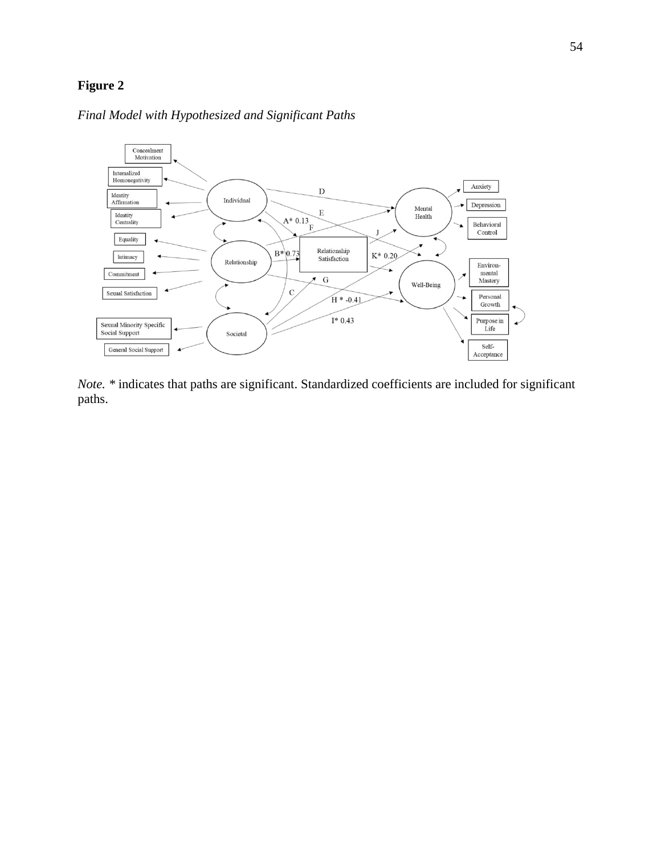# **Figure 2**

## *Final Model with Hypothesized and Significant Paths*



*Note. \** indicates that paths are significant. Standardized coefficients are included for significant paths.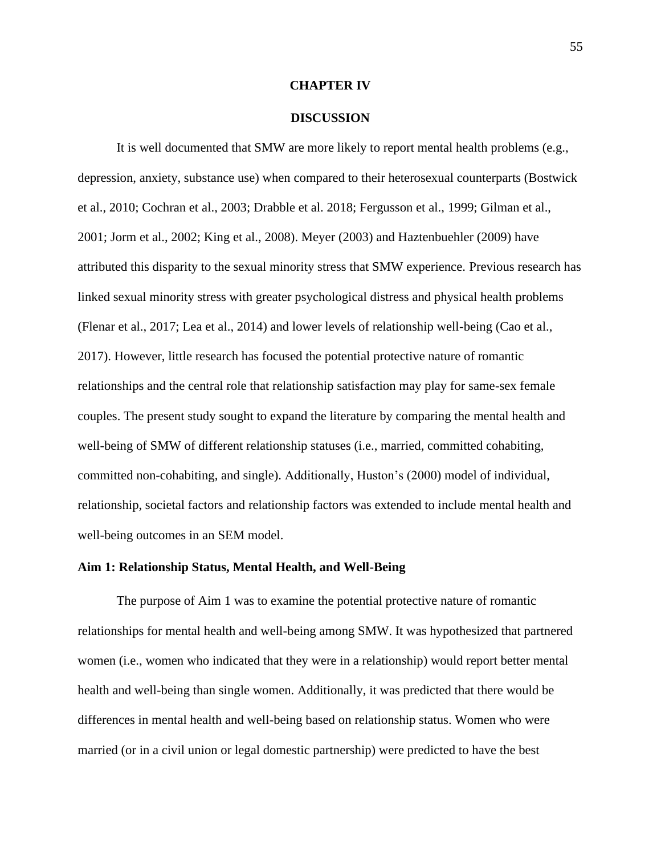### **CHAPTER IV**

### **DISCUSSION**

It is well documented that SMW are more likely to report mental health problems (e.g., depression, anxiety, substance use) when compared to their heterosexual counterparts (Bostwick et al., 2010; Cochran et al., 2003; Drabble et al. 2018; Fergusson et al., 1999; Gilman et al., 2001; Jorm et al., 2002; King et al., 2008). Meyer (2003) and Haztenbuehler (2009) have attributed this disparity to the sexual minority stress that SMW experience. Previous research has linked sexual minority stress with greater psychological distress and physical health problems (Flenar et al., 2017; Lea et al., 2014) and lower levels of relationship well-being (Cao et al., 2017). However, little research has focused the potential protective nature of romantic relationships and the central role that relationship satisfaction may play for same-sex female couples. The present study sought to expand the literature by comparing the mental health and well-being of SMW of different relationship statuses (i.e., married, committed cohabiting, committed non-cohabiting, and single). Additionally, Huston's (2000) model of individual, relationship, societal factors and relationship factors was extended to include mental health and well-being outcomes in an SEM model.

## **Aim 1: Relationship Status, Mental Health, and Well-Being**

The purpose of Aim 1 was to examine the potential protective nature of romantic relationships for mental health and well-being among SMW. It was hypothesized that partnered women (i.e., women who indicated that they were in a relationship) would report better mental health and well-being than single women. Additionally, it was predicted that there would be differences in mental health and well-being based on relationship status. Women who were married (or in a civil union or legal domestic partnership) were predicted to have the best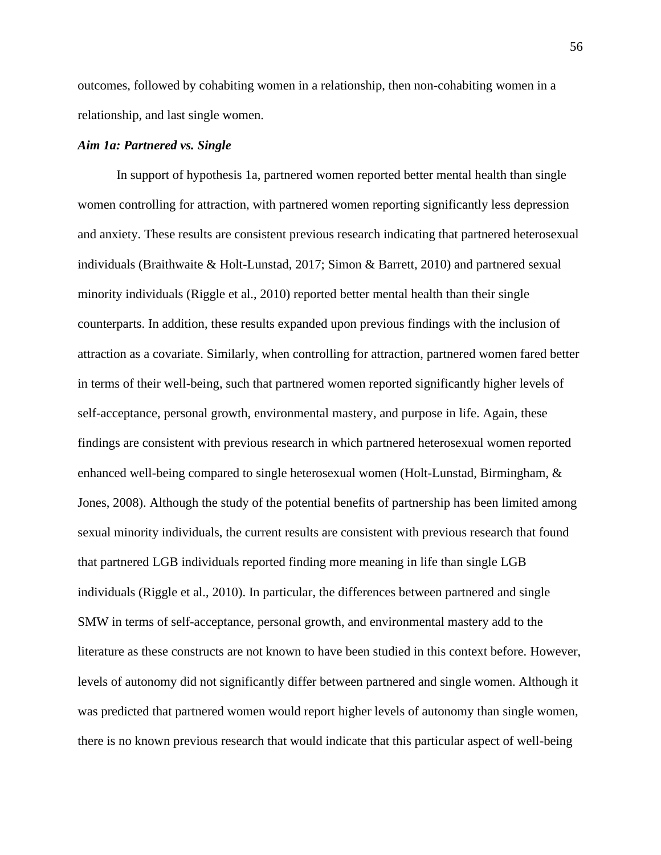outcomes, followed by cohabiting women in a relationship, then non-cohabiting women in a relationship, and last single women.

## *Aim 1a: Partnered vs. Single*

In support of hypothesis 1a, partnered women reported better mental health than single women controlling for attraction, with partnered women reporting significantly less depression and anxiety. These results are consistent previous research indicating that partnered heterosexual individuals (Braithwaite & Holt-Lunstad, 2017; Simon & Barrett, 2010) and partnered sexual minority individuals (Riggle et al., 2010) reported better mental health than their single counterparts. In addition, these results expanded upon previous findings with the inclusion of attraction as a covariate. Similarly, when controlling for attraction, partnered women fared better in terms of their well-being, such that partnered women reported significantly higher levels of self-acceptance, personal growth, environmental mastery, and purpose in life. Again, these findings are consistent with previous research in which partnered heterosexual women reported enhanced well-being compared to single heterosexual women (Holt-Lunstad, Birmingham, & Jones, 2008). Although the study of the potential benefits of partnership has been limited among sexual minority individuals, the current results are consistent with previous research that found that partnered LGB individuals reported finding more meaning in life than single LGB individuals (Riggle et al., 2010). In particular, the differences between partnered and single SMW in terms of self-acceptance, personal growth, and environmental mastery add to the literature as these constructs are not known to have been studied in this context before. However, levels of autonomy did not significantly differ between partnered and single women. Although it was predicted that partnered women would report higher levels of autonomy than single women, there is no known previous research that would indicate that this particular aspect of well-being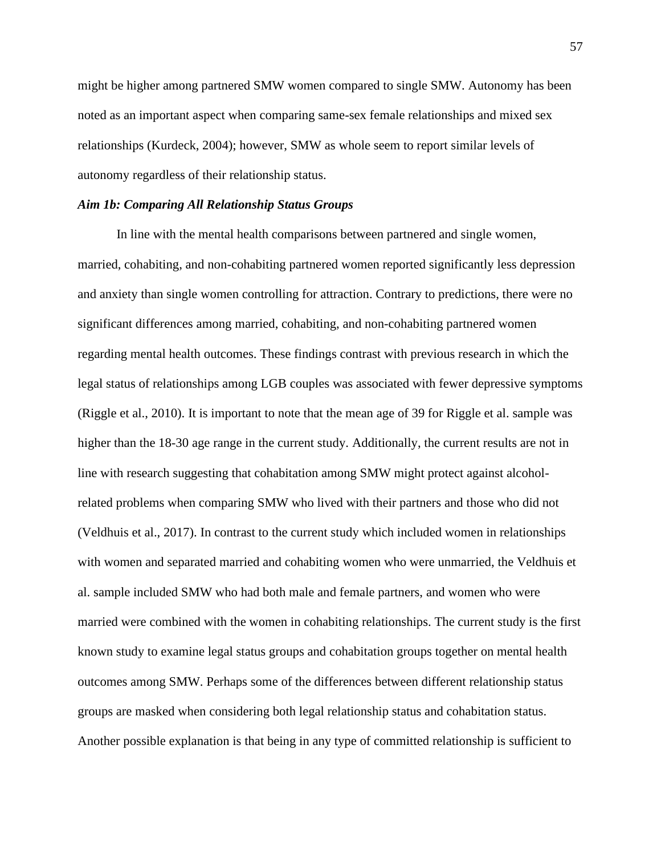might be higher among partnered SMW women compared to single SMW. Autonomy has been noted as an important aspect when comparing same-sex female relationships and mixed sex relationships (Kurdeck, 2004); however, SMW as whole seem to report similar levels of autonomy regardless of their relationship status.

#### *Aim 1b: Comparing All Relationship Status Groups*

In line with the mental health comparisons between partnered and single women, married, cohabiting, and non-cohabiting partnered women reported significantly less depression and anxiety than single women controlling for attraction. Contrary to predictions, there were no significant differences among married, cohabiting, and non-cohabiting partnered women regarding mental health outcomes. These findings contrast with previous research in which the legal status of relationships among LGB couples was associated with fewer depressive symptoms (Riggle et al., 2010). It is important to note that the mean age of 39 for Riggle et al. sample was higher than the 18-30 age range in the current study. Additionally, the current results are not in line with research suggesting that cohabitation among SMW might protect against alcoholrelated problems when comparing SMW who lived with their partners and those who did not (Veldhuis et al., 2017). In contrast to the current study which included women in relationships with women and separated married and cohabiting women who were unmarried, the Veldhuis et al. sample included SMW who had both male and female partners, and women who were married were combined with the women in cohabiting relationships. The current study is the first known study to examine legal status groups and cohabitation groups together on mental health outcomes among SMW. Perhaps some of the differences between different relationship status groups are masked when considering both legal relationship status and cohabitation status. Another possible explanation is that being in any type of committed relationship is sufficient to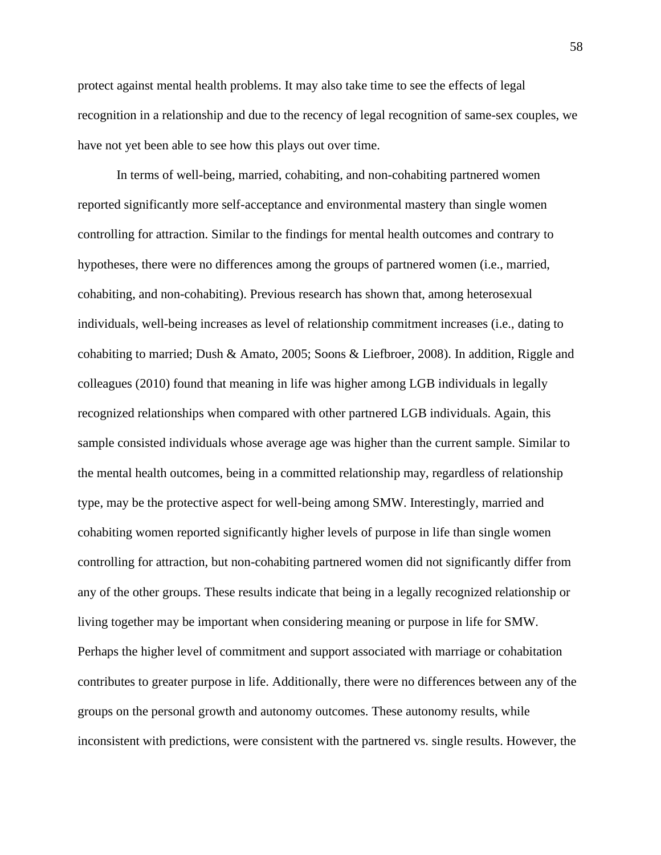protect against mental health problems. It may also take time to see the effects of legal recognition in a relationship and due to the recency of legal recognition of same-sex couples, we have not yet been able to see how this plays out over time.

In terms of well-being, married, cohabiting, and non-cohabiting partnered women reported significantly more self-acceptance and environmental mastery than single women controlling for attraction. Similar to the findings for mental health outcomes and contrary to hypotheses, there were no differences among the groups of partnered women (i.e., married, cohabiting, and non-cohabiting). Previous research has shown that, among heterosexual individuals, well-being increases as level of relationship commitment increases (i.e., dating to cohabiting to married; Dush & Amato, 2005; Soons & Liefbroer, 2008). In addition, Riggle and colleagues (2010) found that meaning in life was higher among LGB individuals in legally recognized relationships when compared with other partnered LGB individuals. Again, this sample consisted individuals whose average age was higher than the current sample. Similar to the mental health outcomes, being in a committed relationship may, regardless of relationship type, may be the protective aspect for well-being among SMW. Interestingly, married and cohabiting women reported significantly higher levels of purpose in life than single women controlling for attraction, but non-cohabiting partnered women did not significantly differ from any of the other groups. These results indicate that being in a legally recognized relationship or living together may be important when considering meaning or purpose in life for SMW. Perhaps the higher level of commitment and support associated with marriage or cohabitation contributes to greater purpose in life. Additionally, there were no differences between any of the groups on the personal growth and autonomy outcomes. These autonomy results, while inconsistent with predictions, were consistent with the partnered vs. single results. However, the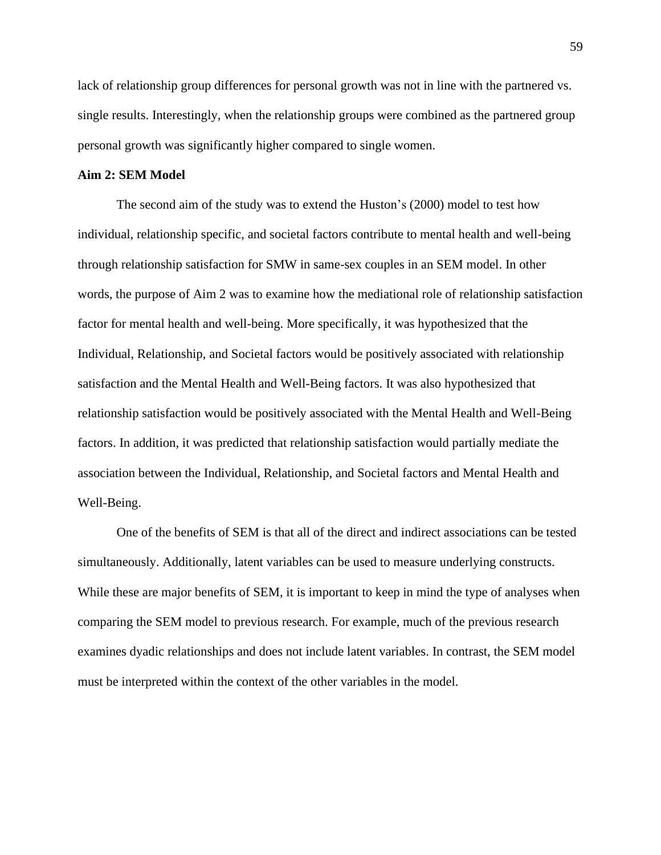lack of relationship group differences for personal growth was not in line with the partnered vs. single results. Interestingly, when the relationship groups were combined as the partnered group personal growth was significantly higher compared to single women.

## **Aim 2: SEM Model**

The second aim of the study was to extend the Huston's (2000) model to test how individual, relationship specific, and societal factors contribute to mental health and well-being through relationship satisfaction for SMW in same-sex couples in an SEM model. In other words, the purpose of Aim 2 was to examine how the mediational role of relationship satisfaction factor for mental health and well-being. More specifically, it was hypothesized that the Individual, Relationship, and Societal factors would be positively associated with relationship satisfaction and the Mental Health and Well-Being factors. It was also hypothesized that relationship satisfaction would be positively associated with the Mental Health and Well-Being factors. In addition, it was predicted that relationship satisfaction would partially mediate the association between the Individual, Relationship, and Societal factors and Mental Health and Well-Being.

One of the benefits of SEM is that all of the direct and indirect associations can be tested simultaneously. Additionally, latent variables can be used to measure underlying constructs. While these are major benefits of SEM, it is important to keep in mind the type of analyses when comparing the SEM model to previous research. For example, much of the previous research examines dyadic relationships and does not include latent variables. In contrast, the SEM model must be interpreted within the context of the other variables in the model.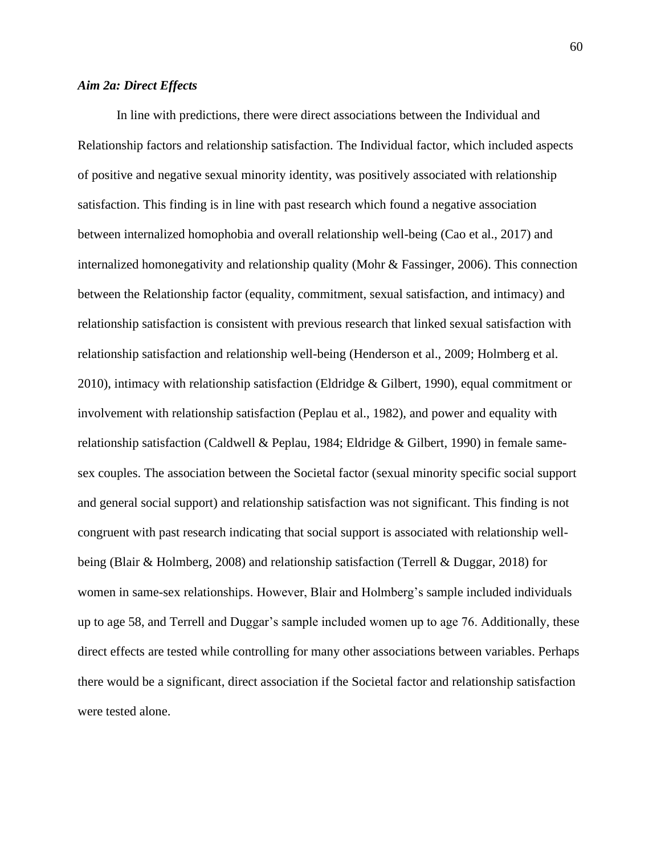## *Aim 2a: Direct Effects*

In line with predictions, there were direct associations between the Individual and Relationship factors and relationship satisfaction. The Individual factor, which included aspects of positive and negative sexual minority identity, was positively associated with relationship satisfaction. This finding is in line with past research which found a negative association between internalized homophobia and overall relationship well-being (Cao et al., 2017) and internalized homonegativity and relationship quality (Mohr & Fassinger, 2006). This connection between the Relationship factor (equality, commitment, sexual satisfaction, and intimacy) and relationship satisfaction is consistent with previous research that linked sexual satisfaction with relationship satisfaction and relationship well-being (Henderson et al., 2009; Holmberg et al. 2010), intimacy with relationship satisfaction (Eldridge & Gilbert, 1990), equal commitment or involvement with relationship satisfaction (Peplau et al., 1982), and power and equality with relationship satisfaction (Caldwell & Peplau, 1984; Eldridge & Gilbert, 1990) in female samesex couples. The association between the Societal factor (sexual minority specific social support and general social support) and relationship satisfaction was not significant. This finding is not congruent with past research indicating that social support is associated with relationship wellbeing (Blair & Holmberg, 2008) and relationship satisfaction (Terrell & Duggar, 2018) for women in same-sex relationships. However, Blair and Holmberg's sample included individuals up to age 58, and Terrell and Duggar's sample included women up to age 76. Additionally, these direct effects are tested while controlling for many other associations between variables. Perhaps there would be a significant, direct association if the Societal factor and relationship satisfaction were tested alone.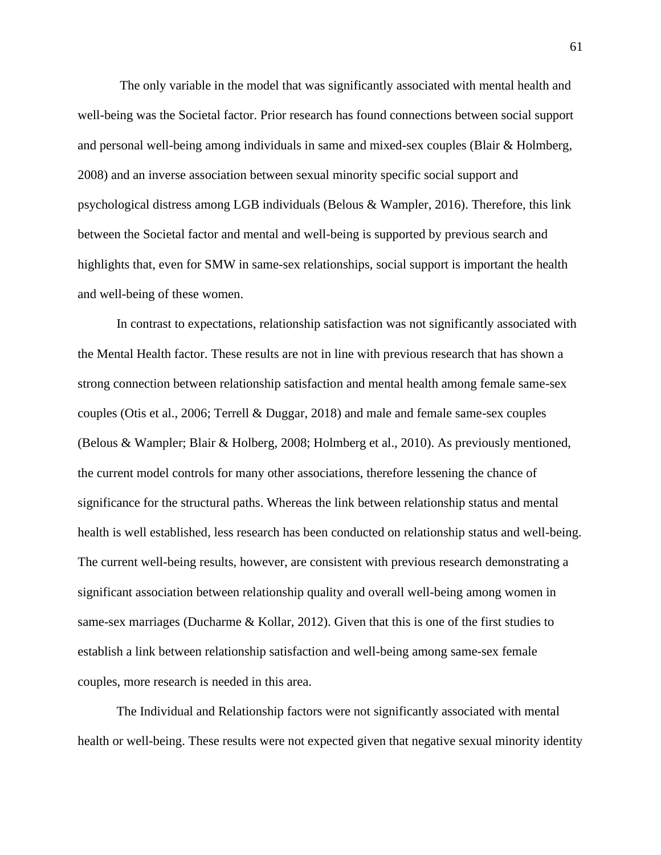The only variable in the model that was significantly associated with mental health and well-being was the Societal factor. Prior research has found connections between social support and personal well-being among individuals in same and mixed-sex couples (Blair & Holmberg, 2008) and an inverse association between sexual minority specific social support and psychological distress among LGB individuals (Belous & Wampler, 2016). Therefore, this link between the Societal factor and mental and well-being is supported by previous search and highlights that, even for SMW in same-sex relationships, social support is important the health and well-being of these women.

In contrast to expectations, relationship satisfaction was not significantly associated with the Mental Health factor. These results are not in line with previous research that has shown a strong connection between relationship satisfaction and mental health among female same-sex couples (Otis et al., 2006; Terrell & Duggar, 2018) and male and female same-sex couples (Belous & Wampler; Blair & Holberg, 2008; Holmberg et al., 2010). As previously mentioned, the current model controls for many other associations, therefore lessening the chance of significance for the structural paths. Whereas the link between relationship status and mental health is well established, less research has been conducted on relationship status and well-being. The current well-being results, however, are consistent with previous research demonstrating a significant association between relationship quality and overall well-being among women in same-sex marriages (Ducharme & Kollar, 2012). Given that this is one of the first studies to establish a link between relationship satisfaction and well-being among same-sex female couples, more research is needed in this area.

The Individual and Relationship factors were not significantly associated with mental health or well-being. These results were not expected given that negative sexual minority identity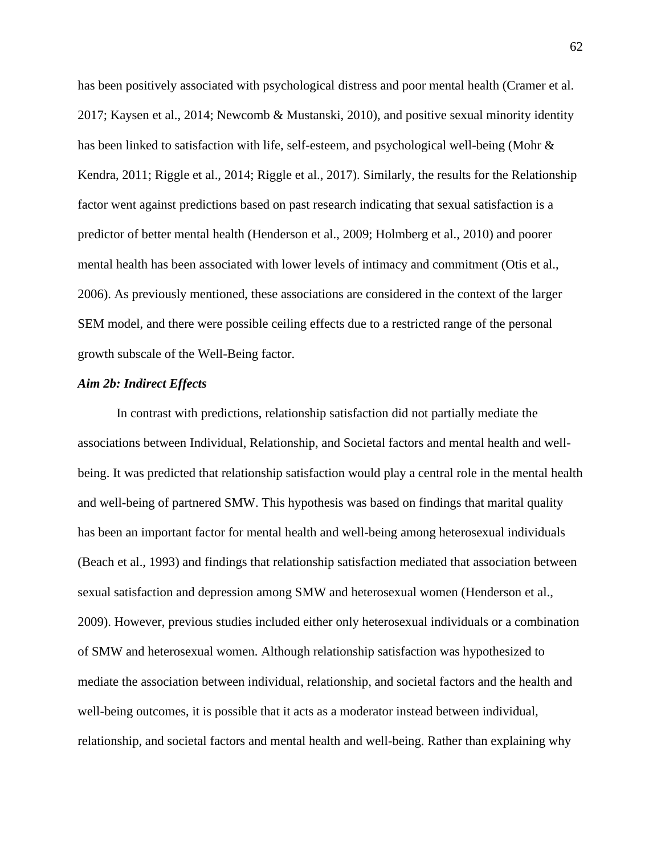has been positively associated with psychological distress and poor mental health (Cramer et al. 2017; Kaysen et al., 2014; Newcomb & Mustanski, 2010), and positive sexual minority identity has been linked to satisfaction with life, self-esteem, and psychological well-being (Mohr & Kendra, 2011; Riggle et al., 2014; Riggle et al., 2017). Similarly, the results for the Relationship factor went against predictions based on past research indicating that sexual satisfaction is a predictor of better mental health (Henderson et al., 2009; Holmberg et al., 2010) and poorer mental health has been associated with lower levels of intimacy and commitment (Otis et al., 2006). As previously mentioned, these associations are considered in the context of the larger SEM model, and there were possible ceiling effects due to a restricted range of the personal growth subscale of the Well-Being factor.

#### *Aim 2b: Indirect Effects*

In contrast with predictions, relationship satisfaction did not partially mediate the associations between Individual, Relationship, and Societal factors and mental health and wellbeing. It was predicted that relationship satisfaction would play a central role in the mental health and well-being of partnered SMW. This hypothesis was based on findings that marital quality has been an important factor for mental health and well-being among heterosexual individuals (Beach et al., 1993) and findings that relationship satisfaction mediated that association between sexual satisfaction and depression among SMW and heterosexual women (Henderson et al., 2009). However, previous studies included either only heterosexual individuals or a combination of SMW and heterosexual women. Although relationship satisfaction was hypothesized to mediate the association between individual, relationship, and societal factors and the health and well-being outcomes, it is possible that it acts as a moderator instead between individual, relationship, and societal factors and mental health and well-being. Rather than explaining why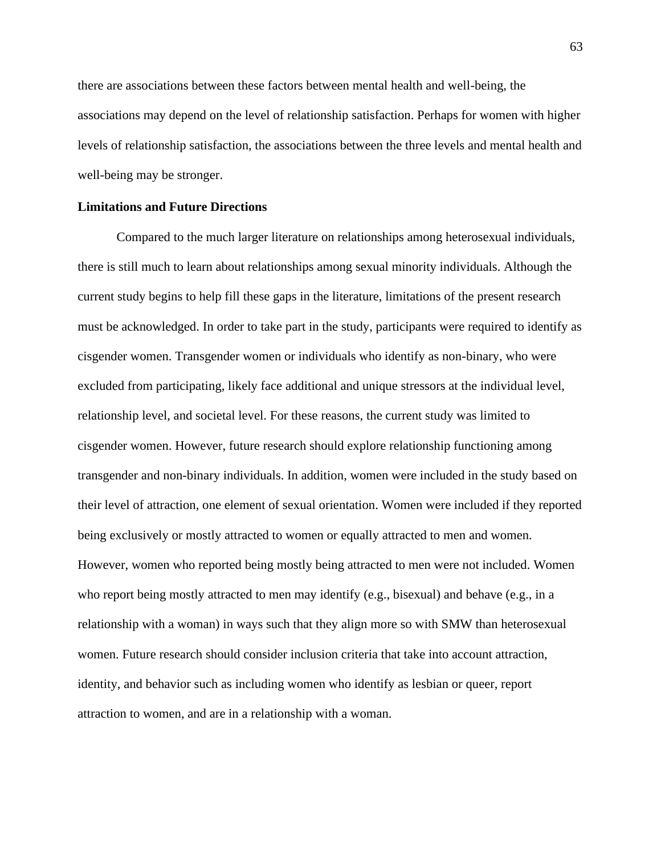there are associations between these factors between mental health and well-being, the associations may depend on the level of relationship satisfaction. Perhaps for women with higher levels of relationship satisfaction, the associations between the three levels and mental health and well-being may be stronger.

## **Limitations and Future Directions**

Compared to the much larger literature on relationships among heterosexual individuals, there is still much to learn about relationships among sexual minority individuals. Although the current study begins to help fill these gaps in the literature, limitations of the present research must be acknowledged. In order to take part in the study, participants were required to identify as cisgender women. Transgender women or individuals who identify as non-binary, who were excluded from participating, likely face additional and unique stressors at the individual level, relationship level, and societal level. For these reasons, the current study was limited to cisgender women. However, future research should explore relationship functioning among transgender and non-binary individuals. In addition, women were included in the study based on their level of attraction, one element of sexual orientation. Women were included if they reported being exclusively or mostly attracted to women or equally attracted to men and women. However, women who reported being mostly being attracted to men were not included. Women who report being mostly attracted to men may identify (e.g., bisexual) and behave (e.g., in a relationship with a woman) in ways such that they align more so with SMW than heterosexual women. Future research should consider inclusion criteria that take into account attraction, identity, and behavior such as including women who identify as lesbian or queer, report attraction to women, and are in a relationship with a woman.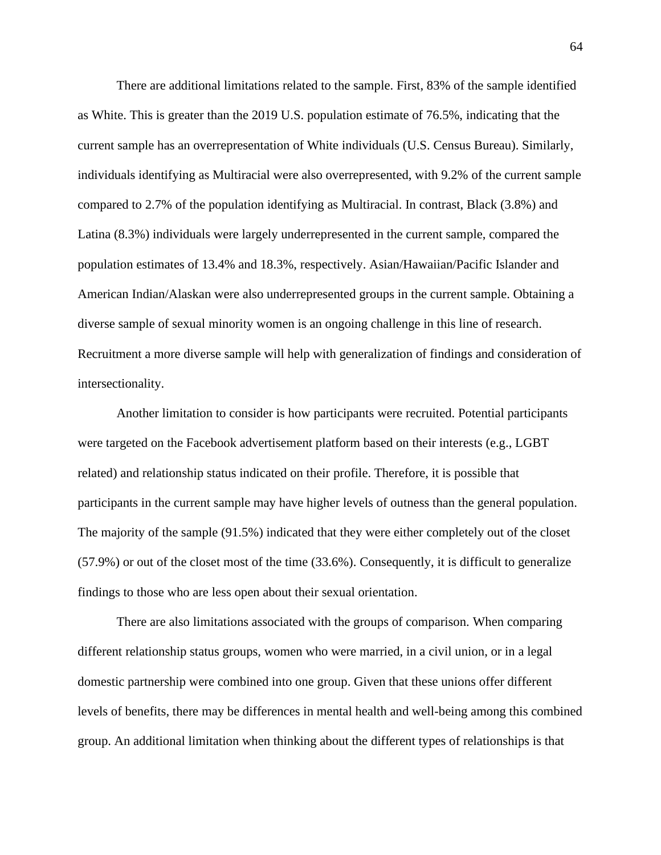There are additional limitations related to the sample. First, 83% of the sample identified as White. This is greater than the 2019 U.S. population estimate of 76.5%, indicating that the current sample has an overrepresentation of White individuals (U.S. Census Bureau). Similarly, individuals identifying as Multiracial were also overrepresented, with 9.2% of the current sample compared to 2.7% of the population identifying as Multiracial. In contrast, Black (3.8%) and Latina (8.3%) individuals were largely underrepresented in the current sample, compared the population estimates of 13.4% and 18.3%, respectively. Asian/Hawaiian/Pacific Islander and American Indian/Alaskan were also underrepresented groups in the current sample. Obtaining a diverse sample of sexual minority women is an ongoing challenge in this line of research. Recruitment a more diverse sample will help with generalization of findings and consideration of intersectionality.

Another limitation to consider is how participants were recruited. Potential participants were targeted on the Facebook advertisement platform based on their interests (e.g., LGBT related) and relationship status indicated on their profile. Therefore, it is possible that participants in the current sample may have higher levels of outness than the general population. The majority of the sample (91.5%) indicated that they were either completely out of the closet (57.9%) or out of the closet most of the time (33.6%). Consequently, it is difficult to generalize findings to those who are less open about their sexual orientation.

There are also limitations associated with the groups of comparison. When comparing different relationship status groups, women who were married, in a civil union, or in a legal domestic partnership were combined into one group. Given that these unions offer different levels of benefits, there may be differences in mental health and well-being among this combined group. An additional limitation when thinking about the different types of relationships is that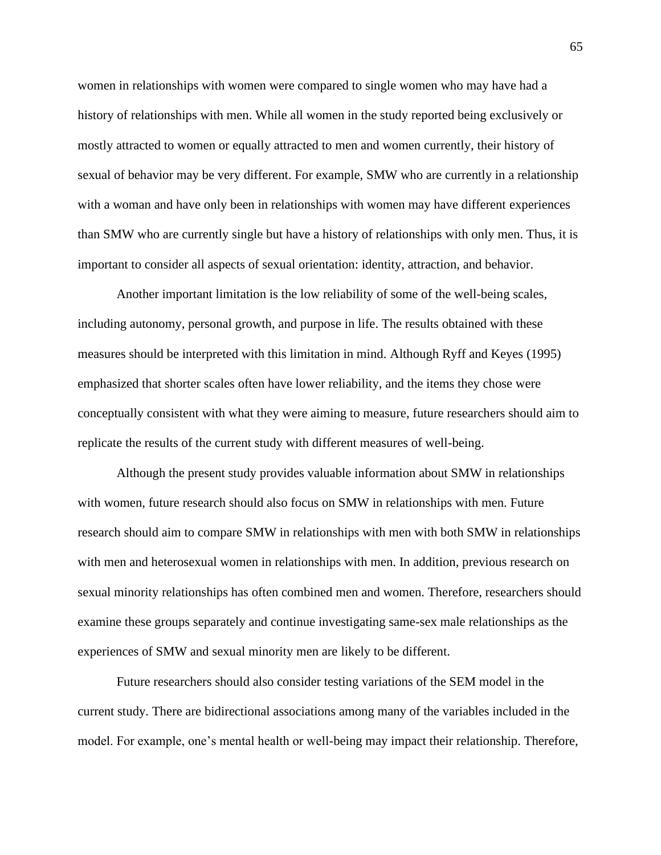women in relationships with women were compared to single women who may have had a history of relationships with men. While all women in the study reported being exclusively or mostly attracted to women or equally attracted to men and women currently, their history of sexual of behavior may be very different. For example, SMW who are currently in a relationship with a woman and have only been in relationships with women may have different experiences than SMW who are currently single but have a history of relationships with only men. Thus, it is important to consider all aspects of sexual orientation: identity, attraction, and behavior.

Another important limitation is the low reliability of some of the well-being scales, including autonomy, personal growth, and purpose in life. The results obtained with these measures should be interpreted with this limitation in mind. Although Ryff and Keyes (1995) emphasized that shorter scales often have lower reliability, and the items they chose were conceptually consistent with what they were aiming to measure, future researchers should aim to replicate the results of the current study with different measures of well-being.

Although the present study provides valuable information about SMW in relationships with women, future research should also focus on SMW in relationships with men. Future research should aim to compare SMW in relationships with men with both SMW in relationships with men and heterosexual women in relationships with men. In addition, previous research on sexual minority relationships has often combined men and women. Therefore, researchers should examine these groups separately and continue investigating same-sex male relationships as the experiences of SMW and sexual minority men are likely to be different.

Future researchers should also consider testing variations of the SEM model in the current study. There are bidirectional associations among many of the variables included in the model. For example, one's mental health or well-being may impact their relationship. Therefore,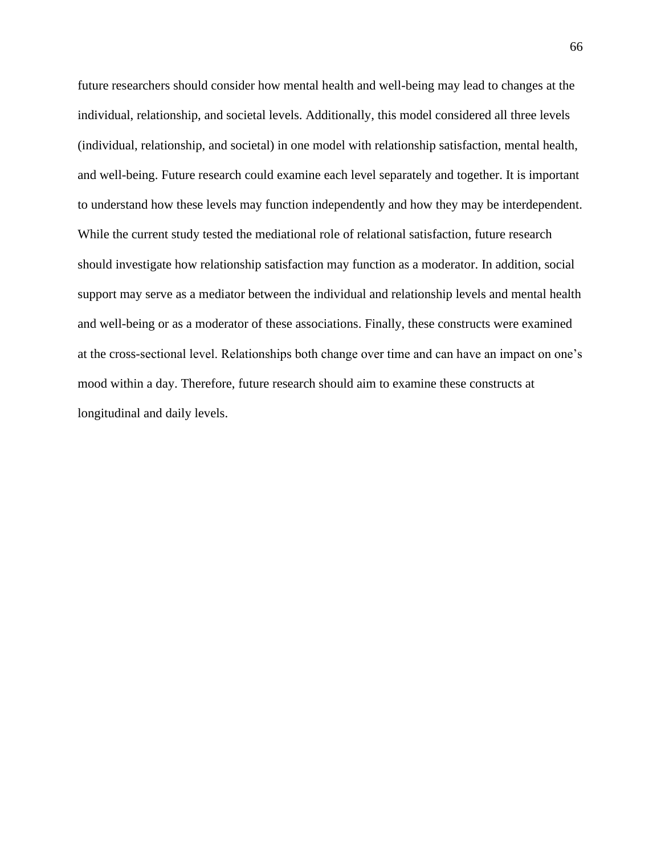future researchers should consider how mental health and well-being may lead to changes at the individual, relationship, and societal levels. Additionally, this model considered all three levels (individual, relationship, and societal) in one model with relationship satisfaction, mental health, and well-being. Future research could examine each level separately and together. It is important to understand how these levels may function independently and how they may be interdependent. While the current study tested the mediational role of relational satisfaction, future research should investigate how relationship satisfaction may function as a moderator. In addition, social support may serve as a mediator between the individual and relationship levels and mental health and well-being or as a moderator of these associations. Finally, these constructs were examined at the cross-sectional level. Relationships both change over time and can have an impact on one's mood within a day. Therefore, future research should aim to examine these constructs at longitudinal and daily levels.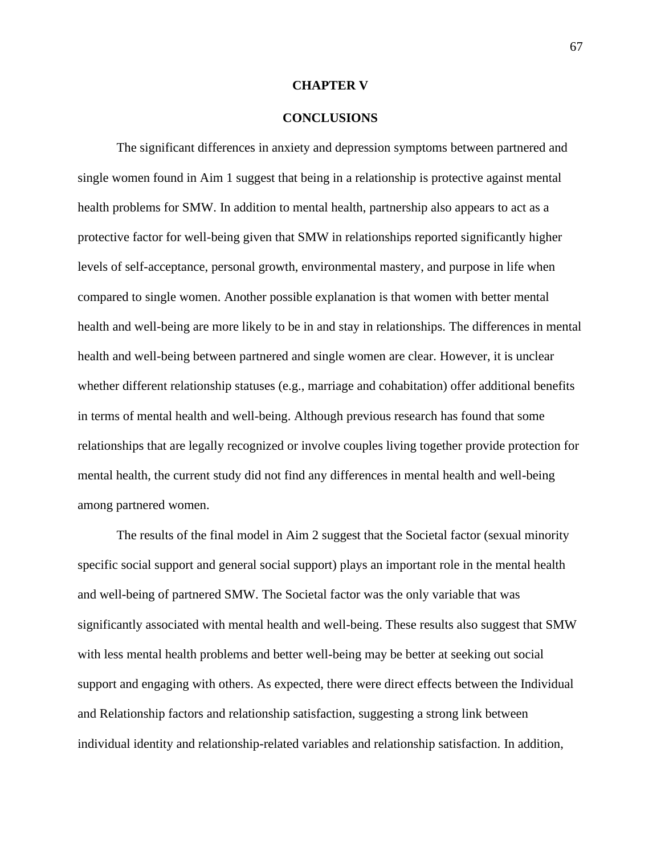### **CHAPTER V**

### **CONCLUSIONS**

The significant differences in anxiety and depression symptoms between partnered and single women found in Aim 1 suggest that being in a relationship is protective against mental health problems for SMW. In addition to mental health, partnership also appears to act as a protective factor for well-being given that SMW in relationships reported significantly higher levels of self-acceptance, personal growth, environmental mastery, and purpose in life when compared to single women. Another possible explanation is that women with better mental health and well-being are more likely to be in and stay in relationships. The differences in mental health and well-being between partnered and single women are clear. However, it is unclear whether different relationship statuses (e.g., marriage and cohabitation) offer additional benefits in terms of mental health and well-being. Although previous research has found that some relationships that are legally recognized or involve couples living together provide protection for mental health, the current study did not find any differences in mental health and well-being among partnered women.

The results of the final model in Aim 2 suggest that the Societal factor (sexual minority specific social support and general social support) plays an important role in the mental health and well-being of partnered SMW. The Societal factor was the only variable that was significantly associated with mental health and well-being. These results also suggest that SMW with less mental health problems and better well-being may be better at seeking out social support and engaging with others. As expected, there were direct effects between the Individual and Relationship factors and relationship satisfaction, suggesting a strong link between individual identity and relationship-related variables and relationship satisfaction. In addition,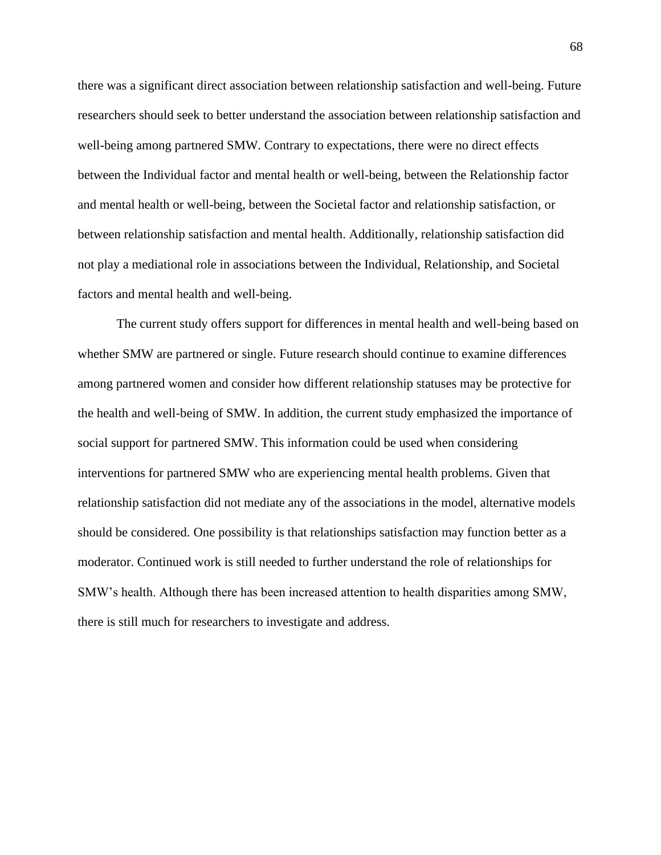there was a significant direct association between relationship satisfaction and well-being. Future researchers should seek to better understand the association between relationship satisfaction and well-being among partnered SMW. Contrary to expectations, there were no direct effects between the Individual factor and mental health or well-being, between the Relationship factor and mental health or well-being, between the Societal factor and relationship satisfaction, or between relationship satisfaction and mental health. Additionally, relationship satisfaction did not play a mediational role in associations between the Individual, Relationship, and Societal factors and mental health and well-being.

The current study offers support for differences in mental health and well-being based on whether SMW are partnered or single. Future research should continue to examine differences among partnered women and consider how different relationship statuses may be protective for the health and well-being of SMW. In addition, the current study emphasized the importance of social support for partnered SMW. This information could be used when considering interventions for partnered SMW who are experiencing mental health problems. Given that relationship satisfaction did not mediate any of the associations in the model, alternative models should be considered. One possibility is that relationships satisfaction may function better as a moderator. Continued work is still needed to further understand the role of relationships for SMW's health. Although there has been increased attention to health disparities among SMW, there is still much for researchers to investigate and address.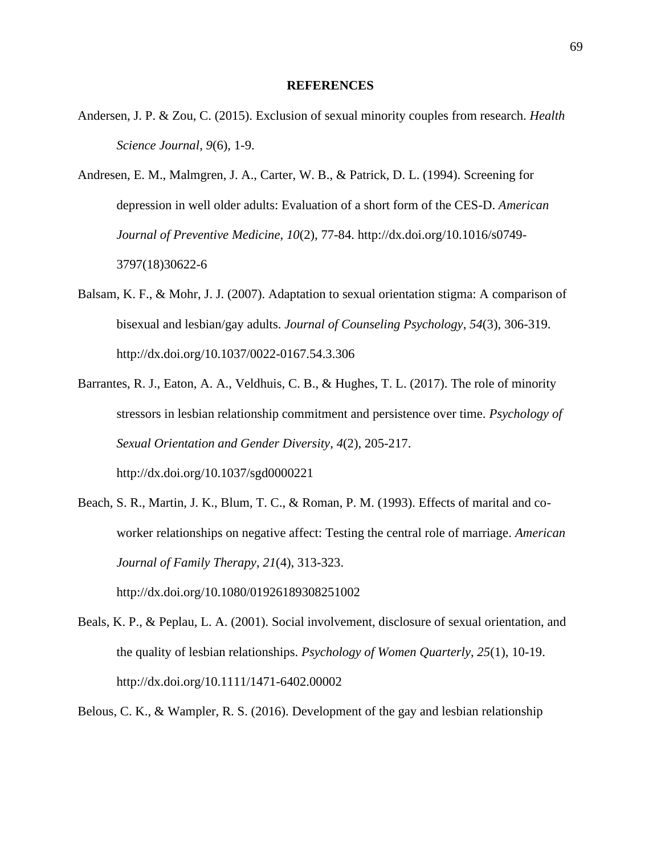### **REFERENCES**

- Andersen, J. P. & Zou, C. (2015). Exclusion of sexual minority couples from research. *Health Science Journal*, *9*(6)*,* 1-9.
- Andresen, E. M., Malmgren, J. A., Carter, W. B., & Patrick, D. L. (1994). Screening for depression in well older adults: Evaluation of a short form of the CES-D. *American Journal of Preventive Medicine*, *10*(2)*,* 77-84. http://dx.doi.org/10.1016/s0749- 3797(18)30622-6
- Balsam, K. F., & Mohr, J. J. (2007). Adaptation to sexual orientation stigma: A comparison of bisexual and lesbian/gay adults. *Journal of Counseling Psychology*, *54*(3)*,* 306-319. http://dx.doi.org/10.1037/0022-0167.54.3.306
- Barrantes, R. J., Eaton, A. A., Veldhuis, C. B., & Hughes, T. L. (2017). The role of minority stressors in lesbian relationship commitment and persistence over time. *Psychology of Sexual Orientation and Gender Diversity*, *4*(2), 205-217. http://dx.doi.org/10.1037/sgd0000221
- Beach, S. R., Martin, J. K., Blum, T. C., & Roman, P. M. (1993). Effects of marital and coworker relationships on negative affect: Testing the central role of marriage. *American Journal of Family Therapy*, *21*(4), 313-323.

http://dx.doi.org/10.1080/01926189308251002

- Beals, K. P., & Peplau, L. A. (2001). Social involvement, disclosure of sexual orientation, and the quality of lesbian relationships. *Psychology of Women Quarterly*, *25*(1), 10-19. http://dx.doi.org/10.1111/1471-6402.00002
- Belous, C. K., & Wampler, R. S. (2016). Development of the gay and lesbian relationship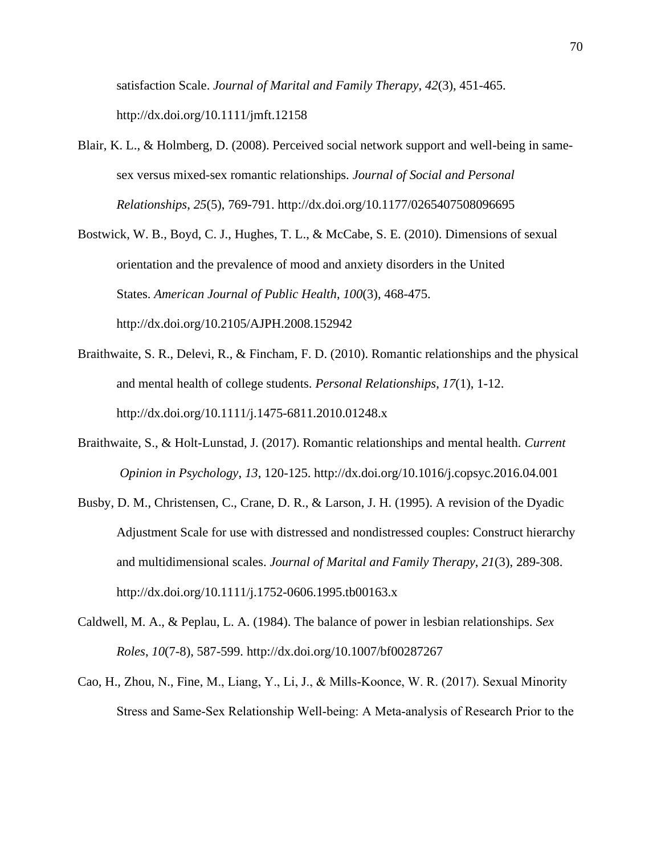satisfaction Scale. *Journal of Marital and Family Therapy*, *42*(3), 451-465. http://dx.doi.org/10.1111/jmft.12158

Blair, K. L., & Holmberg, D. (2008). Perceived social network support and well-being in samesex versus mixed-sex romantic relationships. *Journal of Social and Personal Relationships*, *25*(5), 769-791. http://dx.doi.org/10.1177/0265407508096695

Bostwick, W. B., Boyd, C. J., Hughes, T. L., & McCabe, S. E. (2010). Dimensions of sexual orientation and the prevalence of mood and anxiety disorders in the United States. *American Journal of Public Health*, *100*(3), 468-475. http://dx.doi.org/10.2105/AJPH.2008.152942

- Braithwaite, S. R., Delevi, R., & Fincham, F. D. (2010). Romantic relationships and the physical and mental health of college students. *Personal Relationships*, *17*(1), 1-12. http://dx.doi.org/10.1111/j.1475-6811.2010.01248.x
- Braithwaite, S., & Holt-Lunstad, J. (2017). Romantic relationships and mental health. *Current Opinion in Psychology*, *13*, 120-125. http://dx.doi.org/10.1016/j.copsyc.2016.04.001
- Busby, D. M., Christensen, C., Crane, D. R., & Larson, J. H. (1995). A revision of the Dyadic Adjustment Scale for use with distressed and nondistressed couples: Construct hierarchy and multidimensional scales. *Journal of Marital and Family Therapy*, *21*(3), 289-308. http://dx.doi.org/10.1111/j.1752-0606.1995.tb00163.x
- Caldwell, M. A., & Peplau, L. A. (1984). The balance of power in lesbian relationships. *Sex Roles*, *10*(7-8), 587-599. http://dx.doi.org/10.1007/bf00287267
- Cao, H., Zhou, N., Fine, M., Liang, Y., Li, J., & Mills‐Koonce, W. R. (2017). Sexual Minority Stress and Same‐Sex Relationship Well‐being: A Meta‐analysis of Research Prior to the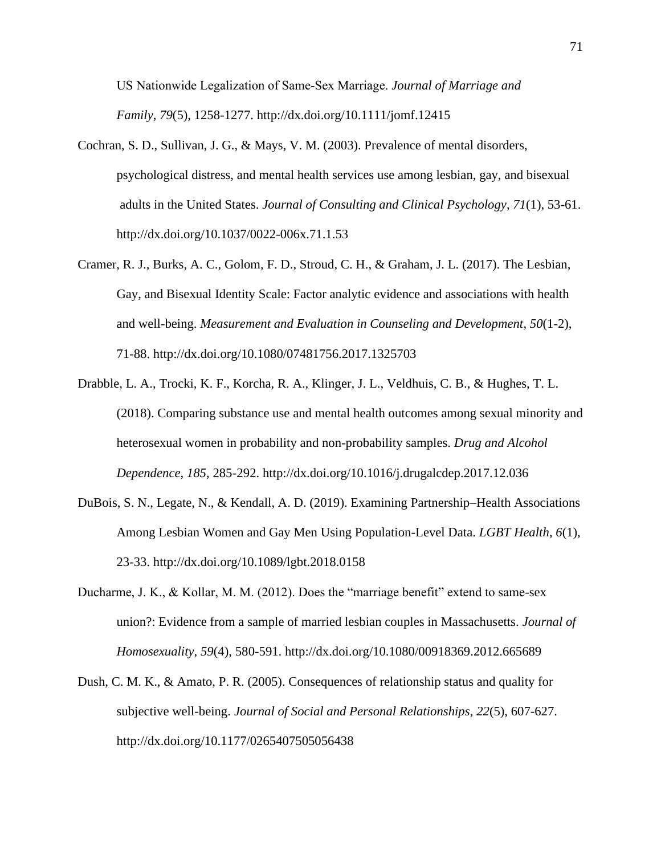US Nationwide Legalization of Same‐Sex Marriage. *Journal of Marriage and Family*, *79*(5), 1258-1277. http://dx.doi.org/10.1111/jomf.12415

- Cochran, S. D., Sullivan, J. G., & Mays, V. M. (2003). Prevalence of mental disorders, psychological distress, and mental health services use among lesbian, gay, and bisexual adults in the United States. *Journal of Consulting and Clinical Psychology*, *71*(1), 53-61. http://dx.doi.org/10.1037/0022-006x.71.1.53
- Cramer, R. J., Burks, A. C., Golom, F. D., Stroud, C. H., & Graham, J. L. (2017). The Lesbian, Gay, and Bisexual Identity Scale: Factor analytic evidence and associations with health and well-being. *Measurement and Evaluation in Counseling and Development*, *50*(1-2), 71-88. http://dx.doi.org/10.1080/07481756.2017.1325703
- Drabble, L. A., Trocki, K. F., Korcha, R. A., Klinger, J. L., Veldhuis, C. B., & Hughes, T. L. (2018). Comparing substance use and mental health outcomes among sexual minority and heterosexual women in probability and non-probability samples. *Drug and Alcohol Dependence*, *185,* 285-292. http://dx.doi.org/10.1016/j.drugalcdep.2017.12.036
- DuBois, S. N., Legate, N., & Kendall, A. D. (2019). Examining Partnership–Health Associations Among Lesbian Women and Gay Men Using Population-Level Data. *LGBT Health*, *6*(1), 23-33. http://dx.doi.org/10.1089/lgbt.2018.0158
- Ducharme, J. K., & Kollar, M. M. (2012). Does the "marriage benefit" extend to same-sex union?: Evidence from a sample of married lesbian couples in Massachusetts. *Journal of Homosexuality*, *59*(4), 580-591. http://dx.doi.org/10.1080/00918369.2012.665689
- Dush, C. M. K., & Amato, P. R. (2005). Consequences of relationship status and quality for subjective well-being. *Journal of Social and Personal Relationships*, *22*(5), 607-627. http://dx.doi.org/10.1177/0265407505056438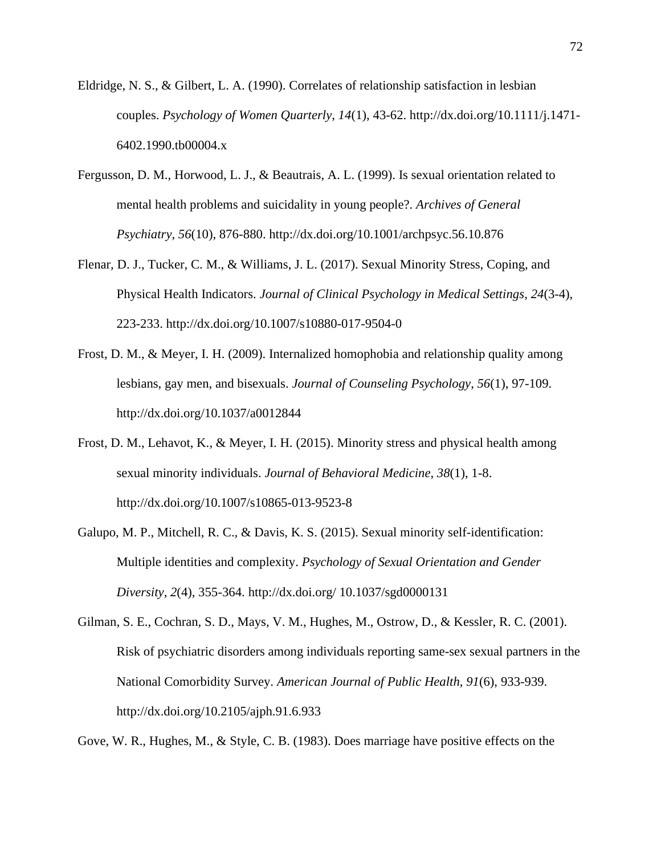- Eldridge, N. S., & Gilbert, L. A. (1990). Correlates of relationship satisfaction in lesbian couples. *Psychology of Women Quarterly*, *14*(1), 43-62. http://dx.doi.org/10.1111/j.1471- 6402.1990.tb00004.x
- Fergusson, D. M., Horwood, L. J., & Beautrais, A. L. (1999). Is sexual orientation related to mental health problems and suicidality in young people?. *Archives of General Psychiatry*, *56*(10), 876-880. http://dx.doi.org/10.1001/archpsyc.56.10.876
- Flenar, D. J., Tucker, C. M., & Williams, J. L. (2017). Sexual Minority Stress, Coping, and Physical Health Indicators. *Journal of Clinical Psychology in Medical Settings, 24*(3-4), 223-233. http://dx.doi.org/10.1007/s10880-017-9504-0
- Frost, D. M., & Meyer, I. H. (2009). Internalized homophobia and relationship quality among lesbians, gay men, and bisexuals. *Journal of Counseling Psychology*, *56*(1), 97-109. http://dx.doi.org/10.1037/a0012844
- Frost, D. M., Lehavot, K., & Meyer, I. H. (2015). Minority stress and physical health among sexual minority individuals. *Journal of Behavioral Medicine*, *38*(1), 1-8. http://dx.doi.org/10.1007/s10865-013-9523-8
- Galupo, M. P., Mitchell, R. C., & Davis, K. S. (2015). Sexual minority self-identification: Multiple identities and complexity. *Psychology of Sexual Orientation and Gender Diversity*, *2*(4), 355-364. http://dx.doi.org/ 10.1037/sgd0000131
- Gilman, S. E., Cochran, S. D., Mays, V. M., Hughes, M., Ostrow, D., & Kessler, R. C. (2001). Risk of psychiatric disorders among individuals reporting same-sex sexual partners in the National Comorbidity Survey. *American Journal of Public Health*, *91*(6), 933-939. http://dx.doi.org/10.2105/ajph.91.6.933

Gove, W. R., Hughes, M., & Style, C. B. (1983). Does marriage have positive effects on the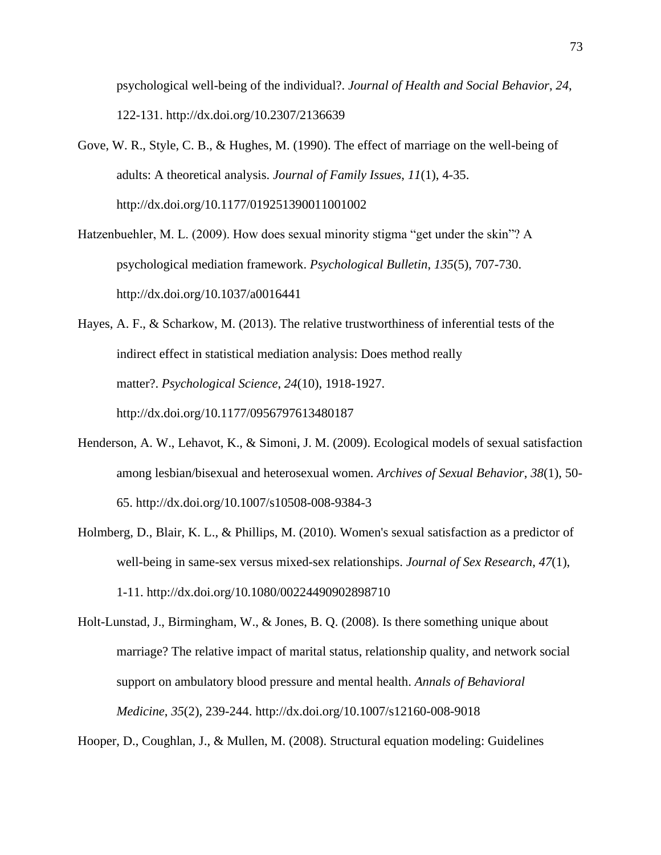psychological well-being of the individual?. *Journal of Health and Social Behavior*, *24*, 122-131. http://dx.doi.org/10.2307/2136639

- Gove, W. R., Style, C. B., & Hughes, M. (1990). The effect of marriage on the well-being of adults: A theoretical analysis. *Journal of Family Issues*, *11*(1), 4-35. http://dx.doi.org/10.1177/019251390011001002
- Hatzenbuehler, M. L. (2009). How does sexual minority stigma "get under the skin"? A psychological mediation framework. *Psychological Bulletin*, *135*(5), 707-730. http://dx.doi.org/10.1037/a0016441

Hayes, A. F., & Scharkow, M. (2013). The relative trustworthiness of inferential tests of the indirect effect in statistical mediation analysis: Does method really matter?. *Psychological Science*, *24*(10), 1918-1927. http://dx.doi.org/10.1177/0956797613480187

- Henderson, A. W., Lehavot, K., & Simoni, J. M. (2009). Ecological models of sexual satisfaction among lesbian/bisexual and heterosexual women. *Archives of Sexual Behavior*, *38*(1), 50- 65. http://dx.doi.org/10.1007/s10508-008-9384-3
- Holmberg, D., Blair, K. L., & Phillips, M. (2010). Women's sexual satisfaction as a predictor of well-being in same-sex versus mixed-sex relationships. *Journal of Sex Research*, *47*(1), 1-11. http://dx.doi.org/10.1080/00224490902898710
- Holt-Lunstad, J., Birmingham, W., & Jones, B. Q. (2008). Is there something unique about marriage? The relative impact of marital status, relationship quality, and network social support on ambulatory blood pressure and mental health. *Annals of Behavioral Medicine*, *35*(2), 239-244. http://dx.doi.org/10.1007/s12160-008-9018

Hooper, D., Coughlan, J., & Mullen, M. (2008). Structural equation modeling: Guidelines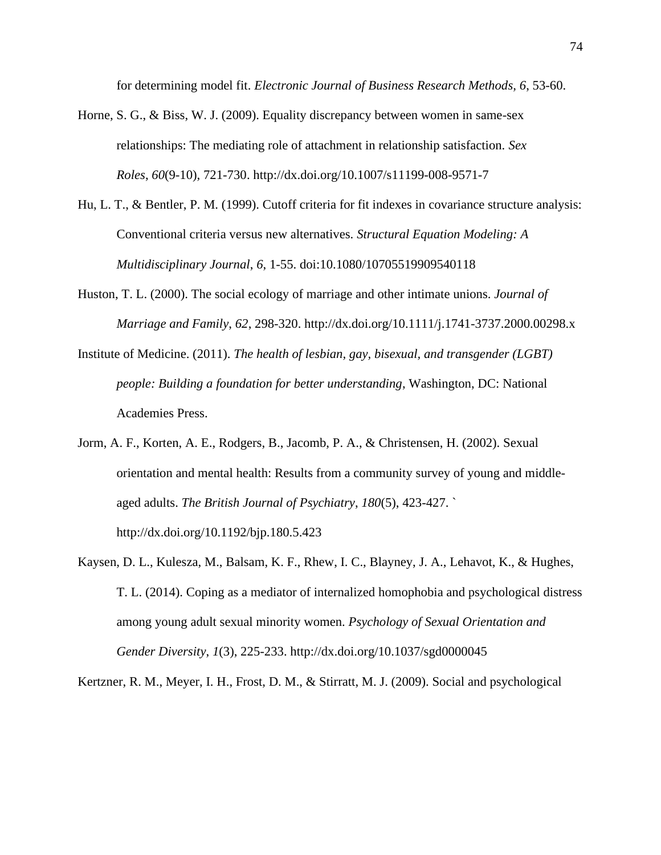for determining model fit. *Electronic Journal of Business Research Methods, 6*, 53-60.

- Horne, S. G., & Biss, W. J. (2009). Equality discrepancy between women in same-sex relationships: The mediating role of attachment in relationship satisfaction. *Sex Roles*, *60*(9-10), 721-730. http://dx.doi.org/10.1007/s11199-008-9571-7
- Hu, L. T., & Bentler, P. M. (1999). Cutoff criteria for fit indexes in covariance structure analysis: Conventional criteria versus new alternatives. *Structural Equation Modeling: A Multidisciplinary Journal*, *6*, 1-55. doi:10.1080/10705519909540118
- Huston, T. L. (2000). The social ecology of marriage and other intimate unions. *Journal of Marriage and Family*, *62*, 298-320. http://dx.doi.org/10.1111/j.1741-3737.2000.00298.x
- Institute of Medicine. (2011). *The health of lesbian, gay, bisexual, and transgender (LGBT) people: Building a foundation for better understanding*, Washington, DC: National Academies Press.
- Jorm, A. F., Korten, A. E., Rodgers, B., Jacomb, P. A., & Christensen, H. (2002). Sexual orientation and mental health: Results from a community survey of young and middleaged adults. *The British Journal of Psychiatry*, *180*(5), 423-427. ` http://dx.doi.org/10.1192/bjp.180.5.423
- Kaysen, D. L., Kulesza, M., Balsam, K. F., Rhew, I. C., Blayney, J. A., Lehavot, K., & Hughes, T. L. (2014). Coping as a mediator of internalized homophobia and psychological distress among young adult sexual minority women. *Psychology of Sexual Orientation and Gender Diversity*, *1*(3), 225-233. http://dx.doi.org/10.1037/sgd0000045

Kertzner, R. M., Meyer, I. H., Frost, D. M., & Stirratt, M. J. (2009). Social and psychological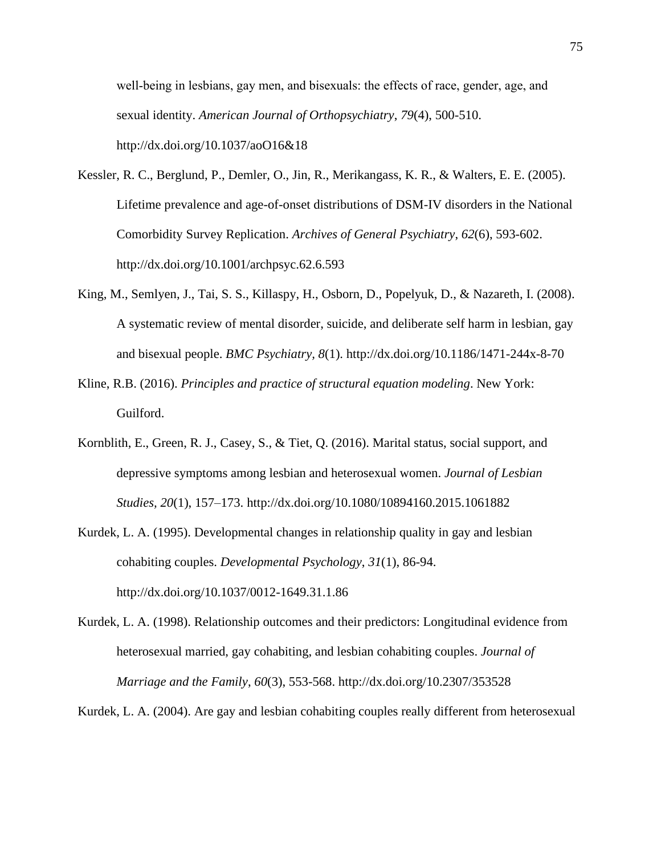well-being in lesbians, gay men, and bisexuals: the effects of race, gender, age, and sexual identity. *American Journal of Orthopsychiatry*, *79*(4), 500-510. http://dx.doi.org/10.1037/aoO16&18

- Kessler, R. C., Berglund, P., Demler, O., Jin, R., Merikangass, K. R., & Walters, E. E. (2005). Lifetime prevalence and age-of-onset distributions of DSM-IV disorders in the National Comorbidity Survey Replication. *Archives of General Psychiatry*, *62*(6), 593-602. http://dx.doi.org/10.1001/archpsyc.62.6.593
- King, M., Semlyen, J., Tai, S. S., Killaspy, H., Osborn, D., Popelyuk, D., & Nazareth, I. (2008). A systematic review of mental disorder, suicide, and deliberate self harm in lesbian, gay and bisexual people. *BMC Psychiatry, 8*(1). http://dx.doi.org/10.1186/1471-244x-8-70
- Kline, R.B. (2016). *Principles and practice of structural equation modeling*. New York: Guilford.
- Kornblith, E., Green, R. J., Casey, S., & Tiet, Q. (2016). Marital status, social support, and depressive symptoms among lesbian and heterosexual women. *Journal of Lesbian Studies, 20*(1), 157–173. http://dx.doi.org/10.1080/10894160.2015.1061882
- Kurdek, L. A. (1995). Developmental changes in relationship quality in gay and lesbian cohabiting couples. *Developmental Psychology*, *31*(1), 86-94. http://dx.doi.org/10.1037/0012-1649.31.1.86
- Kurdek, L. A. (1998). Relationship outcomes and their predictors: Longitudinal evidence from heterosexual married, gay cohabiting, and lesbian cohabiting couples. *Journal of Marriage and the Family*, *60*(3), 553-568. http://dx.doi.org/10.2307/353528

Kurdek, L. A. (2004). Are gay and lesbian cohabiting couples really different from heterosexual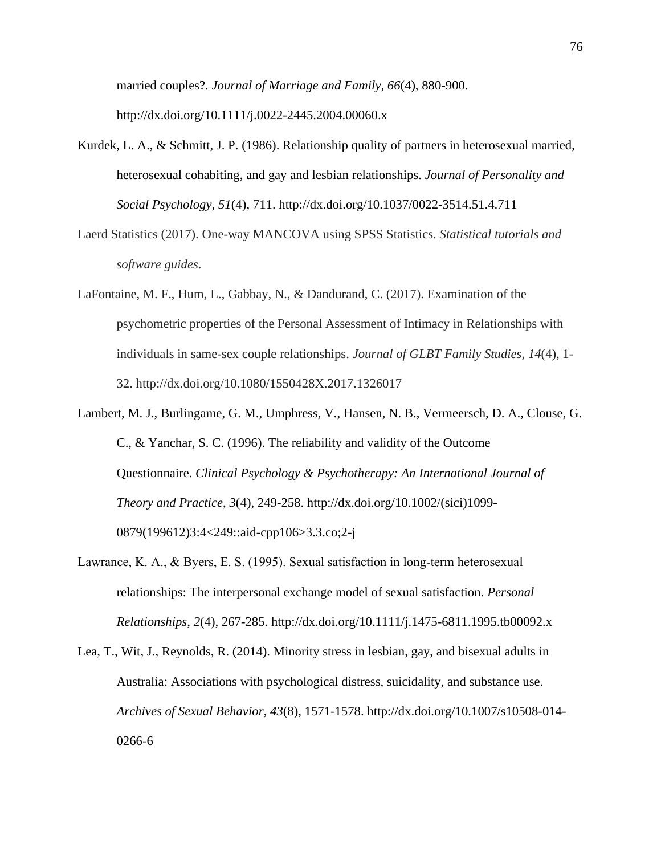married couples?. *Journal of Marriage and Family*, *66*(4), 880-900. http://dx.doi.org/10.1111/j.0022-2445.2004.00060.x

- Kurdek, L. A., & Schmitt, J. P. (1986). Relationship quality of partners in heterosexual married, heterosexual cohabiting, and gay and lesbian relationships. *Journal of Personality and Social Psychology*, *51*(4), 711. http://dx.doi.org/10.1037/0022-3514.51.4.711
- Laerd Statistics (2017). One-way MANCOVA using SPSS Statistics. *Statistical tutorials and software guides*.
- LaFontaine, M. F., Hum, L., Gabbay, N., & Dandurand, C. (2017). Examination of the psychometric properties of the Personal Assessment of Intimacy in Relationships with individuals in same-sex couple relationships. *Journal of GLBT Family Studies*, *14*(4), 1- 32. http://dx.doi.org/10.1080/1550428X.2017.1326017
- Lambert, M. J., Burlingame, G. M., Umphress, V., Hansen, N. B., Vermeersch, D. A., Clouse, G. C., & Yanchar, S. C. (1996). The reliability and validity of the Outcome Questionnaire. *Clinical Psychology & Psychotherapy: An International Journal of Theory and Practice*, *3*(4), 249-258. http://dx.doi.org/10.1002/(sici)1099- 0879(199612)3:4<249::aid-cpp106>3.3.co;2-j
- Lawrance, K. A., & Byers, E. S. (1995). Sexual satisfaction in long‐term heterosexual relationships: The interpersonal exchange model of sexual satisfaction. *Personal Relationships*, *2*(4), 267-285. http://dx.doi.org/10.1111/j.1475-6811.1995.tb00092.x
- Lea, T., Wit, J., Reynolds, R. (2014). Minority stress in lesbian, gay, and bisexual adults in Australia: Associations with psychological distress, suicidality, and substance use. *Archives of Sexual Behavior*, *43*(8), 1571-1578. http://dx.doi.org/10.1007/s10508-014- 0266-6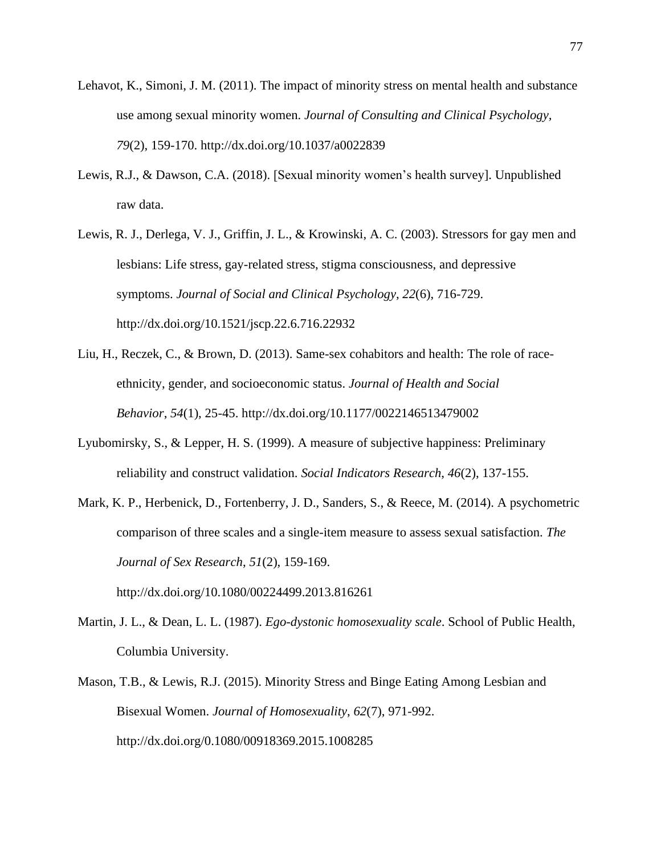- Lehavot, K., Simoni, J. M. (2011). The impact of minority stress on mental health and substance use among sexual minority women. *Journal of Consulting and Clinical Psychology, 79*(2), 159-170. http://dx.doi.org/10.1037/a0022839
- Lewis, R.J., & Dawson, C.A. (2018). [Sexual minority women's health survey]. Unpublished raw data.
- Lewis, R. J., Derlega, V. J., Griffin, J. L., & Krowinski, A. C. (2003). Stressors for gay men and lesbians: Life stress, gay-related stress, stigma consciousness, and depressive symptoms. *Journal of Social and Clinical Psychology*, *22*(6), 716-729. http://dx.doi.org/10.1521/jscp.22.6.716.22932
- Liu, H., Reczek, C., & Brown, D. (2013). Same-sex cohabitors and health: The role of raceethnicity, gender, and socioeconomic status. *Journal of Health and Social Behavior*, *54*(1), 25-45. http://dx.doi.org/10.1177/0022146513479002
- Lyubomirsky, S., & Lepper, H. S. (1999). A measure of subjective happiness: Preliminary reliability and construct validation. *Social Indicators Research*, *46*(2), 137-155.
- Mark, K. P., Herbenick, D., Fortenberry, J. D., Sanders, S., & Reece, M. (2014). A psychometric comparison of three scales and a single-item measure to assess sexual satisfaction. *The Journal of Sex Research*, *51*(2), 159-169.
- Martin, J. L., & Dean, L. L. (1987). *Ego-dystonic homosexuality scale*. School of Public Health, Columbia University.

http://dx.doi.org/10.1080/00224499.2013.816261

Mason, T.B., & Lewis, R.J. (2015). Minority Stress and Binge Eating Among Lesbian and Bisexual Women. *Journal of Homosexuality*, *62*(7), 971-992. http://dx.doi.org/0.1080/00918369.2015.1008285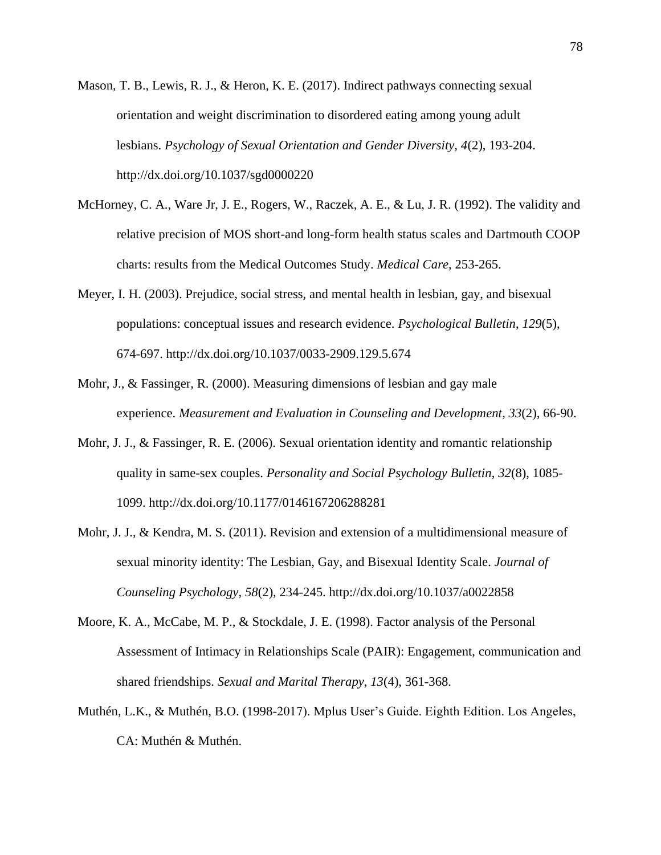- Mason, T. B., Lewis, R. J., & Heron, K. E. (2017). Indirect pathways connecting sexual orientation and weight discrimination to disordered eating among young adult lesbians. *Psychology of Sexual Orientation and Gender Diversity, 4*(2), 193-204. http://dx.doi.org/10.1037/sgd0000220
- McHorney, C. A., Ware Jr, J. E., Rogers, W., Raczek, A. E., & Lu, J. R. (1992). The validity and relative precision of MOS short-and long-form health status scales and Dartmouth COOP charts: results from the Medical Outcomes Study. *Medical Care*, 253-265.
- Meyer, I. H. (2003). Prejudice, social stress, and mental health in lesbian, gay, and bisexual populations: conceptual issues and research evidence. *Psychological Bulletin*, *129*(5), 674-697. http://dx.doi.org/10.1037/0033-2909.129.5.674
- Mohr, J., & Fassinger, R. (2000). Measuring dimensions of lesbian and gay male experience. *Measurement and Evaluation in Counseling and Development*, *33*(2), 66-90.
- Mohr, J. J., & Fassinger, R. E. (2006). Sexual orientation identity and romantic relationship quality in same-sex couples. *Personality and Social Psychology Bulletin*, *32*(8), 1085- 1099. http://dx.doi.org/10.1177/0146167206288281
- Mohr, J. J., & Kendra, M. S. (2011). Revision and extension of a multidimensional measure of sexual minority identity: The Lesbian, Gay, and Bisexual Identity Scale. *Journal of Counseling Psychology*, *58*(2), 234-245. http://dx.doi.org/10.1037/a0022858
- Moore, K. A., McCabe, M. P., & Stockdale, J. E. (1998). Factor analysis of the Personal Assessment of Intimacy in Relationships Scale (PAIR): Engagement, communication and shared friendships. *Sexual and Marital Therapy*, *13*(4), 361-368.
- Muthén, L.K., & Muthén, B.O. (1998-2017). Mplus User's Guide. Eighth Edition. Los Angeles, CA: Muthén & Muthén.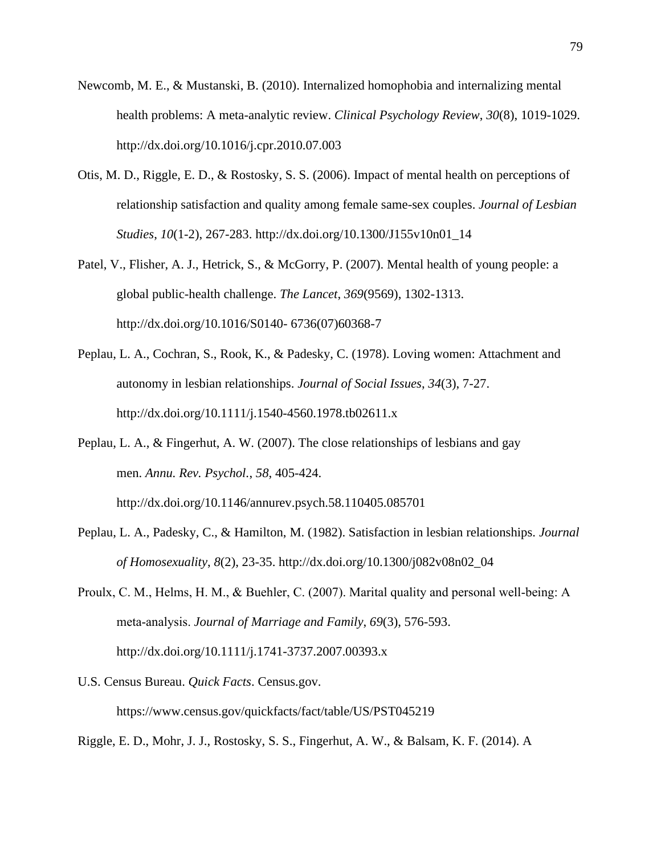- Newcomb, M. E., & Mustanski, B. (2010). Internalized homophobia and internalizing mental health problems: A meta-analytic review. *Clinical Psychology Review*, *30*(8), 1019-1029. http://dx.doi.org/10.1016/j.cpr.2010.07.003
- Otis, M. D., Riggle, E. D., & Rostosky, S. S. (2006). Impact of mental health on perceptions of relationship satisfaction and quality among female same-sex couples. *Journal of Lesbian Studies*, *10*(1-2), 267-283. http://dx.doi.org/10.1300/J155v10n01\_14
- Patel, V., Flisher, A. J., Hetrick, S., & McGorry, P. (2007). Mental health of young people: a global public-health challenge. *The Lancet*, *369*(9569), 1302-1313. http://dx.doi.org/10.1016/S0140- 6736(07)60368-7
- Peplau, L. A., Cochran, S., Rook, K., & Padesky, C. (1978). Loving women: Attachment and autonomy in lesbian relationships. *Journal of Social Issues*, *34*(3), 7-27. http://dx.doi.org/10.1111/j.1540-4560.1978.tb02611.x
- Peplau, L. A., & Fingerhut, A. W. (2007). The close relationships of lesbians and gay men. *Annu. Rev. Psychol.*, *58*, 405-424.

http://dx.doi.org/10.1146/annurev.psych.58.110405.085701

- Peplau, L. A., Padesky, C., & Hamilton, M. (1982). Satisfaction in lesbian relationships. *Journal of Homosexuality*, *8*(2), 23-35. http://dx.doi.org/10.1300/j082v08n02\_04
- Proulx, C. M., Helms, H. M., & Buehler, C. (2007). Marital quality and personal well‐being: A meta‐analysis. *Journal of Marriage and Family*, *69*(3), 576-593. http://dx.doi.org/10.1111/j.1741-3737.2007.00393.x
- U.S. Census Bureau. *Quick Facts*. Census.gov. https://www.census.gov/quickfacts/fact/table/US/PST045219
- Riggle, E. D., Mohr, J. J., Rostosky, S. S., Fingerhut, A. W., & Balsam, K. F. (2014). A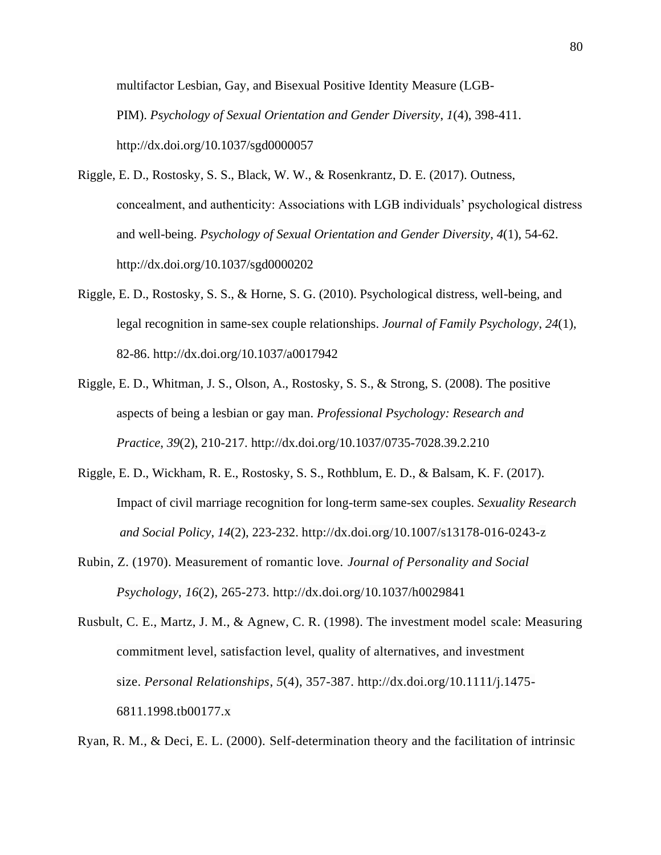multifactor Lesbian, Gay, and Bisexual Positive Identity Measure (LGB-PIM). *Psychology of Sexual Orientation and Gender Diversity*, *1*(4), 398-411. http://dx.doi.org/10.1037/sgd0000057

- Riggle, E. D., Rostosky, S. S., Black, W. W., & Rosenkrantz, D. E. (2017). Outness, concealment, and authenticity: Associations with LGB individuals' psychological distress and well-being. *Psychology of Sexual Orientation and Gender Diversity*, *4*(1), 54-62. http://dx.doi.org/10.1037/sgd0000202
- Riggle, E. D., Rostosky, S. S., & Horne, S. G. (2010). Psychological distress, well-being, and legal recognition in same-sex couple relationships. *Journal of Family Psychology*, *24*(1), 82-86. http://dx.doi.org/10.1037/a0017942
- Riggle, E. D., Whitman, J. S., Olson, A., Rostosky, S. S., & Strong, S. (2008). The positive aspects of being a lesbian or gay man. *Professional Psychology: Research and Practice*, *39*(2), 210-217. http://dx.doi.org/10.1037/0735-7028.39.2.210
- Riggle, E. D., Wickham, R. E., Rostosky, S. S., Rothblum, E. D., & Balsam, K. F. (2017). Impact of civil marriage recognition for long-term same-sex couples. *Sexuality Research and Social Policy*, *14*(2), 223-232. http://dx.doi.org/10.1007/s13178-016-0243-z
- Rubin, Z. (1970). Measurement of romantic love. *Journal of Personality and Social Psychology*, *16*(2), 265-273. http://dx.doi.org/10.1037/h0029841

Rusbult, C. E., Martz, J. M., & Agnew, C. R. (1998). The investment model scale: Measuring commitment level, satisfaction level, quality of alternatives, and investment size. *Personal Relationships*, *5*(4), 357-387. http://dx.doi.org/10.1111/j.1475- 6811.1998.tb00177.x

Ryan, R. M., & Deci, E. L. (2000). Self-determination theory and the facilitation of intrinsic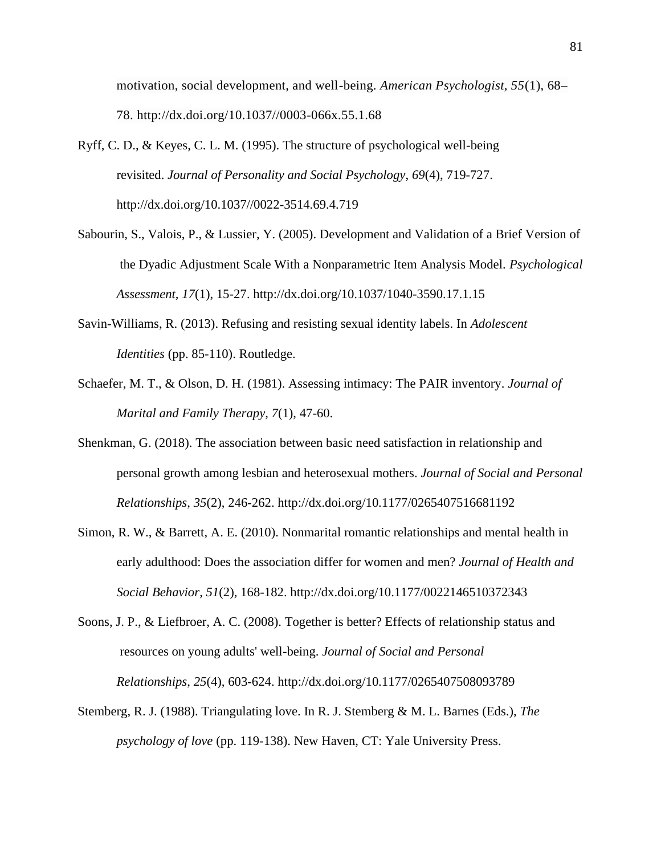motivation, social development, and well-being. *American Psychologist, 55*(1), 68– 78. http://dx.doi.org/10.1037//0003-066x.55.1.68

- Ryff, C. D., & Keyes, C. L. M. (1995). The structure of psychological well-being revisited. *Journal of Personality and Social Psychology*, *69*(4), 719-727. http://dx.doi.org/10.1037//0022-3514.69.4.719
- Sabourin, S., Valois, P., & Lussier, Y. (2005). Development and Validation of a Brief Version of the Dyadic Adjustment Scale With a Nonparametric Item Analysis Model. *Psychological Assessment, 17*(1), 15-27. http://dx.doi.org/10.1037/1040-3590.17.1.15
- Savin-Williams, R. (2013). Refusing and resisting sexual identity labels. In *Adolescent Identities* (pp. 85-110). Routledge.
- Schaefer, M. T., & Olson, D. H. (1981). Assessing intimacy: The PAIR inventory. *Journal of Marital and Family Therapy*, *7*(1), 47-60.
- Shenkman, G. (2018). The association between basic need satisfaction in relationship and personal growth among lesbian and heterosexual mothers. *Journal of Social and Personal Relationships*, *35*(2), 246-262. http://dx.doi.org/10.1177/0265407516681192
- Simon, R. W., & Barrett, A. E. (2010). Nonmarital romantic relationships and mental health in early adulthood: Does the association differ for women and men? *Journal of Health and Social Behavior*, *51*(2), 168-182. http://dx.doi.org/10.1177/0022146510372343
- Soons, J. P., & Liefbroer, A. C. (2008). Together is better? Effects of relationship status and resources on young adults' well-being. *Journal of Social and Personal Relationships*, *25*(4), 603-624. http://dx.doi.org/10.1177/0265407508093789
- Stemberg, R. J. (1988). Triangulating love. In R. J. Stemberg & M. L. Barnes (Eds.), *The psychology of love* (pp. 119-138). New Haven, CT: Yale University Press.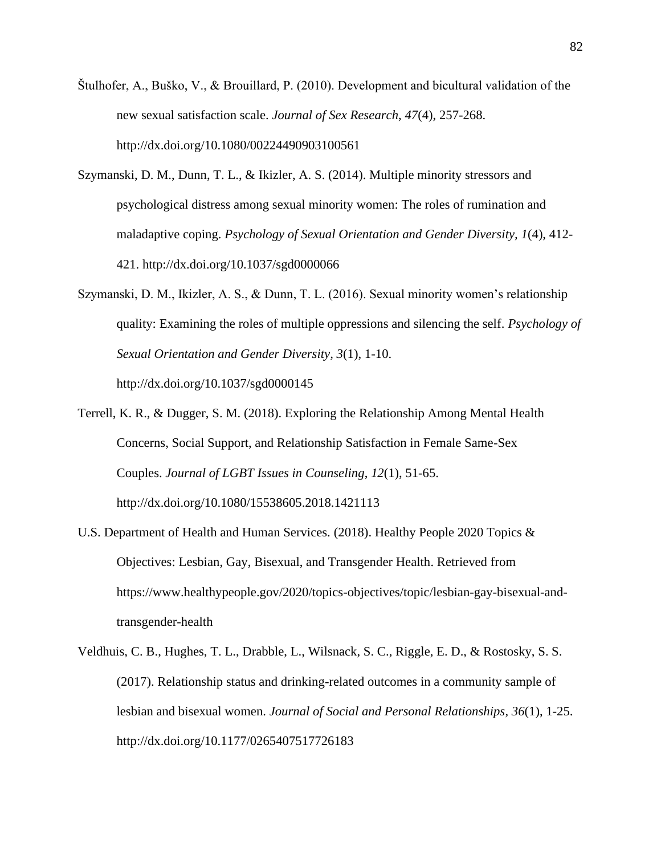- Štulhofer, A., Buško, V., & Brouillard, P. (2010). Development and bicultural validation of the new sexual satisfaction scale. *Journal of Sex Research*, *47*(4), 257-268. http://dx.doi.org/10.1080/00224490903100561
- Szymanski, D. M., Dunn, T. L., & Ikizler, A. S. (2014). Multiple minority stressors and psychological distress among sexual minority women: The roles of rumination and maladaptive coping. *Psychology of Sexual Orientation and Gender Diversity, 1*(4), 412- 421. http://dx.doi.org/10.1037/sgd0000066
- Szymanski, D. M., Ikizler, A. S., & Dunn, T. L. (2016). Sexual minority women's relationship quality: Examining the roles of multiple oppressions and silencing the self. *Psychology of Sexual Orientation and Gender Diversity, 3*(1), 1-10. http://dx.doi.org/10.1037/sgd0000145
- Terrell, K. R., & Dugger, S. M. (2018). Exploring the Relationship Among Mental Health Concerns, Social Support, and Relationship Satisfaction in Female Same-Sex Couples. *Journal of LGBT Issues in Counseling*, *12*(1), 51-65. http://dx.doi.org/10.1080/15538605.2018.1421113
- U.S. Department of Health and Human Services. (2018). Healthy People 2020 Topics & Objectives: Lesbian, Gay, Bisexual, and Transgender Health. Retrieved from https://www.healthypeople.gov/2020/topics-objectives/topic/lesbian-gay-bisexual-andtransgender-health
- Veldhuis, C. B., Hughes, T. L., Drabble, L., Wilsnack, S. C., Riggle, E. D., & Rostosky, S. S. (2017). Relationship status and drinking-related outcomes in a community sample of lesbian and bisexual women. *Journal of Social and Personal Relationships*, *36*(1), 1-25. http://dx.doi.org/10.1177/0265407517726183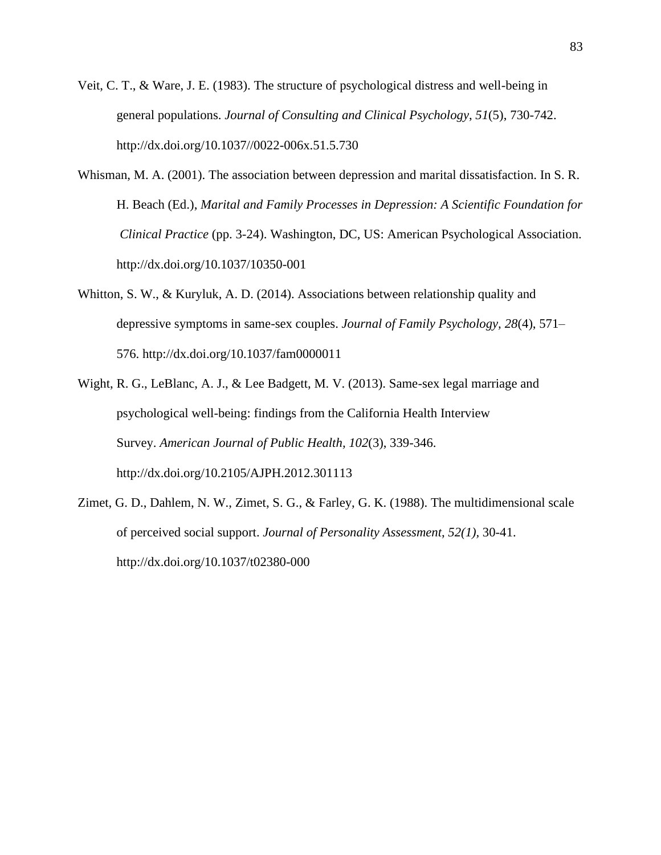- Veit, C. T., & Ware, J. E. (1983). The structure of psychological distress and well-being in general populations. *Journal of Consulting and Clinical Psychology*, *51*(5), 730-742. http://dx.doi.org/10.1037//0022-006x.51.5.730
- Whisman, M. A. (2001). The association between depression and marital dissatisfaction. In S. R. H. Beach (Ed.), *Marital and Family Processes in Depression: A Scientific Foundation for Clinical Practice* (pp. 3-24). Washington, DC, US: American Psychological Association. http://dx.doi.org/10.1037/10350-001
- Whitton, S. W., & Kuryluk, A. D. (2014). Associations between relationship quality and depressive symptoms in same-sex couples. *Journal of Family Psychology, 28*(4), 571– 576. http://dx.doi.org/10.1037/fam0000011
- Wight, R. G., LeBlanc, A. J., & Lee Badgett, M. V. (2013). Same-sex legal marriage and psychological well-being: findings from the California Health Interview Survey. *American Journal of Public Health, 102*(3), 339-346. http://dx.doi.org/10.2105/AJPH.2012.301113
- Zimet, G. D., Dahlem, N. W., Zimet, S. G., & Farley, G. K. (1988). The multidimensional scale of perceived social support. *Journal of Personality Assessment*, *52(1),* 30-41. http://dx.doi.org/10.1037/t02380-000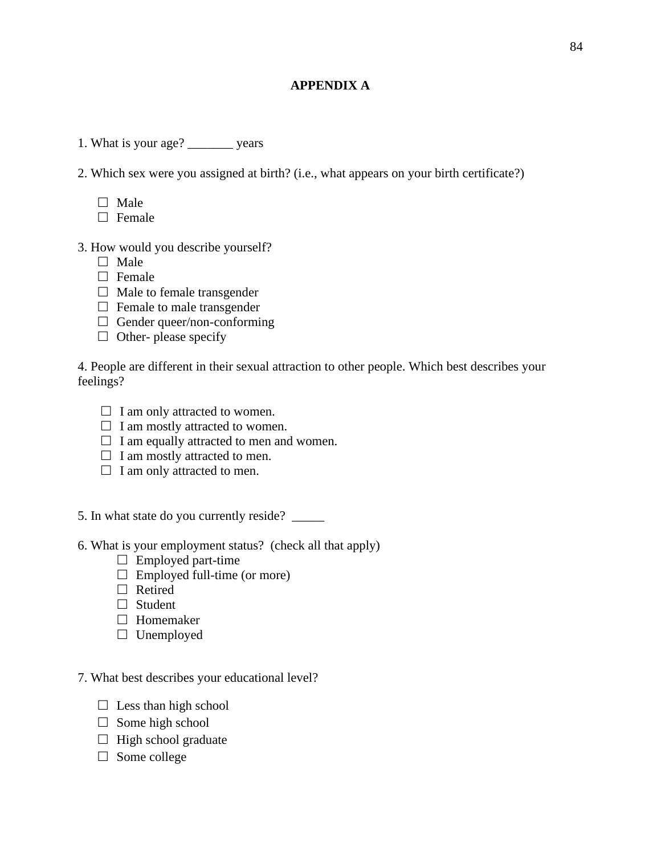# **APPENDIX A**

- 1. What is your age? \_\_\_\_\_\_\_ years
- 2. Which sex were you assigned at birth? (i.e., what appears on your birth certificate?)
	- $\Box$  Male
	- $\Box$  Female
- 3. How would you describe yourself?
	- $\Box$  Male
	- $\Box$  Female
	- $\Box$  Male to female transgender
	- $\Box$  Female to male transgender
	- $\Box$  Gender queer/non-conforming
	- $\Box$  Other- please specify

4. People are different in their sexual attraction to other people. Which best describes your feelings?

- $\Box$  I am only attracted to women.
- $\Box$  I am mostly attracted to women.
- $\Box$  I am equally attracted to men and women.
- $\Box$  I am mostly attracted to men.
- $\Box$  I am only attracted to men.
- 5. In what state do you currently reside? \_\_\_\_\_
- 6. What is your employment status? (check all that apply)
	- $\Box$  Employed part-time
	- $\Box$  Employed full-time (or more)
	- $\Box$  Retired
	- □ Student
	- □ Homemaker
	- $\Box$  Unemployed
- 7. What best describes your educational level?
	- $\Box$  Less than high school
	- $\Box$  Some high school
	- $\Box$  High school graduate
	- $\Box$  Some college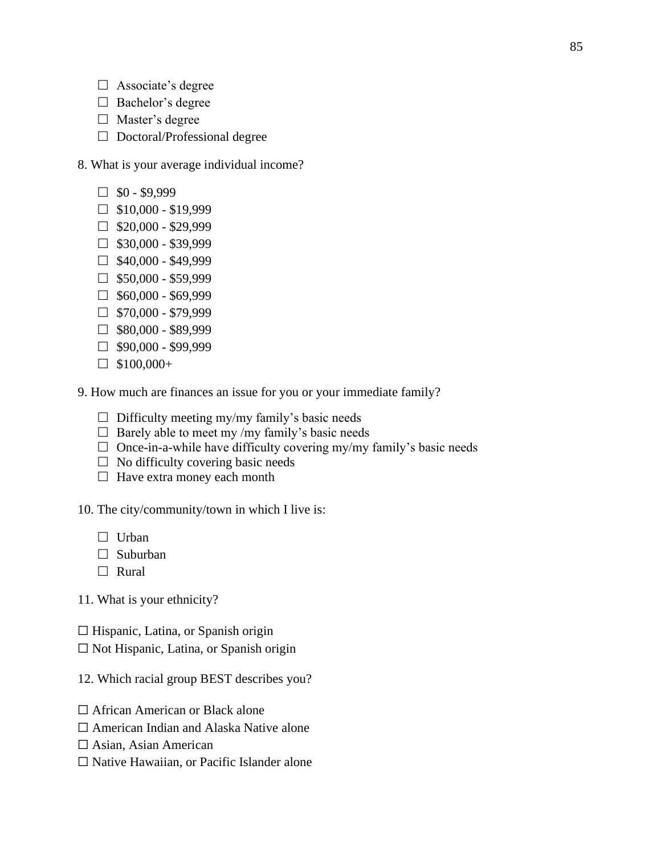- $\Box$  Associate's degree
- $\Box$  Bachelor's degree
- $\Box$  Master's degree
- $\Box$  Doctoral/Professional degree
- 8. What is your average individual income?
	- $\Box$  \$0 \$9,999
	- $\Box$  \$10,000 \$19,999
	- $\Box$  \$20,000 \$29,999
	- $\Box$  \$30,000 \$39,999
	- $\Box$  \$40,000 \$49,999
	- $\Box$  \$50,000 \$59,999
	- $\Box$  \$60,000 \$69,999
	- $\Box$  \$70,000 \$79,999
	- $\Box$  \$80,000 \$89,999
	- $\Box$  \$90,000 \$99,999
	- $\Box$  \$100,000+
- 9. How much are finances an issue for you or your immediate family?
	- $\Box$  Difficulty meeting my/my family's basic needs
	- $\Box$  Barely able to meet my /my family's basic needs
	- $\Box$  Once-in-a-while have difficulty covering my/my family's basic needs
	- $\Box$  No difficulty covering basic needs
	- $\Box$  Have extra money each month

10. The city/community/town in which I live is:

- $\Box$  Urban
- $\Box$  Suburban
- □ Rural

11. What is your ethnicity?

- $\Box$  Hispanic, Latina, or Spanish origin
- ☐ Not Hispanic, Latina, or Spanish origin
- 12. Which racial group BEST describes you?
- □ African American or Black alone
- ☐ American Indian and Alaska Native alone
- $\Box$  Asian, Asian American
- ☐ Native Hawaiian, or Pacific Islander alone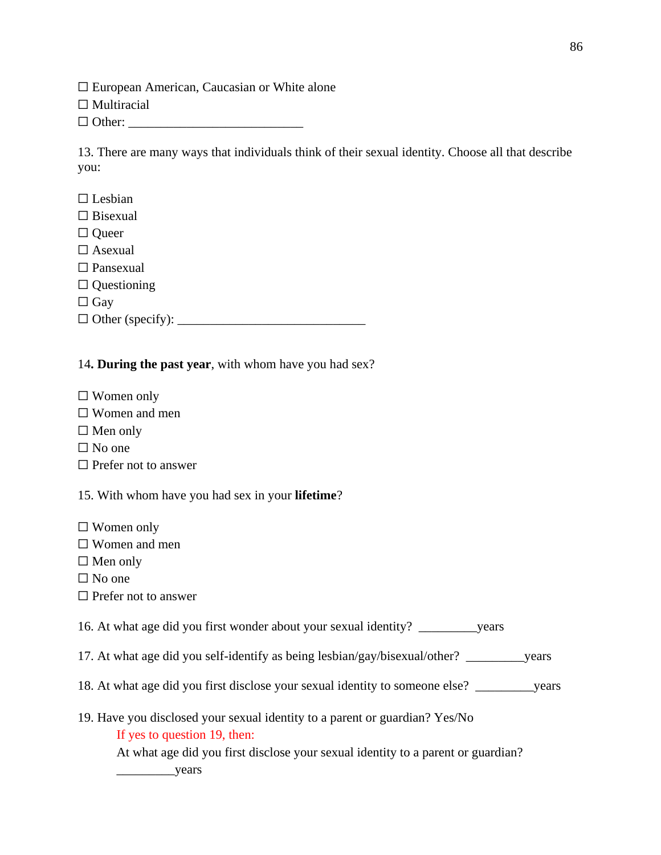$\Box$  European American, Caucasian or White alone

□ Multiracial

☐ Other: \_\_\_\_\_\_\_\_\_\_\_\_\_\_\_\_\_\_\_\_\_\_\_\_\_\_\_

13. There are many ways that individuals think of their sexual identity. Choose all that describe you:

- $\Box$  Lesbian
- $\Box$  Bisexual
- □ Queer
- □ Asexual
- □ Pansexual
- ☐ Questioning

☐ Gay

☐ Other (specify): \_\_\_\_\_\_\_\_\_\_\_\_\_\_\_\_\_\_\_\_\_\_\_\_\_\_\_\_\_

# 14**. During the past year**, with whom have you had sex?

- ☐ Women only
- ☐ Women and men
- $\Box$  Men only
- $\Box$  No one
- $\Box$  Prefer not to answer
- 15. With whom have you had sex in your **lifetime**?
- ☐ Women only
- ☐ Women and men
- $\Box$  Men only
- $\square$  No one
- ☐ Prefer not to answer

16. At what age did you first wonder about your sexual identity? \_\_\_\_\_\_\_\_\_years

- 17. At what age did you self-identify as being lesbian/gay/bisexual/other? \_\_\_\_\_\_\_\_\_years
- 18. At what age did you first disclose your sexual identity to someone else? \_\_\_\_\_\_\_\_\_years
- 19. Have you disclosed your sexual identity to a parent or guardian? Yes/No If yes to question 19, then: At what age did you first disclose your sexual identity to a parent or guardian?

\_\_\_\_\_\_\_\_\_years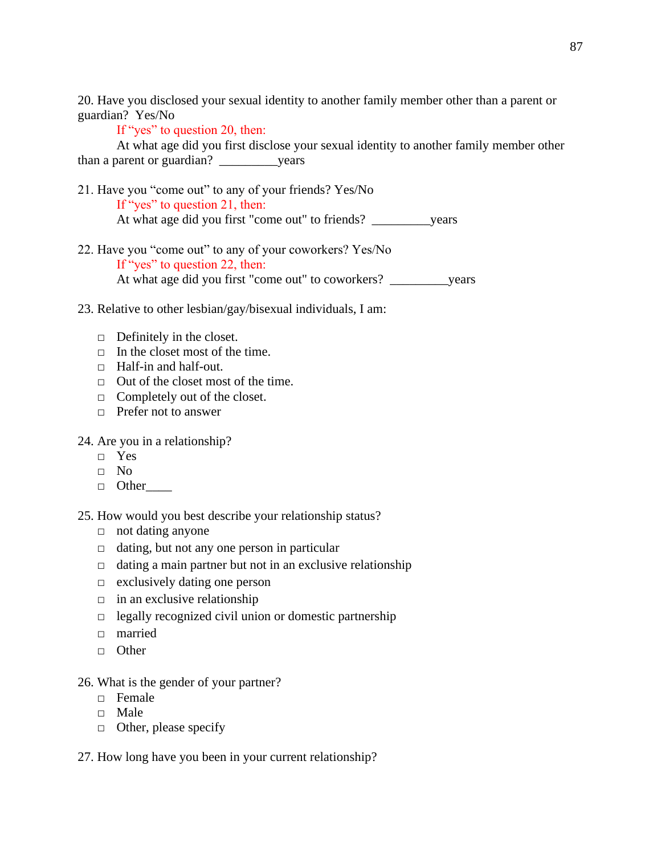20. Have you disclosed your sexual identity to another family member other than a parent or guardian? Yes/No

If "yes" to question 20, then:

At what age did you first disclose your sexual identity to another family member other than a parent or guardian? \_\_\_\_\_\_\_\_\_years

- 21. Have you "come out" to any of your friends? Yes/No If "yes" to question 21, then: At what age did you first "come out" to friends? vears
- 22. Have you "come out" to any of your coworkers? Yes/No If "yes" to question 22, then: At what age did you first "come out" to coworkers? \_\_\_\_\_\_\_\_\_years
- 23. Relative to other lesbian/gay/bisexual individuals, I am:
	- $\Box$  Definitely in the closet.
	- $\Box$  In the closet most of the time.
	- □ Half-in and half-out.
	- □ Out of the closet most of the time.
	- $\Box$  Completely out of the closet.
	- $\Box$  Prefer not to answer

### 24. Are you in a relationship?

- □ Yes
- $\Box$  No
- □ Other\_\_\_\_

25. How would you best describe your relationship status?

- □ not dating anyone
- □ dating, but not any one person in particular
- $\Box$  dating a main partner but not in an exclusive relationship
- $\Box$  exclusively dating one person
- $\Box$  in an exclusive relationship
- $\Box$  legally recognized civil union or domestic partnership
- □ married
- □ Other

### 26. What is the gender of your partner?

- $\neg$  Female
- □ Male
- $\Box$  Other, please specify
- 27. How long have you been in your current relationship?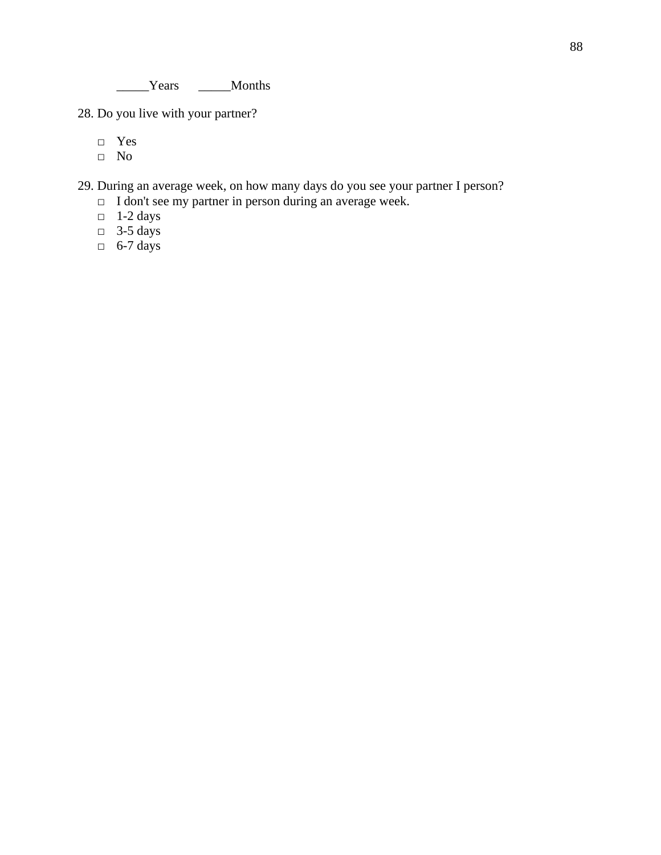28. Do you live with your partner?

□ Yes

□ No

29. During an average week, on how many days do you see your partner I person?

- □ I don't see my partner in person during an average week.
- $\Box$  1-2 days
- $\Box$  3-5 days
- $\Box$  6-7 days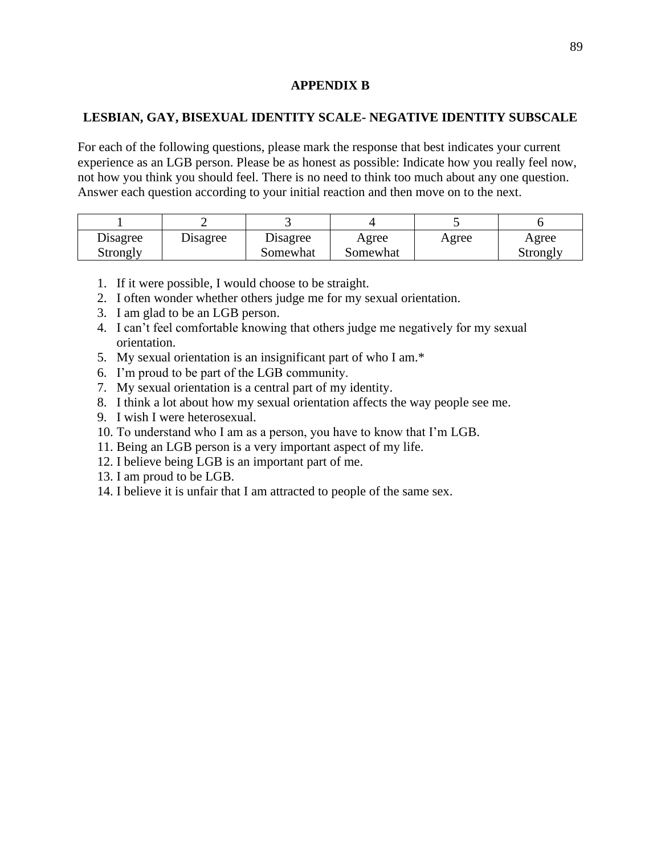### **APPENDIX B**

### **LESBIAN, GAY, BISEXUAL IDENTITY SCALE- NEGATIVE IDENTITY SUBSCALE**

For each of the following questions, please mark the response that best indicates your current experience as an LGB person. Please be as honest as possible: Indicate how you really feel now, not how you think you should feel. There is no need to think too much about any one question. Answer each question according to your initial reaction and then move on to the next.

| Disagree | Disagree | Disagree | Agree    | Agree | Agree    |
|----------|----------|----------|----------|-------|----------|
| Strongly |          | Somewhat | Somewhat |       | Strongly |

- 1. If it were possible, I would choose to be straight.
- 2. I often wonder whether others judge me for my sexual orientation.
- 3. I am glad to be an LGB person.
- 4. I can't feel comfortable knowing that others judge me negatively for my sexual orientation.
- 5. My sexual orientation is an insignificant part of who I am.\*
- 6. I'm proud to be part of the LGB community.
- 7. My sexual orientation is a central part of my identity.
- 8. I think a lot about how my sexual orientation affects the way people see me.
- 9. I wish I were heterosexual.
- 10. To understand who I am as a person, you have to know that I'm LGB.
- 11. Being an LGB person is a very important aspect of my life.
- 12. I believe being LGB is an important part of me.
- 13. I am proud to be LGB.
- 14. I believe it is unfair that I am attracted to people of the same sex.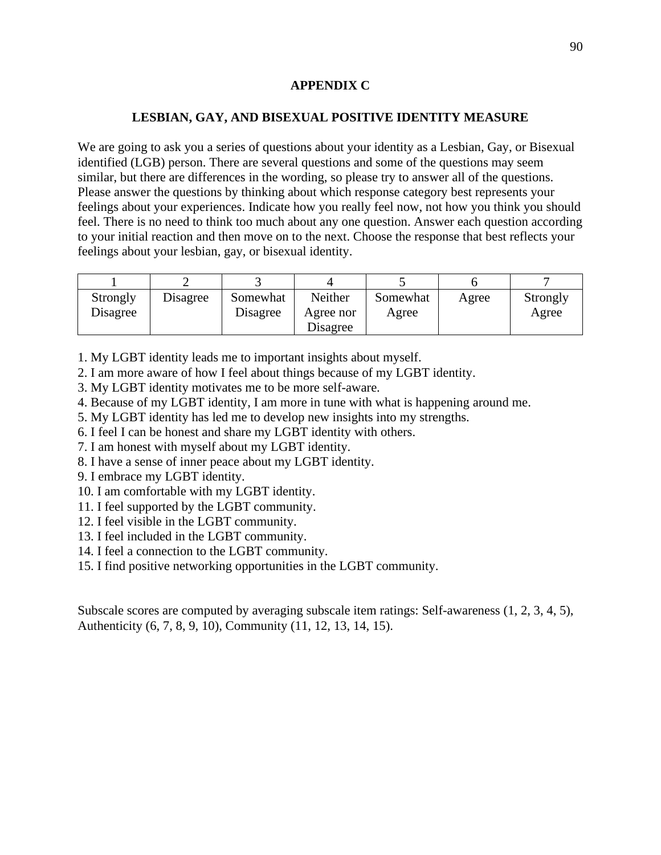## **APPENDIX C**

# **LESBIAN, GAY, AND BISEXUAL POSITIVE IDENTITY MEASURE**

We are going to ask you a series of questions about your identity as a Lesbian, Gay, or Bisexual identified (LGB) person. There are several questions and some of the questions may seem similar, but there are differences in the wording, so please try to answer all of the questions. Please answer the questions by thinking about which response category best represents your feelings about your experiences. Indicate how you really feel now, not how you think you should feel. There is no need to think too much about any one question. Answer each question according to your initial reaction and then move on to the next. Choose the response that best reflects your feelings about your lesbian, gay, or bisexual identity.

| Strongly        | Disagree | Somewhat | Neither   | Somewhat | Agree | Strongly |
|-----------------|----------|----------|-----------|----------|-------|----------|
| <b>Disagree</b> |          | Disagree | Agree nor | Agree    |       | Agree    |
|                 |          |          | Disagree  |          |       |          |

1. My LGBT identity leads me to important insights about myself.

2. I am more aware of how I feel about things because of my LGBT identity.

3. My LGBT identity motivates me to be more self-aware.

4. Because of my LGBT identity, I am more in tune with what is happening around me.

5. My LGBT identity has led me to develop new insights into my strengths.

6. I feel I can be honest and share my LGBT identity with others.

7. I am honest with myself about my LGBT identity.

8. I have a sense of inner peace about my LGBT identity.

9. I embrace my LGBT identity.

10. I am comfortable with my LGBT identity.

11. I feel supported by the LGBT community.

12. I feel visible in the LGBT community.

13. I feel included in the LGBT community.

14. I feel a connection to the LGBT community.

15. I find positive networking opportunities in the LGBT community.

Subscale scores are computed by averaging subscale item ratings: Self-awareness (1, 2, 3, 4, 5), Authenticity (6, 7, 8, 9, 10), Community (11, 12, 13, 14, 15).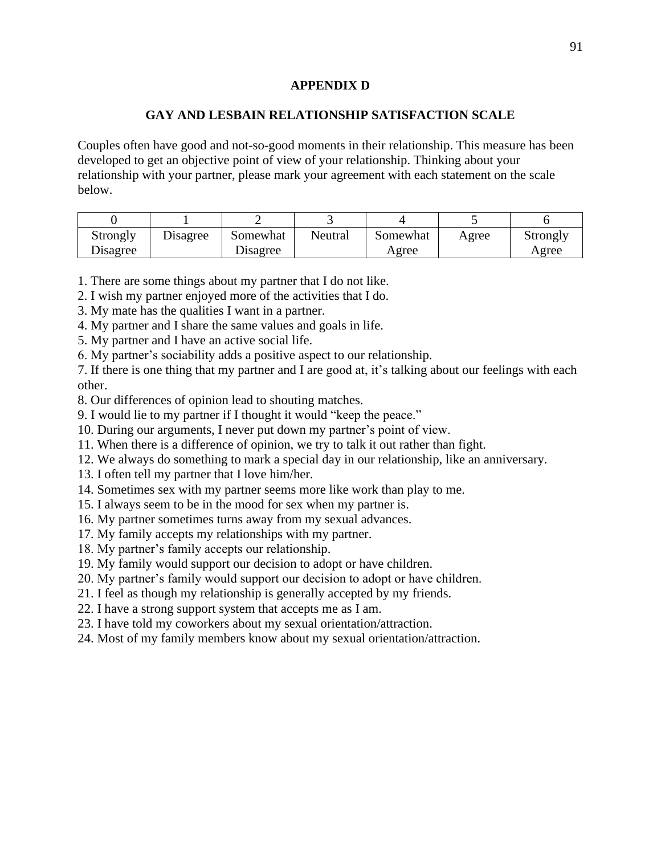### **APPENDIX D**

### **GAY AND LESBAIN RELATIONSHIP SATISFACTION SCALE**

Couples often have good and not-so-good moments in their relationship. This measure has been developed to get an objective point of view of your relationship. Thinking about your relationship with your partner, please mark your agreement with each statement on the scale below.

| Strongly | Disagree | Somewhat | Neutral | Somewhat | Agree | Strongly |
|----------|----------|----------|---------|----------|-------|----------|
| Disagree |          | Disagree |         | Agree    |       | Agree    |

- 1. There are some things about my partner that I do not like.
- 2. I wish my partner enjoyed more of the activities that I do.
- 3. My mate has the qualities I want in a partner.
- 4. My partner and I share the same values and goals in life.
- 5. My partner and I have an active social life.
- 6. My partner's sociability adds a positive aspect to our relationship.

7. If there is one thing that my partner and I are good at, it's talking about our feelings with each other.

- 8. Our differences of opinion lead to shouting matches.
- 9. I would lie to my partner if I thought it would "keep the peace."
- 10. During our arguments, I never put down my partner's point of view.
- 11. When there is a difference of opinion, we try to talk it out rather than fight.
- 12. We always do something to mark a special day in our relationship, like an anniversary.
- 13. I often tell my partner that I love him/her.
- 14. Sometimes sex with my partner seems more like work than play to me.
- 15. I always seem to be in the mood for sex when my partner is.
- 16. My partner sometimes turns away from my sexual advances.
- 17. My family accepts my relationships with my partner.
- 18. My partner's family accepts our relationship.
- 19. My family would support our decision to adopt or have children.
- 20. My partner's family would support our decision to adopt or have children.
- 21. I feel as though my relationship is generally accepted by my friends.
- 22. I have a strong support system that accepts me as I am.
- 23. I have told my coworkers about my sexual orientation/attraction.
- 24. Most of my family members know about my sexual orientation/attraction.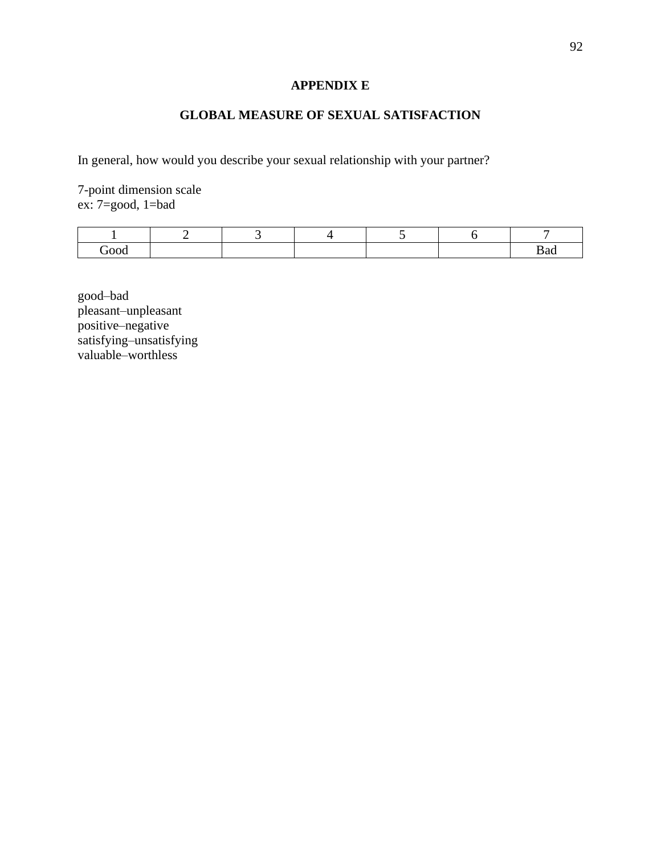# **APPENDIX E**

# **GLOBAL MEASURE OF SEXUAL SATISFACTION**

In general, how would you describe your sexual relationship with your partner?

7-point dimension scale ex: 7=good, 1=bad

| `∩∩∩ |  |  |  |
|------|--|--|--|

good–bad pleasant–unpleasant positive–negative satisfying–unsatisfying valuable–worthless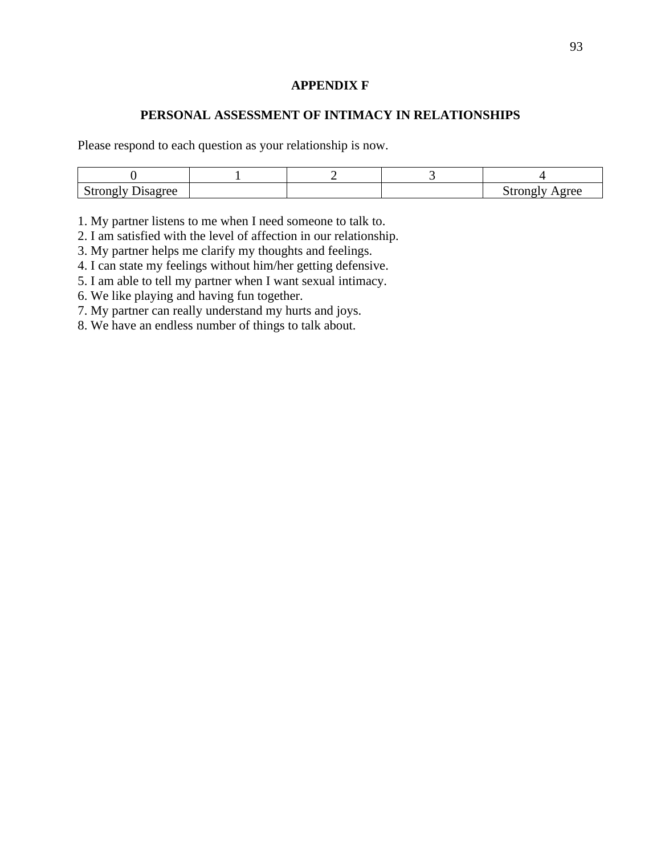### **APPENDIX F**

### **PERSONAL ASSESSMENT OF INTIMACY IN RELATIONSHIPS**

Please respond to each question as your relationship is now.

| Strongly<br>/ Disagree |  | Agree<br>Strongly |
|------------------------|--|-------------------|

1. My partner listens to me when I need someone to talk to.

2. I am satisfied with the level of affection in our relationship.

3. My partner helps me clarify my thoughts and feelings.

4. I can state my feelings without him/her getting defensive.

5. I am able to tell my partner when I want sexual intimacy.

6. We like playing and having fun together.

7. My partner can really understand my hurts and joys.

8. We have an endless number of things to talk about.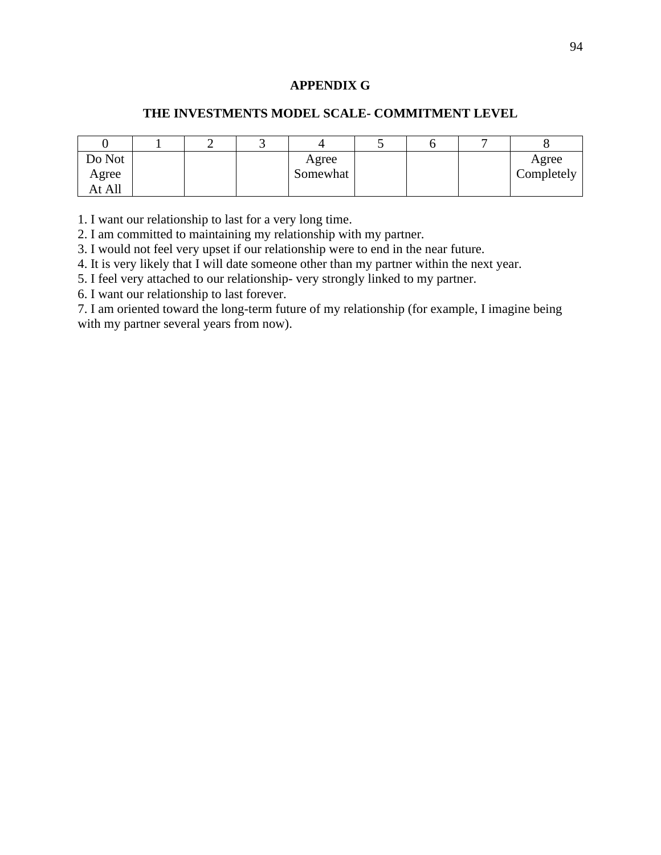# **APPENDIX G**

### **THE INVESTMENTS MODEL SCALE- COMMITMENT LEVEL**

| Do Not |  | Agree    |  | Agree      |
|--------|--|----------|--|------------|
| Agree  |  | Somewhat |  | Completely |
| At All |  |          |  |            |

1. I want our relationship to last for a very long time.

2. I am committed to maintaining my relationship with my partner.

3. I would not feel very upset if our relationship were to end in the near future.

4. It is very likely that I will date someone other than my partner within the next year.

5. I feel very attached to our relationship- very strongly linked to my partner.

6. I want our relationship to last forever.

7. I am oriented toward the long-term future of my relationship (for example, I imagine being with my partner several years from now).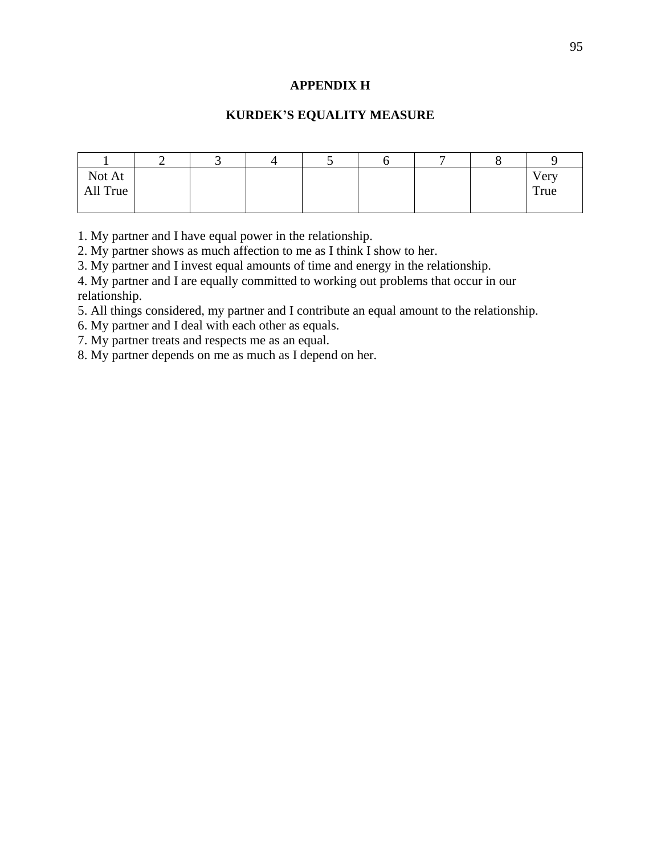### **APPENDIX H**

### **KURDEK'S EQUALITY MEASURE**

| Not At<br>All True |  |  |  | Very<br>True |
|--------------------|--|--|--|--------------|
|                    |  |  |  |              |

1. My partner and I have equal power in the relationship.

2. My partner shows as much affection to me as I think I show to her.

3. My partner and I invest equal amounts of time and energy in the relationship.

4. My partner and I are equally committed to working out problems that occur in our relationship.

5. All things considered, my partner and I contribute an equal amount to the relationship.

6. My partner and I deal with each other as equals.

7. My partner treats and respects me as an equal.

8. My partner depends on me as much as I depend on her.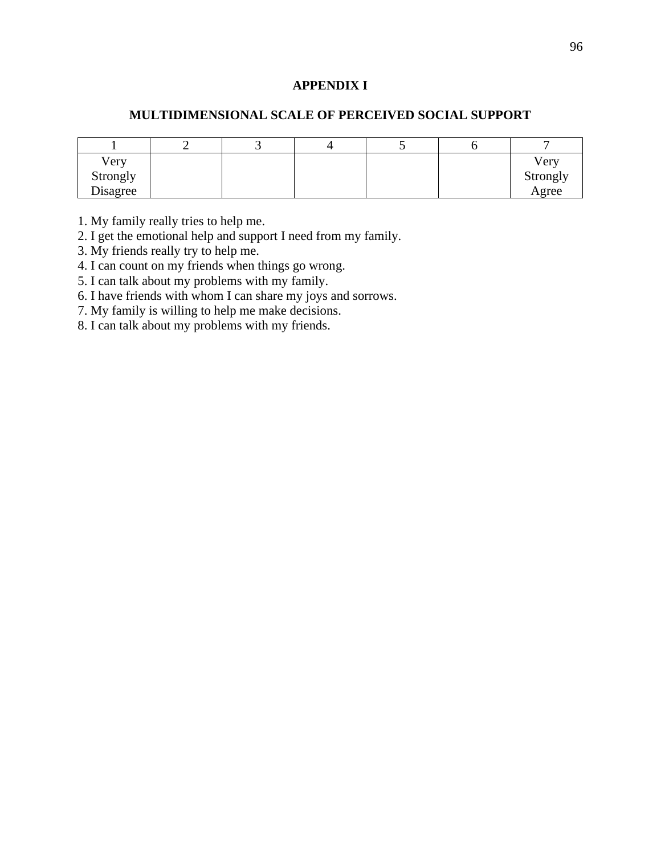### **APPENDIX I**

### **MULTIDIMENSIONAL SCALE OF PERCEIVED SOCIAL SUPPORT**

| Very     |  |  | Very     |
|----------|--|--|----------|
| Strongly |  |  | Strongly |
| Disagree |  |  | Agree    |

1. My family really tries to help me.

2. I get the emotional help and support I need from my family.

3. My friends really try to help me.

4. I can count on my friends when things go wrong.

5. I can talk about my problems with my family.

6. I have friends with whom I can share my joys and sorrows.

7. My family is willing to help me make decisions.

8. I can talk about my problems with my friends.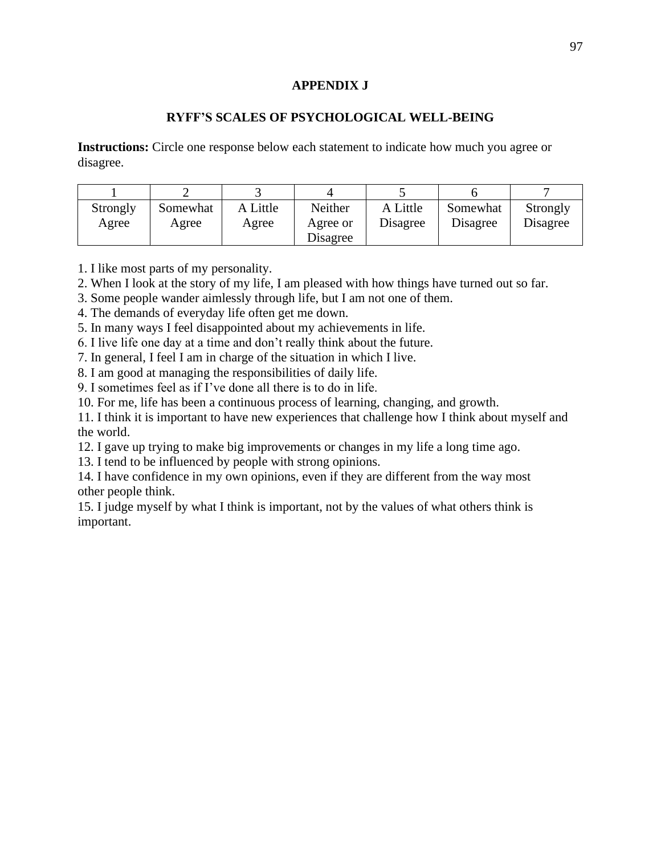### **APPENDIX J**

### **RYFF'S SCALES OF PSYCHOLOGICAL WELL-BEING**

**Instructions:** Circle one response below each statement to indicate how much you agree or disagree.

| Strongly<br>Agree | Somewhat<br>Agree | A Little<br>Agree | Neither<br>Agree or<br>Disagree | A Little<br>Disagree | Somewhat<br>Disagree | Strongly<br>Disagree |
|-------------------|-------------------|-------------------|---------------------------------|----------------------|----------------------|----------------------|

1. I like most parts of my personality.

2. When I look at the story of my life, I am pleased with how things have turned out so far.

3. Some people wander aimlessly through life, but I am not one of them.

4. The demands of everyday life often get me down.

5. In many ways I feel disappointed about my achievements in life.

6. I live life one day at a time and don't really think about the future.

7. In general, I feel I am in charge of the situation in which I live.

8. I am good at managing the responsibilities of daily life.

9. I sometimes feel as if I've done all there is to do in life.

10. For me, life has been a continuous process of learning, changing, and growth.

11. I think it is important to have new experiences that challenge how I think about myself and the world.

12. I gave up trying to make big improvements or changes in my life a long time ago.

13. I tend to be influenced by people with strong opinions.

14. I have confidence in my own opinions, even if they are different from the way most other people think.

15. I judge myself by what I think is important, not by the values of what others think is important.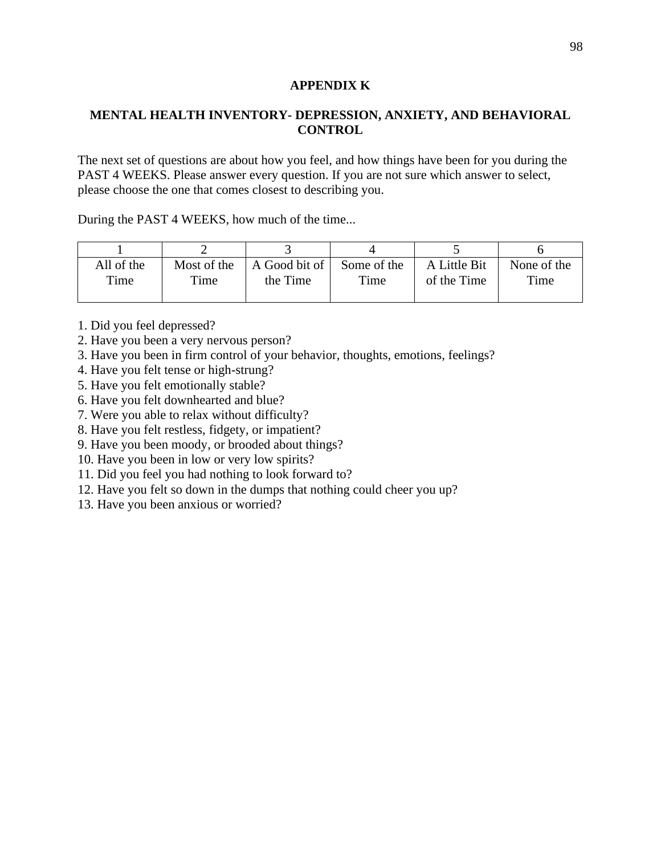### **APPENDIX K**

# **MENTAL HEALTH INVENTORY- DEPRESSION, ANXIETY, AND BEHAVIORAL CONTROL**

The next set of questions are about how you feel, and how things have been for you during the PAST 4 WEEKS. Please answer every question. If you are not sure which answer to select, please choose the one that comes closest to describing you.

During the PAST 4 WEEKS, how much of the time...

| All of the | Most of the | A Good bit of Some of the |      | A Little Bit | None of the |
|------------|-------------|---------------------------|------|--------------|-------------|
| Time       | Time        | the Time                  | Time | of the Time  | Time        |
|            |             |                           |      |              |             |

- 1. Did you feel depressed?
- 2. Have you been a very nervous person?
- 3. Have you been in firm control of your behavior, thoughts, emotions, feelings?
- 4. Have you felt tense or high-strung?
- 5. Have you felt emotionally stable?
- 6. Have you felt downhearted and blue?
- 7. Were you able to relax without difficulty?
- 8. Have you felt restless, fidgety, or impatient?
- 9. Have you been moody, or brooded about things?
- 10. Have you been in low or very low spirits?
- 11. Did you feel you had nothing to look forward to?
- 12. Have you felt so down in the dumps that nothing could cheer you up?
- 13. Have you been anxious or worried?